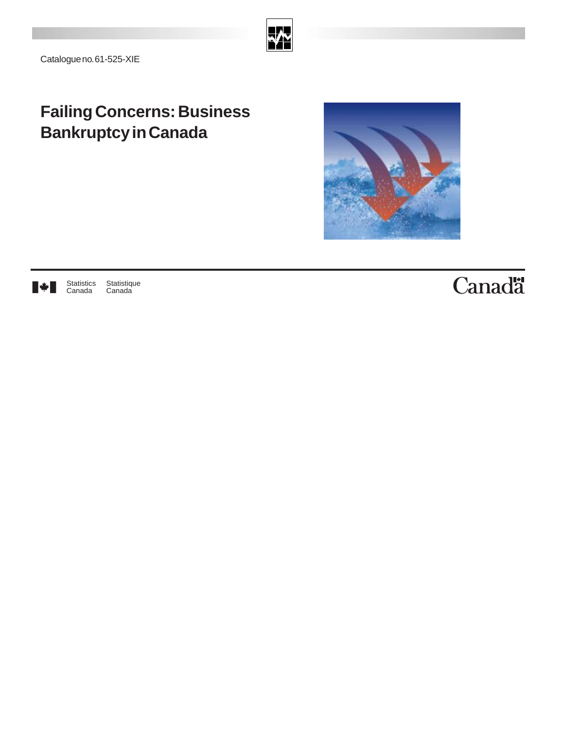

Catalogue no. 61-525-XIE

## **Failing Concerns: Business Bankruptcy in Canada**





Statistique Canada

# Canadä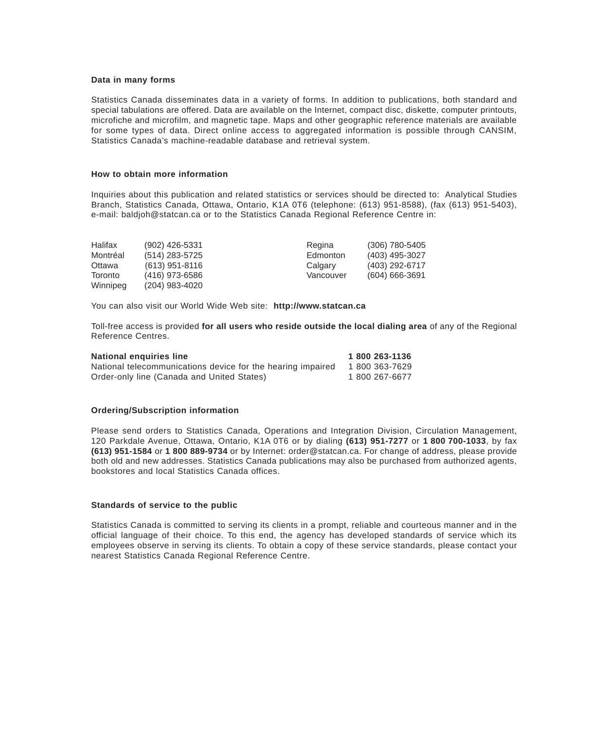#### **Data in many forms**

Statistics Canada disseminates data in a variety of forms. In addition to publications, both standard and special tabulations are offered. Data are available on the Internet, compact disc, diskette, computer printouts, microfiche and microfilm, and magnetic tape. Maps and other geographic reference materials are available for some types of data. Direct online access to aggregated information is possible through CANSIM, Statistics Canada's machine-readable database and retrieval system.

#### **How to obtain more information**

Inquiries about this publication and related statistics or services should be directed to: Analytical Studies Branch, Statistics Canada, Ottawa, Ontario, K1A 0T6 (telephone: (613) 951-8588), (fax (613) 951-5403), e-mail: baldjoh@statcan.ca or to the Statistics Canada Regional Reference Centre in:

| Halifax  | (902) 426-5331   | Regina    | (306) 780-5405     |
|----------|------------------|-----------|--------------------|
| Montréal | (514) 283-5725   | Edmonton  | (403) 495-3027     |
| Ottawa   | $(613)$ 951-8116 | Calgary   | (403) 292-6717     |
| Toronto  | (416) 973-6586   | Vancouver | $(604) 666 - 3691$ |
| Winnipeg | (204) 983-4020   |           |                    |

You can also visit our World Wide Web site: **http://www.statcan.ca**

Toll-free access is provided **for all users who reside outside the local dialing area** of any of the Regional Reference Centres.

| National enquiries line                                     | 1 800 263-1136 |
|-------------------------------------------------------------|----------------|
| National telecommunications device for the hearing impaired | 1 800 363-7629 |
| Order-only line (Canada and United States)                  | 1 800 267-6677 |

#### **Ordering/Subscription information**

Please send orders to Statistics Canada, Operations and Integration Division, Circulation Management, 120 Parkdale Avenue, Ottawa, Ontario, K1A 0T6 or by dialing **(613) 951-7277** or **1 800 700-1033**, by fax **(613) 951-1584** or **1 800 889-9734** or by Internet: order@statcan.ca. For change of address, please provide both old and new addresses. Statistics Canada publications may also be purchased from authorized agents, bookstores and local Statistics Canada offices.

#### **Standards of service to the public**

Statistics Canada is committed to serving its clients in a prompt, reliable and courteous manner and in the official language of their choice. To this end, the agency has developed standards of service which its employees observe in serving its clients. To obtain a copy of these service standards, please contact your nearest Statistics Canada Regional Reference Centre.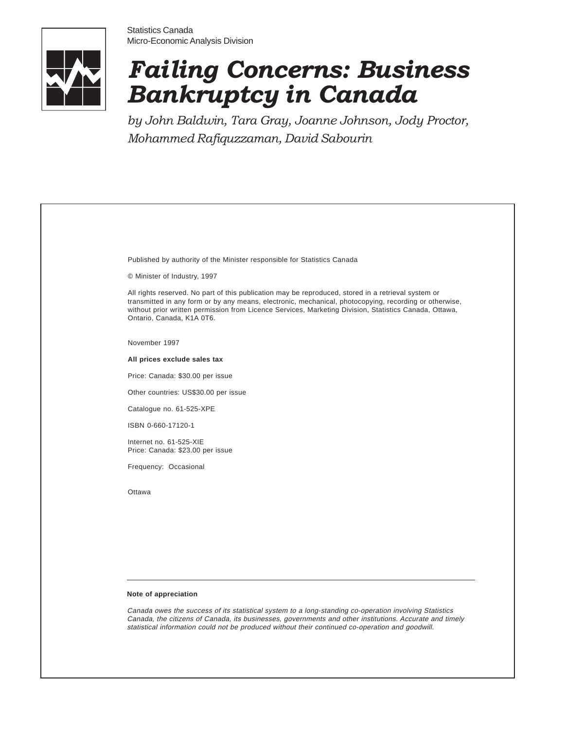



# *Failing Concerns: Business Bankruptcy in Canada*

*by John Baldwin, Tara Gray, Joanne Johnson, Jody Proctor, Mohammed Rafiquzzaman, David Sabourin*

|        | Published by authority of the Minister responsible for Statistics Canada                                                                                                                                                                                                                                                                             |
|--------|------------------------------------------------------------------------------------------------------------------------------------------------------------------------------------------------------------------------------------------------------------------------------------------------------------------------------------------------------|
|        | © Minister of Industry, 1997                                                                                                                                                                                                                                                                                                                         |
|        | All rights reserved. No part of this publication may be reproduced, stored in a retrieval system or<br>transmitted in any form or by any means, electronic, mechanical, photocopying, recording or otherwise,<br>without prior written permission from Licence Services, Marketing Division, Statistics Canada, Ottawa,<br>Ontario, Canada, K1A 0T6. |
|        | November 1997                                                                                                                                                                                                                                                                                                                                        |
|        | All prices exclude sales tax                                                                                                                                                                                                                                                                                                                         |
|        | Price: Canada: \$30.00 per issue                                                                                                                                                                                                                                                                                                                     |
|        | Other countries: US\$30.00 per issue                                                                                                                                                                                                                                                                                                                 |
|        | Catalogue no. 61-525-XPE                                                                                                                                                                                                                                                                                                                             |
|        | ISBN 0-660-17120-1                                                                                                                                                                                                                                                                                                                                   |
|        | Internet no. 61-525-XIE<br>Price: Canada: \$23.00 per issue                                                                                                                                                                                                                                                                                          |
|        | Frequency: Occasional                                                                                                                                                                                                                                                                                                                                |
| Ottawa |                                                                                                                                                                                                                                                                                                                                                      |
|        |                                                                                                                                                                                                                                                                                                                                                      |
|        |                                                                                                                                                                                                                                                                                                                                                      |
|        |                                                                                                                                                                                                                                                                                                                                                      |
|        |                                                                                                                                                                                                                                                                                                                                                      |
|        |                                                                                                                                                                                                                                                                                                                                                      |

Canada owes the success of its statistical system to a long-standing co-operation involving Statistics Canada, the citizens of Canada, its businesses, governments and other institutions. Accurate and timely statistical information could not be produced without their continued co-operation and goodwill.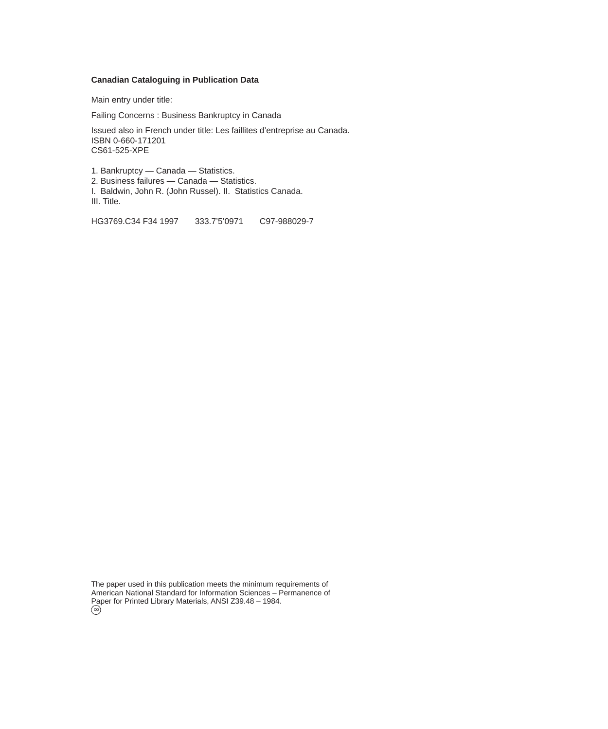#### **Canadian Cataloguing in Publication Data**

Main entry under title:

Failing Concerns : Business Bankruptcy in Canada

Issued also in French under title: Les faillites d'entreprise au Canada. ISBN 0-660-171201 CS61-525-XPE

1. Bankruptcy — Canada — Statistics.

2. Business failures — Canada — Statistics.

I. Baldwin, John R. (John Russel). II. Statistics Canada. III. Title.

HG3769.C34 F34 1997 333.7'5'0971 C97-988029-7

The paper used in this publication meets the minimum requirements of American National Standard for Information Sciences – Permanence of Paper for Printed Library Materials, ANSI Z39.48 – 1984. ∶<br>∽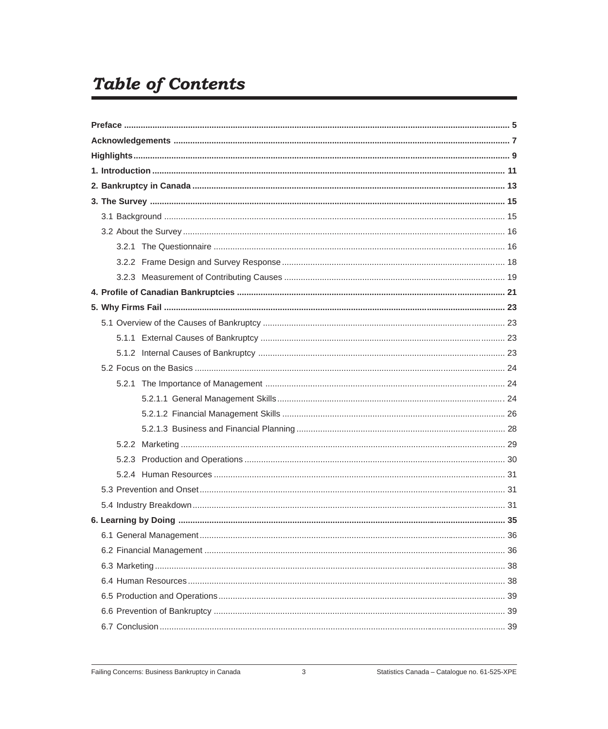## **Table of Contents**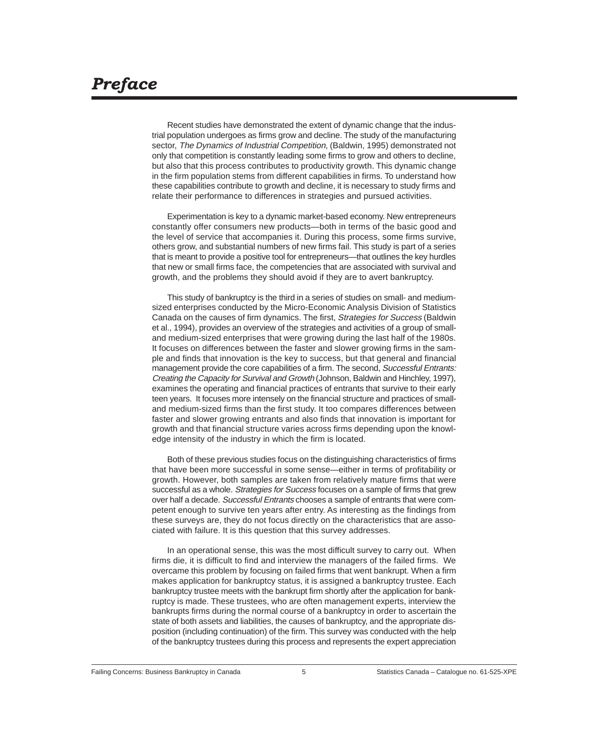## <span id="page-6-0"></span>*Preface*

Recent studies have demonstrated the extent of dynamic change that the industrial population undergoes as firms grow and decline. The study of the manufacturing sector, The Dynamics of Industrial Competition, (Baldwin, 1995) demonstrated not only that competition is constantly leading some firms to grow and others to decline, but also that this process contributes to productivity growth. This dynamic change in the firm population stems from different capabilities in firms. To understand how these capabilities contribute to growth and decline, it is necessary to study firms and relate their performance to differences in strategies and pursued activities.

Experimentation is key to a dynamic market-based economy. New entrepreneurs constantly offer consumers new products—both in terms of the basic good and the level of service that accompanies it. During this process, some firms survive, others grow, and substantial numbers of new firms fail. This study is part of a series that is meant to provide a positive tool for entrepreneurs—that outlines the key hurdles that new or small firms face, the competencies that are associated with survival and growth, and the problems they should avoid if they are to avert bankruptcy.

This study of bankruptcy is the third in a series of studies on small- and mediumsized enterprises conducted by the Micro-Economic Analysis Division of Statistics Canada on the causes of firm dynamics. The first, Strategies for Success (Baldwin et al., 1994), provides an overview of the strategies and activities of a group of smalland medium-sized enterprises that were growing during the last half of the 1980s. It focuses on differences between the faster and slower growing firms in the sample and finds that innovation is the key to success, but that general and financial management provide the core capabilities of a firm. The second, Successful Entrants: Creating the Capacity for Survival and Growth (Johnson, Baldwin and Hinchley, 1997), examines the operating and financial practices of entrants that survive to their early teen years. It focuses more intensely on the financial structure and practices of smalland medium-sized firms than the first study. It too compares differences between faster and slower growing entrants and also finds that innovation is important for growth and that financial structure varies across firms depending upon the knowledge intensity of the industry in which the firm is located.

Both of these previous studies focus on the distinguishing characteristics of firms that have been more successful in some sense—either in terms of profitability or growth. However, both samples are taken from relatively mature firms that were successful as a whole. Strategies for Success focuses on a sample of firms that grew over half a decade. Successful Entrants chooses a sample of entrants that were competent enough to survive ten years after entry. As interesting as the findings from these surveys are, they do not focus directly on the characteristics that are associated with failure. It is this question that this survey addresses.

In an operational sense, this was the most difficult survey to carry out. When firms die, it is difficult to find and interview the managers of the failed firms. We overcame this problem by focusing on failed firms that went bankrupt. When a firm makes application for bankruptcy status, it is assigned a bankruptcy trustee. Each bankruptcy trustee meets with the bankrupt firm shortly after the application for bankruptcy is made. These trustees, who are often management experts, interview the bankrupts firms during the normal course of a bankruptcy in order to ascertain the state of both assets and liabilities, the causes of bankruptcy, and the appropriate disposition (including continuation) of the firm. This survey was conducted with the help of the bankruptcy trustees during this process and represents the expert appreciation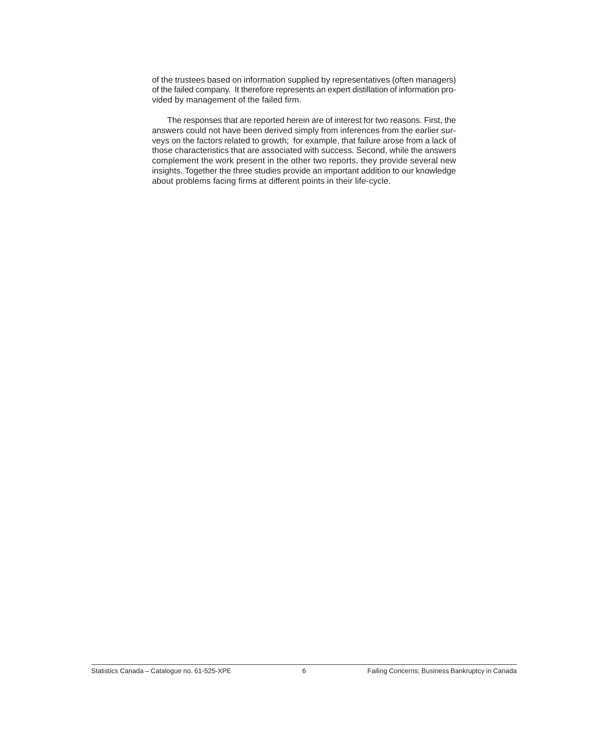of the trustees based on information supplied by representatives (often managers) of the failed company. It therefore represents an expert distillation of information provided by management of the failed firm.

The responses that are reported herein are of interest for two reasons. First, the answers could not have been derived simply from inferences from the earlier surveys on the factors related to growth; for example, that failure arose from a lack of those characteristics that are associated with success. Second, while the answers complement the work present in the other two reports, they provide several new insights. Together the three studies provide an important addition to our knowledge about problems facing firms at different points in their life-cycle.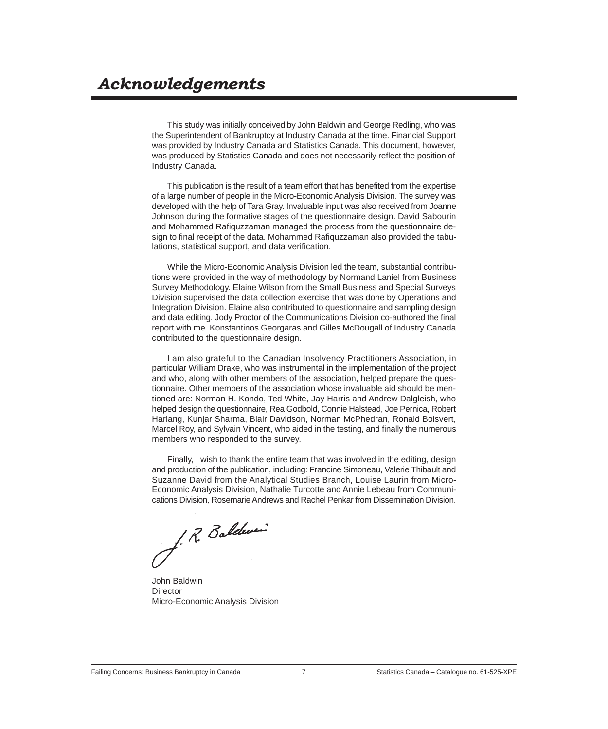<span id="page-8-0"></span>This study was initially conceived by John Baldwin and George Redling, who was the Superintendent of Bankruptcy at Industry Canada at the time. Financial Support was provided by Industry Canada and Statistics Canada. This document, however, was produced by Statistics Canada and does not necessarily reflect the position of Industry Canada.

This publication is the result of a team effort that has benefited from the expertise of a large number of people in the Micro-Economic Analysis Division. The survey was developed with the help of Tara Gray. Invaluable input was also received from Joanne Johnson during the formative stages of the questionnaire design. David Sabourin and Mohammed Rafiquzzaman managed the process from the questionnaire design to final receipt of the data. Mohammed Rafiquzzaman also provided the tabulations, statistical support, and data verification.

While the Micro-Economic Analysis Division led the team, substantial contributions were provided in the way of methodology by Normand Laniel from Business Survey Methodology. Elaine Wilson from the Small Business and Special Surveys Division supervised the data collection exercise that was done by Operations and Integration Division. Elaine also contributed to questionnaire and sampling design and data editing. Jody Proctor of the Communications Division co-authored the final report with me. Konstantinos Georgaras and Gilles McDougall of Industry Canada contributed to the questionnaire design.

I am also grateful to the Canadian Insolvency Practitioners Association, in particular William Drake, who was instrumental in the implementation of the project and who, along with other members of the association, helped prepare the questionnaire. Other members of the association whose invaluable aid should be mentioned are: Norman H. Kondo, Ted White, Jay Harris and Andrew Dalgleish, who helped design the questionnaire, Rea Godbold, Connie Halstead, Joe Pernica, Robert Harlang, Kunjar Sharma, Blair Davidson, Norman McPhedran, Ronald Boisvert, Marcel Roy, and Sylvain Vincent, who aided in the testing, and finally the numerous members who responded to the survey.

Finally, I wish to thank the entire team that was involved in the editing, design and production of the publication, including: Francine Simoneau, Valerie Thibault and Suzanne David from the Analytical Studies Branch, Louise Laurin from Micro-Economic Analysis Division, Nathalie Turcotte and Annie Lebeau from Communications Division, Rosemarie Andrews and Rachel Penkar from Dissemination Division.

J. R. Baldwin

John Baldwin **Director** Micro-Economic Analysis Division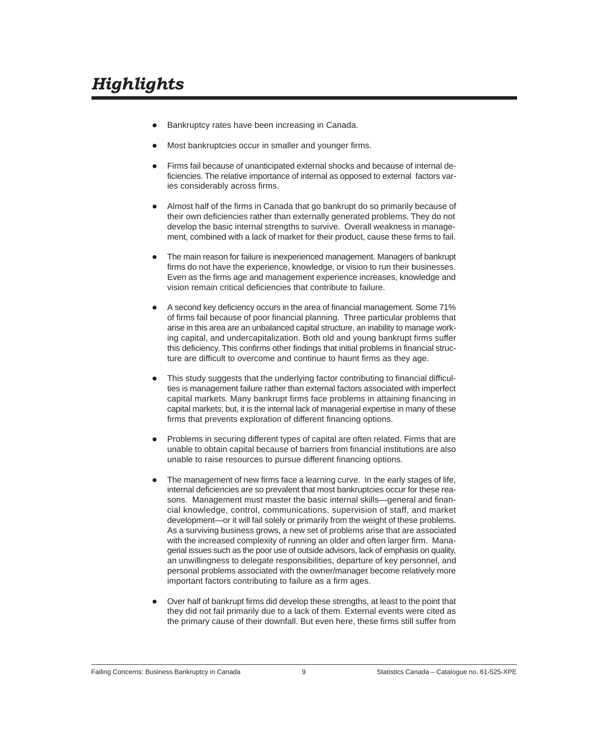- <span id="page-10-0"></span>Bankruptcy rates have been increasing in Canada.
- Most bankruptcies occur in smaller and younger firms.
- Firms fail because of unanticipated external shocks and because of internal deficiencies. The relative importance of internal as opposed to external factors varies considerably across firms.
- l Almost half of the firms in Canada that go bankrupt do so primarily because of their own deficiencies rather than externally generated problems. They do not develop the basic internal strengths to survive. Overall weakness in management, combined with a lack of market for their product, cause these firms to fail.
- l The main reason for failure is inexperienced management. Managers of bankrupt firms do not have the experience, knowledge, or vision to run their businesses. Even as the firms age and management experience increases, knowledge and vision remain critical deficiencies that contribute to failure.
- A second key deficiency occurs in the area of financial management. Some 71% of firms fail because of poor financial planning. Three particular problems that arise in this area are an unbalanced capital structure, an inability to manage working capital, and undercapitalization. Both old and young bankrupt firms suffer this deficiency. This confirms other findings that initial problems in financial structure are difficult to overcome and continue to haunt firms as they age.
- l This study suggests that the underlying factor contributing to financial difficulties is management failure rather than external factors associated with imperfect capital markets. Many bankrupt firms face problems in attaining financing in capital markets; but, it is the internal lack of managerial expertise in many of these firms that prevents exploration of different financing options.
- l Problems in securing different types of capital are often related. Firms that are unable to obtain capital because of barriers from financial institutions are also unable to raise resources to pursue different financing options.
- The management of new firms face a learning curve. In the early stages of life, internal deficiencies are so prevalent that most bankruptcies occur for these reasons. Management must master the basic internal skills—general and financial knowledge, control, communications, supervision of staff, and market development—or it will fail solely or primarily from the weight of these problems. As a surviving business grows, a new set of problems arise that are associated with the increased complexity of running an older and often larger firm. Managerial issues such as the poor use of outside advisors, lack of emphasis on quality, an unwillingness to delegate responsibilities, departure of key personnel, and personal problems associated with the owner/manager become relatively more important factors contributing to failure as a firm ages.
- Over half of bankrupt firms did develop these strengths, at least to the point that they did not fail primarily due to a lack of them. External events were cited as the primary cause of their downfall. But even here, these firms still suffer from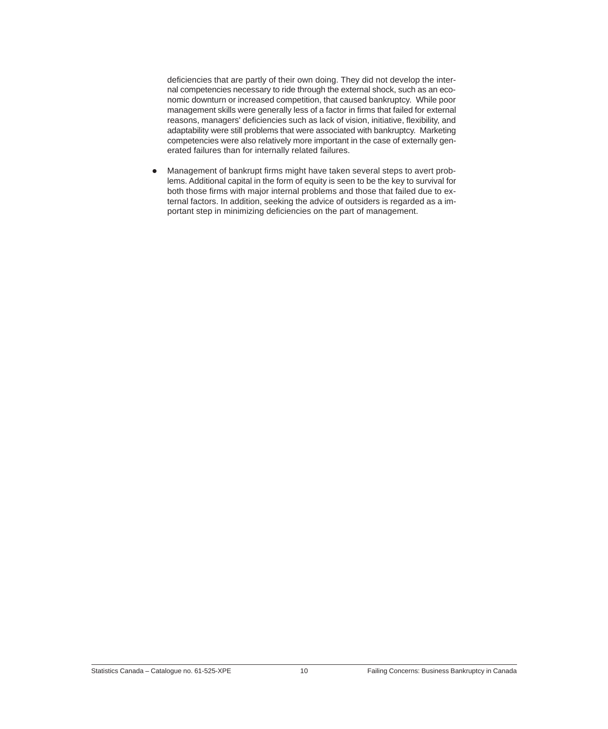deficiencies that are partly of their own doing. They did not develop the internal competencies necessary to ride through the external shock, such as an economic downturn or increased competition, that caused bankruptcy. While poor management skills were generally less of a factor in firms that failed for external reasons, managers' deficiencies such as lack of vision, initiative, flexibility, and adaptability were still problems that were associated with bankruptcy. Marketing competencies were also relatively more important in the case of externally generated failures than for internally related failures.

• Management of bankrupt firms might have taken several steps to avert problems. Additional capital in the form of equity is seen to be the key to survival for both those firms with major internal problems and those that failed due to external factors. In addition, seeking the advice of outsiders is regarded as a important step in minimizing deficiencies on the part of management.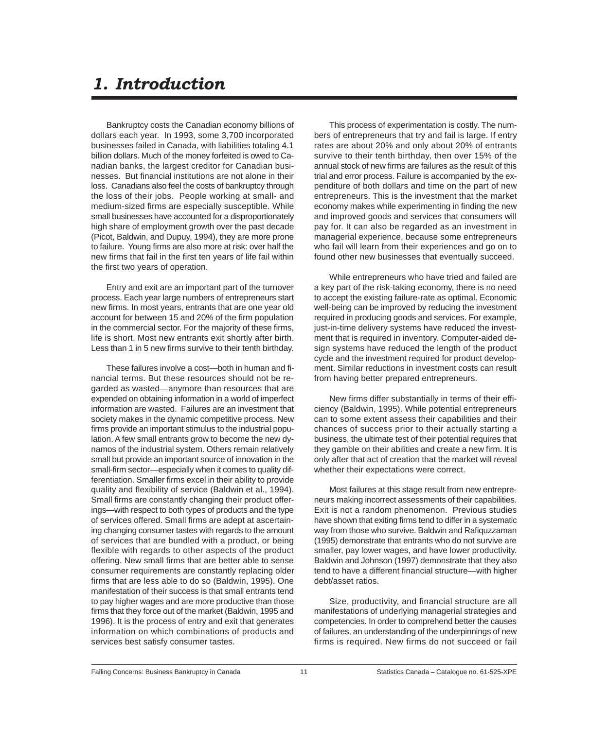## <span id="page-12-0"></span>*1. Introduction*

Bankruptcy costs the Canadian economy billions of dollars each year. In 1993, some 3,700 incorporated businesses failed in Canada, with liabilities totaling 4.1 billion dollars. Much of the money forfeited is owed to Canadian banks, the largest creditor for Canadian businesses. But financial institutions are not alone in their loss. Canadians also feel the costs of bankruptcy through the loss of their jobs. People working at small- and medium-sized firms are especially susceptible. While small businesses have accounted for a disproportionately high share of employment growth over the past decade (Picot, Baldwin, and Dupuy, 1994), they are more prone to failure. Young firms are also more at risk: over half the new firms that fail in the first ten years of life fail within the first two years of operation.

Entry and exit are an important part of the turnover process. Each year large numbers of entrepreneurs start new firms. In most years, entrants that are one year old account for between 15 and 20% of the firm population in the commercial sector. For the majority of these firms, life is short. Most new entrants exit shortly after birth. Less than 1 in 5 new firms survive to their tenth birthday.

These failures involve a cost—both in human and financial terms. But these resources should not be regarded as wasted—anymore than resources that are expended on obtaining information in a world of imperfect information are wasted. Failures are an investment that society makes in the dynamic competitive process. New firms provide an important stimulus to the industrial population. A few small entrants grow to become the new dynamos of the industrial system. Others remain relatively small but provide an important source of innovation in the small-firm sector—especially when it comes to quality differentiation. Smaller firms excel in their ability to provide quality and flexibility of service (Baldwin et al., 1994). Small firms are constantly changing their product offerings—with respect to both types of products and the type of services offered. Small firms are adept at ascertaining changing consumer tastes with regards to the amount of services that are bundled with a product, or being flexible with regards to other aspects of the product offering. New small firms that are better able to sense consumer requirements are constantly replacing older firms that are less able to do so (Baldwin, 1995). One manifestation of their success is that small entrants tend to pay higher wages and are more productive than those firms that they force out of the market (Baldwin, 1995 and 1996). It is the process of entry and exit that generates information on which combinations of products and services best satisfy consumer tastes.

This process of experimentation is costly. The numbers of entrepreneurs that try and fail is large. If entry rates are about 20% and only about 20% of entrants survive to their tenth birthday, then over 15% of the annual stock of new firms are failures as the result of this trial and error process. Failure is accompanied by the expenditure of both dollars and time on the part of new entrepreneurs. This is the investment that the market economy makes while experimenting in finding the new and improved goods and services that consumers will pay for. It can also be regarded as an investment in managerial experience, because some entrepreneurs who fail will learn from their experiences and go on to found other new businesses that eventually succeed.

While entrepreneurs who have tried and failed are a key part of the risk-taking economy, there is no need to accept the existing failure-rate as optimal. Economic well-being can be improved by reducing the investment required in producing goods and services. For example, just-in-time delivery systems have reduced the investment that is required in inventory. Computer-aided design systems have reduced the length of the product cycle and the investment required for product development. Similar reductions in investment costs can result from having better prepared entrepreneurs.

New firms differ substantially in terms of their efficiency (Baldwin, 1995). While potential entrepreneurs can to some extent assess their capabilities and their chances of success prior to their actually starting a business, the ultimate test of their potential requires that they gamble on their abilities and create a new firm. It is only after that act of creation that the market will reveal whether their expectations were correct.

Most failures at this stage result from new entrepreneurs making incorrect assessments of their capabilities. Exit is not a random phenomenon. Previous studies have shown that exiting firms tend to differ in a systematic way from those who survive. Baldwin and Rafiquzzaman (1995) demonstrate that entrants who do not survive are smaller, pay lower wages, and have lower productivity. Baldwin and Johnson (1997) demonstrate that they also tend to have a different financial structure—with higher debt/asset ratios.

Size, productivity, and financial structure are all manifestations of underlying managerial strategies and competencies. In order to comprehend better the causes of failures, an understanding of the underpinnings of new firms is required. New firms do not succeed or fail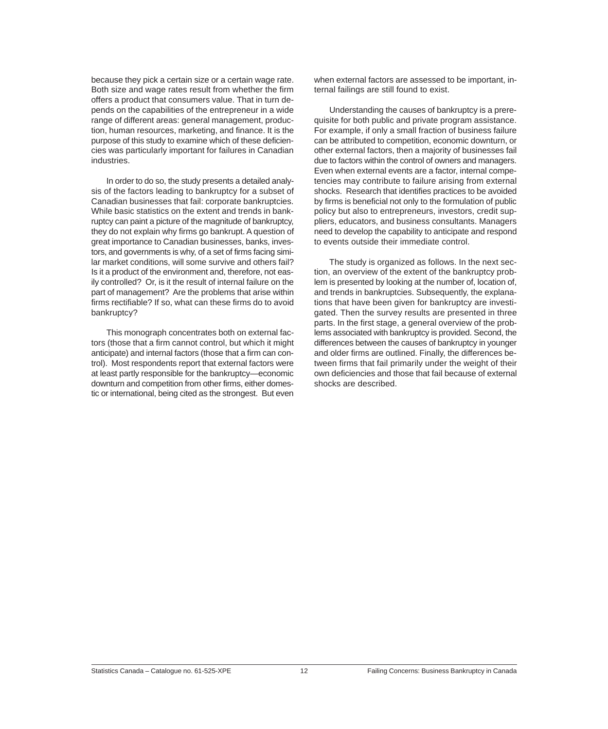because they pick a certain size or a certain wage rate. Both size and wage rates result from whether the firm offers a product that consumers value. That in turn depends on the capabilities of the entrepreneur in a wide range of different areas: general management, production, human resources, marketing, and finance. It is the purpose of this study to examine which of these deficiencies was particularly important for failures in Canadian industries.

In order to do so, the study presents a detailed analysis of the factors leading to bankruptcy for a subset of Canadian businesses that fail: corporate bankruptcies. While basic statistics on the extent and trends in bankruptcy can paint a picture of the magnitude of bankruptcy, they do not explain why firms go bankrupt. A question of great importance to Canadian businesses, banks, investors, and governments is why, of a set of firms facing similar market conditions, will some survive and others fail? Is it a product of the environment and, therefore, not easily controlled? Or, is it the result of internal failure on the part of management? Are the problems that arise within firms rectifiable? If so, what can these firms do to avoid bankruptcy?

This monograph concentrates both on external factors (those that a firm cannot control, but which it might anticipate) and internal factors (those that a firm can control). Most respondents report that external factors were at least partly responsible for the bankruptcy—economic downturn and competition from other firms, either domestic or international, being cited as the strongest. But even

when external factors are assessed to be important, internal failings are still found to exist.

Understanding the causes of bankruptcy is a prerequisite for both public and private program assistance. For example, if only a small fraction of business failure can be attributed to competition, economic downturn, or other external factors, then a majority of businesses fail due to factors within the control of owners and managers. Even when external events are a factor, internal competencies may contribute to failure arising from external shocks. Research that identifies practices to be avoided by firms is beneficial not only to the formulation of public policy but also to entrepreneurs, investors, credit suppliers, educators, and business consultants. Managers need to develop the capability to anticipate and respond to events outside their immediate control.

The study is organized as follows. In the next section, an overview of the extent of the bankruptcy problem is presented by looking at the number of, location of, and trends in bankruptcies. Subsequently, the explanations that have been given for bankruptcy are investigated. Then the survey results are presented in three parts. In the first stage, a general overview of the problems associated with bankruptcy is provided. Second, the differences between the causes of bankruptcy in younger and older firms are outlined. Finally, the differences between firms that fail primarily under the weight of their own deficiencies and those that fail because of external shocks are described.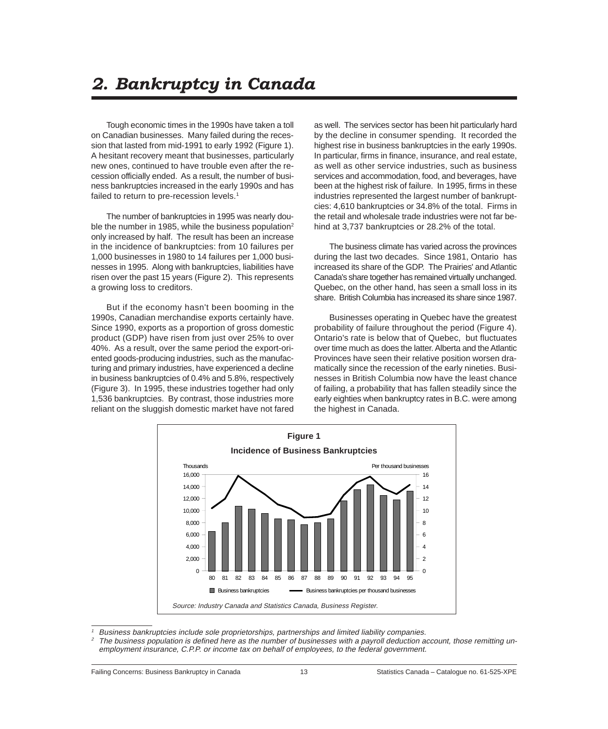## <span id="page-14-0"></span>*2. Bankruptcy in Canada*

Tough economic times in the 1990s have taken a toll on Canadian businesses. Many failed during the recession that lasted from mid-1991 to early 1992 (Figure 1). A hesitant recovery meant that businesses, particularly new ones, continued to have trouble even after the recession officially ended. As a result, the number of business bankruptcies increased in the early 1990s and has failed to return to pre-recession levels.<sup>1</sup>

The number of bankruptcies in 1995 was nearly double the number in 1985, while the business population<sup>2</sup> only increased by half. The result has been an increase in the incidence of bankruptcies: from 10 failures per 1,000 businesses in 1980 to 14 failures per 1,000 businesses in 1995. Along with bankruptcies, liabilities have risen over the past 15 years (Figure 2). This represents a growing loss to creditors.

But if the economy hasn't been booming in the 1990s, Canadian merchandise exports certainly have. Since 1990, exports as a proportion of gross domestic product (GDP) have risen from just over 25% to over 40%. As a result, over the same period the export-oriented goods-producing industries, such as the manufacturing and primary industries, have experienced a decline in business bankruptcies of 0.4% and 5.8%, respectively (Figure 3). In 1995, these industries together had only 1,536 bankruptcies. By contrast, those industries more reliant on the sluggish domestic market have not fared

as well. The services sector has been hit particularly hard by the decline in consumer spending. It recorded the highest rise in business bankruptcies in the early 1990s. In particular, firms in finance, insurance, and real estate, as well as other service industries, such as business services and accommodation, food, and beverages, have been at the highest risk of failure. In 1995, firms in these industries represented the largest number of bankruptcies: 4,610 bankruptcies or 34.8% of the total. Firms in the retail and wholesale trade industries were not far behind at 3,737 bankruptcies or 28.2% of the total.

The business climate has varied across the provinces during the last two decades. Since 1981, Ontario has increased its share of the GDP. The Prairies' and Atlantic Canada's share together has remained virtually unchanged. Quebec, on the other hand, has seen a small loss in its share. British Columbia has increased its share since 1987.

Businesses operating in Quebec have the greatest probability of failure throughout the period (Figure 4). Ontario's rate is below that of Quebec, but fluctuates over time much as does the latter. Alberta and the Atlantic Provinces have seen their relative position worsen dramatically since the recession of the early nineties. Businesses in British Columbia now have the least chance of failing, a probability that has fallen steadily since the early eighties when bankruptcy rates in B.C. were among the highest in Canada.



<sup>1</sup> Business bankruptcies include sole proprietorships, partnerships and limited liability companies.

The business population is defined here as the number of businesses with a payroll deduction account, those remitting unemployment insurance, C.P.P. or income tax on behalf of employees, to the federal government.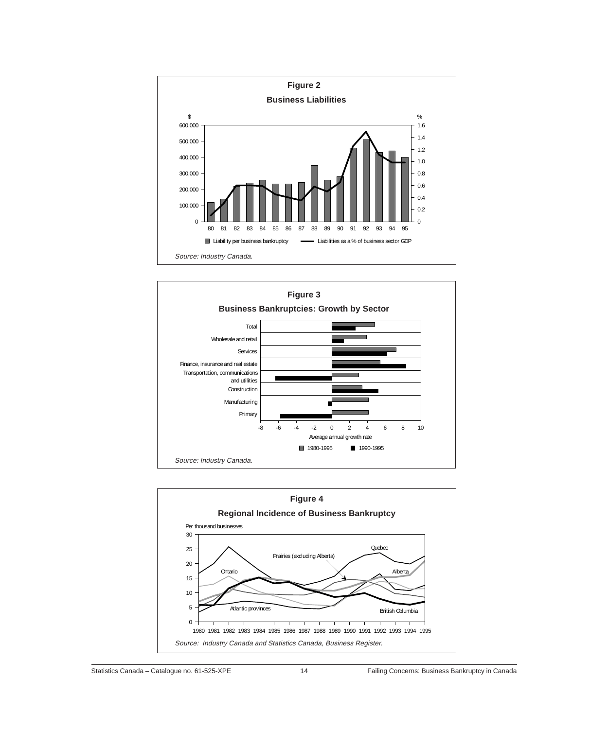



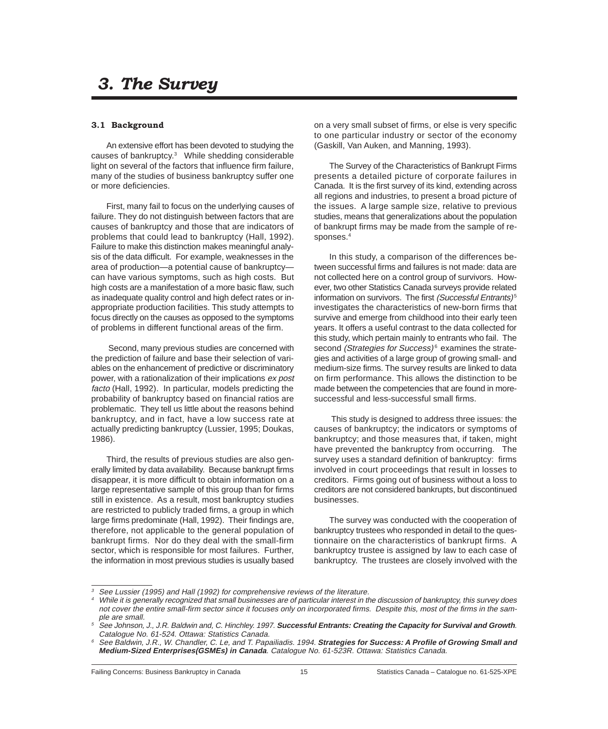### <span id="page-16-0"></span> *3. The Survey*

#### **3.1 Background**

An extensive effort has been devoted to studying the causes of bankruptcy.<sup>3</sup> While shedding considerable light on several of the factors that influence firm failure, many of the studies of business bankruptcy suffer one or more deficiencies.

First, many fail to focus on the underlying causes of failure. They do not distinguish between factors that are causes of bankruptcy and those that are indicators of problems that could lead to bankruptcy (Hall, 1992). Failure to make this distinction makes meaningful analysis of the data difficult. For example, weaknesses in the area of production—a potential cause of bankruptcy can have various symptoms, such as high costs. But high costs are a manifestation of a more basic flaw, such as inadequate quality control and high defect rates or inappropriate production facilities. This study attempts to focus directly on the causes as opposed to the symptoms of problems in different functional areas of the firm.

 Second, many previous studies are concerned with the prediction of failure and base their selection of variables on the enhancement of predictive or discriminatory power, with a rationalization of their implications ex post facto (Hall, 1992). In particular, models predicting the probability of bankruptcy based on financial ratios are problematic. They tell us little about the reasons behind bankruptcy, and in fact, have a low success rate at actually predicting bankruptcy (Lussier, 1995; Doukas, 1986).

Third, the results of previous studies are also generally limited by data availability. Because bankrupt firms disappear, it is more difficult to obtain information on a large representative sample of this group than for firms still in existence. As a result, most bankruptcy studies are restricted to publicly traded firms, a group in which large firms predominate (Hall, 1992). Their findings are, therefore, not applicable to the general population of bankrupt firms. Nor do they deal with the small-firm sector, which is responsible for most failures. Further, the information in most previous studies is usually based

on a very small subset of firms, or else is very specific to one particular industry or sector of the economy (Gaskill, Van Auken, and Manning, 1993).

The Survey of the Characteristics of Bankrupt Firms presents a detailed picture of corporate failures in Canada. It is the first survey of its kind, extending across all regions and industries, to present a broad picture of the issues. A large sample size, relative to previous studies, means that generalizations about the population of bankrupt firms may be made from the sample of responses.4

In this study, a comparison of the differences between successful firms and failures is not made: data are not collected here on a control group of survivors. However, two other Statistics Canada surveys provide related information on survivors. The first (Successful Entrants)<sup>5</sup> investigates the characteristics of new-born firms that survive and emerge from childhood into their early teen years. It offers a useful contrast to the data collected for this study, which pertain mainly to entrants who fail. The second (Strategies for Success) $6$  examines the strategies and activities of a large group of growing small- and medium-size firms. The survey results are linked to data on firm performance. This allows the distinction to be made between the competencies that are found in moresuccessful and less-successful small firms.

 This study is designed to address three issues: the causes of bankruptcy; the indicators or symptoms of bankruptcy; and those measures that, if taken, might have prevented the bankruptcy from occurring. The survey uses a standard definition of bankruptcy: firms involved in court proceedings that result in losses to creditors. Firms going out of business without a loss to creditors are not considered bankrupts, but discontinued businesses.

The survey was conducted with the cooperation of bankruptcy trustees who responded in detail to the questionnaire on the characteristics of bankrupt firms. A bankruptcy trustee is assigned by law to each case of bankruptcy. The trustees are closely involved with the

See Lussier (1995) and Hall (1992) for comprehensive reviews of the literature.

<sup>4</sup> While it is generally recognized that small businesses are of particular interest in the discussion of bankruptcy, this survey does not cover the entire small-firm sector since it focuses only on incorporated firms. Despite this, most of the firms in the sample are small.

<sup>5</sup> See Johnson, J., J.R. Baldwin and, C. Hinchley. 1997. **Successful Entrants: Creating the Capacity for Survival and Growth**. Catalogue No. 61-524. Ottawa: Statistics Canada.

<sup>6</sup> See Baldwin, J.R., W. Chandler, C. Le, and T. Papailiadis. 1994. **Strategies for Success: A Profile of Growing Small and Medium-Sized Enterprises(GSMEs) in Canada**. Catalogue No. 61-523R. Ottawa: Statistics Canada.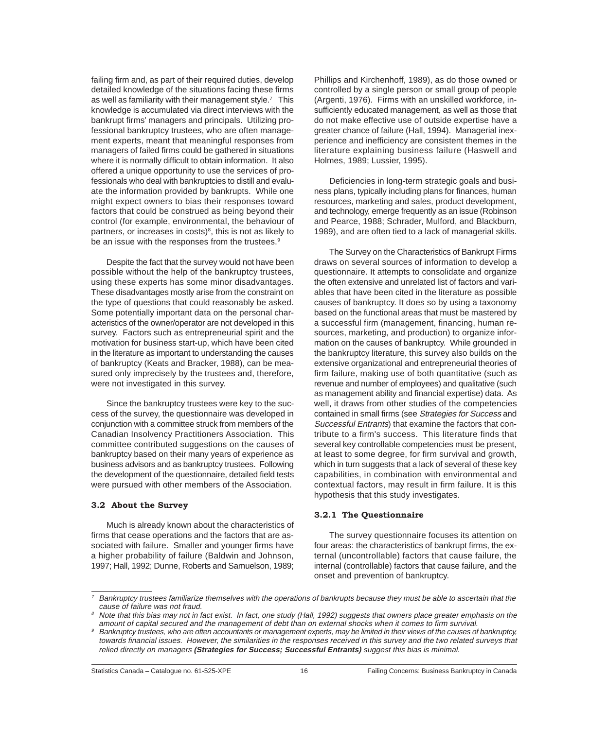<span id="page-17-0"></span>failing firm and, as part of their required duties, develop detailed knowledge of the situations facing these firms as well as familiarity with their management style.<sup>7</sup> This knowledge is accumulated via direct interviews with the bankrupt firms' managers and principals. Utilizing professional bankruptcy trustees, who are often management experts, meant that meaningful responses from managers of failed firms could be gathered in situations where it is normally difficult to obtain information. It also offered a unique opportunity to use the services of professionals who deal with bankruptcies to distill and evaluate the information provided by bankrupts. While one might expect owners to bias their responses toward factors that could be construed as being beyond their control (for example, environmental, the behaviour of partners, or increases in costs)<sup>8</sup>, this is not as likely to be an issue with the responses from the trustees.<sup>9</sup>

Despite the fact that the survey would not have been possible without the help of the bankruptcy trustees, using these experts has some minor disadvantages. These disadvantages mostly arise from the constraint on the type of questions that could reasonably be asked. Some potentially important data on the personal characteristics of the owner/operator are not developed in this survey. Factors such as entrepreneurial spirit and the motivation for business start-up, which have been cited in the literature as important to understanding the causes of bankruptcy (Keats and Bracker, 1988), can be measured only imprecisely by the trustees and, therefore, were not investigated in this survey.

Since the bankruptcy trustees were key to the success of the survey, the questionnaire was developed in conjunction with a committee struck from members of the Canadian Insolvency Practitioners Association. This committee contributed suggestions on the causes of bankruptcy based on their many years of experience as business advisors and as bankruptcy trustees. Following the development of the questionnaire, detailed field tests were pursued with other members of the Association.

#### **3.2 About the Survey**

Much is already known about the characteristics of firms that cease operations and the factors that are associated with failure. Smaller and younger firms have a higher probability of failure (Baldwin and Johnson, 1997; Hall, 1992; Dunne, Roberts and Samuelson, 1989;

Phillips and Kirchenhoff, 1989), as do those owned or controlled by a single person or small group of people (Argenti, 1976). Firms with an unskilled workforce, insufficiently educated management, as well as those that do not make effective use of outside expertise have a greater chance of failure (Hall, 1994). Managerial inexperience and inefficiency are consistent themes in the literature explaining business failure (Haswell and Holmes, 1989; Lussier, 1995).

Deficiencies in long-term strategic goals and business plans, typically including plans for finances, human resources, marketing and sales, product development, and technology, emerge frequently as an issue (Robinson and Pearce, 1988; Schrader, Mulford, and Blackburn, 1989), and are often tied to a lack of managerial skills.

The Survey on the Characteristics of Bankrupt Firms draws on several sources of information to develop a questionnaire. It attempts to consolidate and organize the often extensive and unrelated list of factors and variables that have been cited in the literature as possible causes of bankruptcy. It does so by using a taxonomy based on the functional areas that must be mastered by a successful firm (management, financing, human resources, marketing, and production) to organize information on the causes of bankruptcy. While grounded in the bankruptcy literature, this survey also builds on the extensive organizational and entrepreneurial theories of firm failure, making use of both quantitative (such as revenue and number of employees) and qualitative (such as management ability and financial expertise) data. As well, it draws from other studies of the competencies contained in small firms (see Strategies for Success and Successful Entrants) that examine the factors that contribute to a firm's success. This literature finds that several key controllable competencies must be present, at least to some degree, for firm survival and growth, which in turn suggests that a lack of several of these key capabilities, in combination with environmental and contextual factors, may result in firm failure. It is this hypothesis that this study investigates.

#### **3.2.1 The Questionnaire**

The survey questionnaire focuses its attention on four areas: the characteristics of bankrupt firms, the external (uncontrollable) factors that cause failure, the internal (controllable) factors that cause failure, and the onset and prevention of bankruptcy.

 $7$  Bankruptcy trustees familiarize themselves with the operations of bankrupts because they must be able to ascertain that the cause of failure was not fraud.

<sup>&</sup>lt;sup>8</sup> Note that this bias may not in fact exist. In fact, one study (Hall, 1992) suggests that owners place greater emphasis on the amount of capital secured and the management of debt than on external shocks when it comes to firm survival.

<sup>9</sup> Bankruptcy trustees, who are often accountants or management experts, may be limited in their views of the causes of bankruptcy, towards financial issues. However, the similarities in the responses received in this survey and the two related surveys that relied directly on managers **(Strategies for Success; Successful Entrants)** suggest this bias is minimal.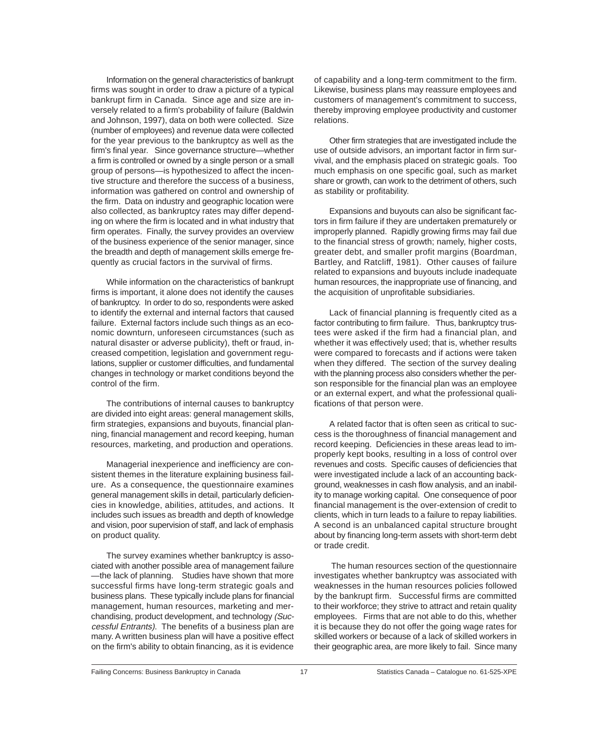Information on the general characteristics of bankrupt firms was sought in order to draw a picture of a typical bankrupt firm in Canada. Since age and size are inversely related to a firm's probability of failure (Baldwin and Johnson, 1997), data on both were collected. Size (number of employees) and revenue data were collected for the year previous to the bankruptcy as well as the firm's final year. Since governance structure—whether a firm is controlled or owned by a single person or a small group of persons—is hypothesized to affect the incentive structure and therefore the success of a business, information was gathered on control and ownership of the firm. Data on industry and geographic location were also collected, as bankruptcy rates may differ depending on where the firm is located and in what industry that firm operates. Finally, the survey provides an overview of the business experience of the senior manager, since the breadth and depth of management skills emerge frequently as crucial factors in the survival of firms.

While information on the characteristics of bankrupt firms is important, it alone does not identify the causes of bankruptcy. In order to do so, respondents were asked to identify the external and internal factors that caused failure. External factors include such things as an economic downturn, unforeseen circumstances (such as natural disaster or adverse publicity), theft or fraud, increased competition, legislation and government regulations, supplier or customer difficulties, and fundamental changes in technology or market conditions beyond the control of the firm.

The contributions of internal causes to bankruptcy are divided into eight areas: general management skills, firm strategies, expansions and buyouts, financial planning, financial management and record keeping, human resources, marketing, and production and operations.

Managerial inexperience and inefficiency are consistent themes in the literature explaining business failure. As a consequence, the questionnaire examines general management skills in detail, particularly deficiencies in knowledge, abilities, attitudes, and actions. It includes such issues as breadth and depth of knowledge and vision, poor supervision of staff, and lack of emphasis on product quality.

The survey examines whether bankruptcy is associated with another possible area of management failure —the lack of planning. Studies have shown that more successful firms have long-term strategic goals and business plans. These typically include plans for financial management, human resources, marketing and merchandising, product development, and technology (Successful Entrants). The benefits of a business plan are many. A written business plan will have a positive effect on the firm's ability to obtain financing, as it is evidence

of capability and a long-term commitment to the firm. Likewise, business plans may reassure employees and customers of management's commitment to success, thereby improving employee productivity and customer relations.

Other firm strategies that are investigated include the use of outside advisors, an important factor in firm survival, and the emphasis placed on strategic goals. Too much emphasis on one specific goal, such as market share or growth, can work to the detriment of others, such as stability or profitability.

Expansions and buyouts can also be significant factors in firm failure if they are undertaken prematurely or improperly planned. Rapidly growing firms may fail due to the financial stress of growth; namely, higher costs, greater debt, and smaller profit margins (Boardman, Bartley, and Ratcliff, 1981). Other causes of failure related to expansions and buyouts include inadequate human resources, the inappropriate use of financing, and the acquisition of unprofitable subsidiaries.

Lack of financial planning is frequently cited as a factor contributing to firm failure. Thus, bankruptcy trustees were asked if the firm had a financial plan, and whether it was effectively used; that is, whether results were compared to forecasts and if actions were taken when they differed. The section of the survey dealing with the planning process also considers whether the person responsible for the financial plan was an employee or an external expert, and what the professional qualifications of that person were.

A related factor that is often seen as critical to success is the thoroughness of financial management and record keeping. Deficiencies in these areas lead to improperly kept books, resulting in a loss of control over revenues and costs. Specific causes of deficiencies that were investigated include a lack of an accounting background, weaknesses in cash flow analysis, and an inability to manage working capital. One consequence of poor financial management is the over-extension of credit to clients, which in turn leads to a failure to repay liabilities. A second is an unbalanced capital structure brought about by financing long-term assets with short-term debt or trade credit.

 The human resources section of the questionnaire investigates whether bankruptcy was associated with weaknesses in the human resources policies followed by the bankrupt firm. Successful firms are committed to their workforce; they strive to attract and retain quality employees. Firms that are not able to do this, whether it is because they do not offer the going wage rates for skilled workers or because of a lack of skilled workers in their geographic area, are more likely to fail. Since many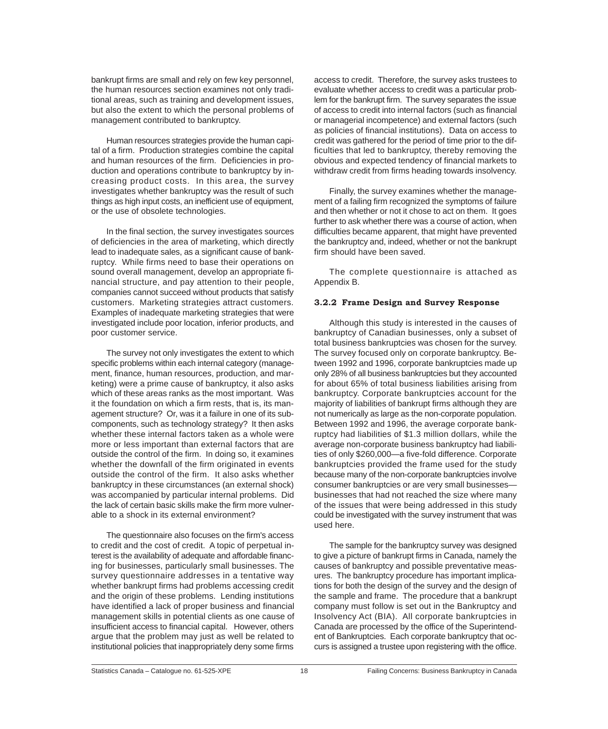<span id="page-19-0"></span>bankrupt firms are small and rely on few key personnel, the human resources section examines not only traditional areas, such as training and development issues, but also the extent to which the personal problems of management contributed to bankruptcy.

Human resources strategies provide the human capital of a firm. Production strategies combine the capital and human resources of the firm. Deficiencies in production and operations contribute to bankruptcy by increasing product costs. In this area, the survey investigates whether bankruptcy was the result of such things as high input costs, an inefficient use of equipment, or the use of obsolete technologies.

In the final section, the survey investigates sources of deficiencies in the area of marketing, which directly lead to inadequate sales, as a significant cause of bankruptcy. While firms need to base their operations on sound overall management, develop an appropriate financial structure, and pay attention to their people, companies cannot succeed without products that satisfy customers. Marketing strategies attract customers. Examples of inadequate marketing strategies that were investigated include poor location, inferior products, and poor customer service.

The survey not only investigates the extent to which specific problems within each internal category (management, finance, human resources, production, and marketing) were a prime cause of bankruptcy, it also asks which of these areas ranks as the most important. Was it the foundation on which a firm rests, that is, its management structure? Or, was it a failure in one of its subcomponents, such as technology strategy? It then asks whether these internal factors taken as a whole were more or less important than external factors that are outside the control of the firm. In doing so, it examines whether the downfall of the firm originated in events outside the control of the firm. It also asks whether bankruptcy in these circumstances (an external shock) was accompanied by particular internal problems. Did the lack of certain basic skills make the firm more vulnerable to a shock in its external environment?

The questionnaire also focuses on the firm's access to credit and the cost of credit. A topic of perpetual interest is the availability of adequate and affordable financing for businesses, particularly small businesses. The survey questionnaire addresses in a tentative way whether bankrupt firms had problems accessing credit and the origin of these problems. Lending institutions have identified a lack of proper business and financial management skills in potential clients as one cause of insufficient access to financial capital. However, others argue that the problem may just as well be related to institutional policies that inappropriately deny some firms

access to credit. Therefore, the survey asks trustees to evaluate whether access to credit was a particular problem for the bankrupt firm. The survey separates the issue of access to credit into internal factors (such as financial or managerial incompetence) and external factors (such as policies of financial institutions). Data on access to credit was gathered for the period of time prior to the difficulties that led to bankruptcy, thereby removing the obvious and expected tendency of financial markets to withdraw credit from firms heading towards insolvency.

Finally, the survey examines whether the management of a failing firm recognized the symptoms of failure and then whether or not it chose to act on them. It goes further to ask whether there was a course of action, when difficulties became apparent, that might have prevented the bankruptcy and, indeed, whether or not the bankrupt firm should have been saved.

The complete questionnaire is attached as Appendix B.

#### **3.2.2 Frame Design and Survey Response**

Although this study is interested in the causes of bankruptcy of Canadian businesses, only a subset of total business bankruptcies was chosen for the survey. The survey focused only on corporate bankruptcy. Between 1992 and 1996, corporate bankruptcies made up only 28% of all business bankruptcies but they accounted for about 65% of total business liabilities arising from bankruptcy. Corporate bankruptcies account for the majority of liabilities of bankrupt firms although they are not numerically as large as the non-corporate population. Between 1992 and 1996, the average corporate bankruptcy had liabilities of \$1.3 million dollars, while the average non-corporate business bankruptcy had liabilities of only \$260,000—a five-fold difference. Corporate bankruptcies provided the frame used for the study because many of the non-corporate bankruptcies involve consumer bankruptcies or are very small businesses businesses that had not reached the size where many of the issues that were being addressed in this study could be investigated with the survey instrument that was used here.

The sample for the bankruptcy survey was designed to give a picture of bankrupt firms in Canada, namely the causes of bankruptcy and possible preventative measures. The bankruptcy procedure has important implications for both the design of the survey and the design of the sample and frame. The procedure that a bankrupt company must follow is set out in the Bankruptcy and Insolvency Act (BIA). All corporate bankruptcies in Canada are processed by the office of the Superintendent of Bankruptcies. Each corporate bankruptcy that occurs is assigned a trustee upon registering with the office.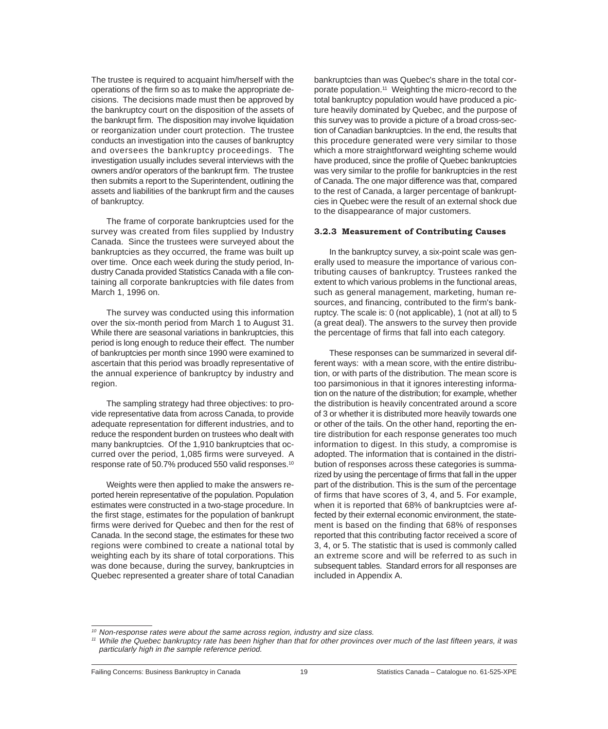<span id="page-20-0"></span>The trustee is required to acquaint him/herself with the operations of the firm so as to make the appropriate decisions. The decisions made must then be approved by the bankruptcy court on the disposition of the assets of the bankrupt firm. The disposition may involve liquidation or reorganization under court protection. The trustee conducts an investigation into the causes of bankruptcy and oversees the bankruptcy proceedings. The investigation usually includes several interviews with the owners and/or operators of the bankrupt firm. The trustee then submits a report to the Superintendent, outlining the assets and liabilities of the bankrupt firm and the causes of bankruptcy.

The frame of corporate bankruptcies used for the survey was created from files supplied by Industry Canada. Since the trustees were surveyed about the bankruptcies as they occurred, the frame was built up over time. Once each week during the study period, Industry Canada provided Statistics Canada with a file containing all corporate bankruptcies with file dates from March 1, 1996 on.

The survey was conducted using this information over the six-month period from March 1 to August 31. While there are seasonal variations in bankruptcies, this period is long enough to reduce their effect. The number of bankruptcies per month since 1990 were examined to ascertain that this period was broadly representative of the annual experience of bankruptcy by industry and region.

The sampling strategy had three objectives: to provide representative data from across Canada, to provide adequate representation for different industries, and to reduce the respondent burden on trustees who dealt with many bankruptcies. Of the 1,910 bankruptcies that occurred over the period, 1,085 firms were surveyed. A response rate of 50.7% produced 550 valid responses.10

Weights were then applied to make the answers reported herein representative of the population. Population estimates were constructed in a two-stage procedure. In the first stage, estimates for the population of bankrupt firms were derived for Quebec and then for the rest of Canada. In the second stage, the estimates for these two regions were combined to create a national total by weighting each by its share of total corporations. This was done because, during the survey, bankruptcies in Quebec represented a greater share of total Canadian bankruptcies than was Quebec's share in the total corporate population.11 Weighting the micro-record to the total bankruptcy population would have produced a picture heavily dominated by Quebec, and the purpose of this survey was to provide a picture of a broad cross-section of Canadian bankruptcies. In the end, the results that this procedure generated were very similar to those which a more straightforward weighting scheme would have produced, since the profile of Quebec bankruptcies was very similar to the profile for bankruptcies in the rest of Canada. The one major difference was that, compared to the rest of Canada, a larger percentage of bankruptcies in Quebec were the result of an external shock due to the disappearance of major customers.

#### **3.2.3 Measurement of Contributing Causes**

In the bankruptcy survey, a six-point scale was generally used to measure the importance of various contributing causes of bankruptcy. Trustees ranked the extent to which various problems in the functional areas, such as general management, marketing, human resources, and financing, contributed to the firm's bankruptcy. The scale is: 0 (not applicable), 1 (not at all) to 5 (a great deal). The answers to the survey then provide the percentage of firms that fall into each category.

These responses can be summarized in several different ways: with a mean score, with the entire distribution, or with parts of the distribution. The mean score is too parsimonious in that it ignores interesting information on the nature of the distribution; for example, whether the distribution is heavily concentrated around a score of 3 or whether it is distributed more heavily towards one or other of the tails. On the other hand, reporting the entire distribution for each response generates too much information to digest. In this study, a compromise is adopted. The information that is contained in the distribution of responses across these categories is summarized by using the percentage of firms that fall in the upper part of the distribution. This is the sum of the percentage of firms that have scores of 3, 4, and 5. For example, when it is reported that 68% of bankruptcies were affected by their external economic environment, the statement is based on the finding that 68% of responses reported that this contributing factor received a score of 3, 4, or 5. The statistic that is used is commonly called an extreme score and will be referred to as such in subsequent tables. Standard errors for all responses are included in Appendix A.

<sup>&</sup>lt;sup>10</sup> Non-response rates were about the same across region, industry and size class.

<sup>11</sup> While the Quebec bankruptcy rate has been higher than that for other provinces over much of the last fifteen years, it was particularly high in the sample reference period.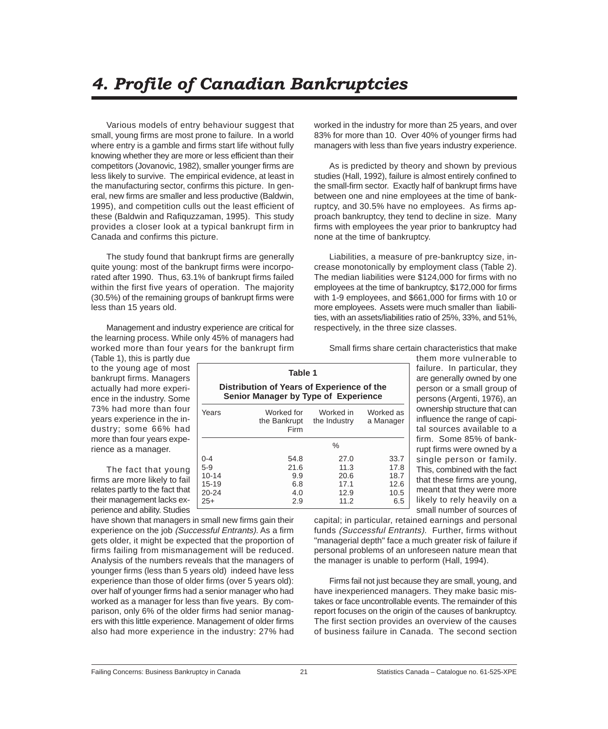## <span id="page-22-0"></span>*4. Profile of Canadian Bankruptcies*

Various models of entry behaviour suggest that small, young firms are most prone to failure. In a world where entry is a gamble and firms start life without fully knowing whether they are more or less efficient than their competitors (Jovanovic, 1982), smaller younger firms are less likely to survive. The empirical evidence, at least in the manufacturing sector, confirms this picture. In general, new firms are smaller and less productive (Baldwin, 1995), and competition culls out the least efficient of these (Baldwin and Rafiquzzaman, 1995). This study provides a closer look at a typical bankrupt firm in Canada and confirms this picture.

The study found that bankrupt firms are generally quite young: most of the bankrupt firms were incorporated after 1990. Thus, 63.1% of bankrupt firms failed within the first five years of operation. The majority (30.5%) of the remaining groups of bankrupt firms were less than 15 years old.

Management and industry experience are critical for the learning process. While only 45% of managers had worked more than four years for the bankrupt firm

(Table 1), this is partly due to the young age of most bankrupt firms. Managers actually had more experience in the industry. Some 73% had more than four years experience in the industry; some 66% had more than four years experience as a manager.

The fact that young firms are more likely to fail relates partly to the fact that their management lacks experience and ability. Studies

have shown that managers in small new firms gain their experience on the job (Successful Entrants). As a firm gets older, it might be expected that the proportion of firms failing from mismanagement will be reduced. Analysis of the numbers reveals that the managers of younger firms (less than 5 years old) indeed have less experience than those of older firms (over 5 years old): over half of younger firms had a senior manager who had worked as a manager for less than five years. By comparison, only 6% of the older firms had senior managers with this little experience. Management of older firms also had more experience in the industry: 27% had

worked in the industry for more than 25 years, and over 83% for more than 10. Over 40% of younger firms had managers with less than five years industry experience.

As is predicted by theory and shown by previous studies (Hall, 1992), failure is almost entirely confined to the small-firm sector. Exactly half of bankrupt firms have between one and nine employees at the time of bankruptcy, and 30.5% have no employees. As firms approach bankruptcy, they tend to decline in size. Many firms with employees the year prior to bankruptcy had none at the time of bankruptcy.

Liabilities, a measure of pre-bankruptcy size, increase monotonically by employment class (Table 2). The median liabilities were \$124,000 for firms with no employees at the time of bankruptcy, \$172,000 for firms with 1-9 employees, and \$661,000 for firms with 10 or more employees. Assets were much smaller than liabilities, with an assets/liabilities ratio of 25%, 33%, and 51%, respectively, in the three size classes.

Small firms share certain characteristics that make

them more vulnerable to failure. In particular, they are generally owned by one person or a small group of persons (Argenti, 1976), an ownership structure that can influence the range of capital sources available to a firm. Some 85% of bankrupt firms were owned by a single person or family. This, combined with the fact that these firms are young, meant that they were more likely to rely heavily on a small number of sources of

capital; in particular, retained earnings and personal funds (Successful Entrants). Further, firms without "managerial depth" face a much greater risk of failure if personal problems of an unforeseen nature mean that the manager is unable to perform (Hall, 1994).

Firms fail not just because they are small, young, and have inexperienced managers. They make basic mistakes or face uncontrollable events. The remainder of this report focuses on the origin of the causes of bankruptcy. The first section provides an overview of the causes of business failure in Canada. The second section

**Table 1 Distribution of Years of Experience of the Senior Manager by Type of Experience**

Years Worked for Worked in Worked as<br>the Bankrupt the Industry a Manager

0-4 54.8 27.0 33.7 5-9 21.6 11.3 17.8 10-14 9.9 20.6 18.7 15-19 6.8 17.1 12.6 20-24 4.0 12.9 10.5 25+ 2.9 11.2 6.5

%

the Bankrupt Firm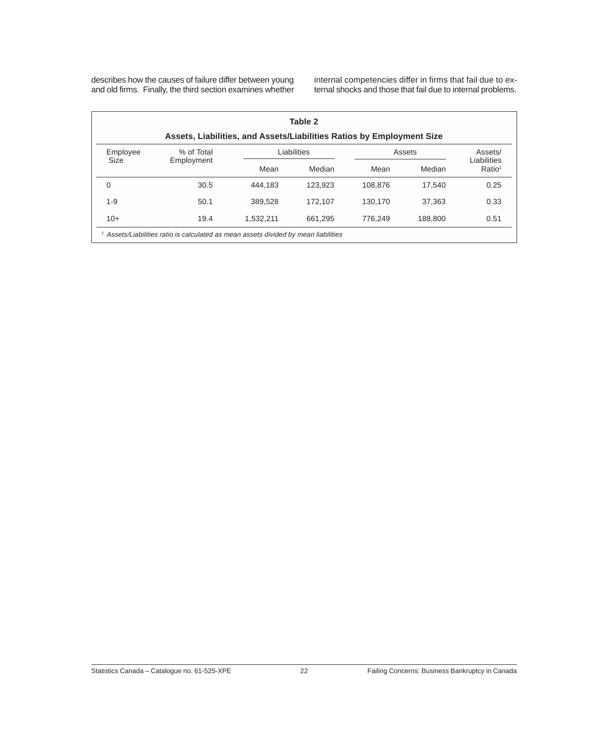describes how the causes of failure differ between young and old firms. Finally, the third section examines whether internal competencies differ in firms that fail due to external shocks and those that fail due to internal problems.

| Table 2                                                                             |            |           |             |         |         |                                   |  |  |  |
|-------------------------------------------------------------------------------------|------------|-----------|-------------|---------|---------|-----------------------------------|--|--|--|
| Assets, Liabilities, and Assets/Liabilities Ratios by Employment Size               |            |           |             |         |         |                                   |  |  |  |
| Employee                                                                            | % of Total |           | Liabilities |         | Assets  |                                   |  |  |  |
| Size                                                                                | Employment | Mean      | Median      | Mean    | Median  | Liabilities<br>Ratio <sup>1</sup> |  |  |  |
| 0                                                                                   | 30.5       | 444.183   | 123.923     | 108.876 | 17.540  | 0.25                              |  |  |  |
| $1 - 9$                                                                             | 50.1       | 389.528   | 172,107     | 130.170 | 37.363  | 0.33                              |  |  |  |
| $10+$                                                                               | 19.4       | 1.532.211 | 661.295     | 776.249 | 188,800 | 0.51                              |  |  |  |
| 1 Assets/Liabilities ratio is calculated as mean assets divided by mean liabilities |            |           |             |         |         |                                   |  |  |  |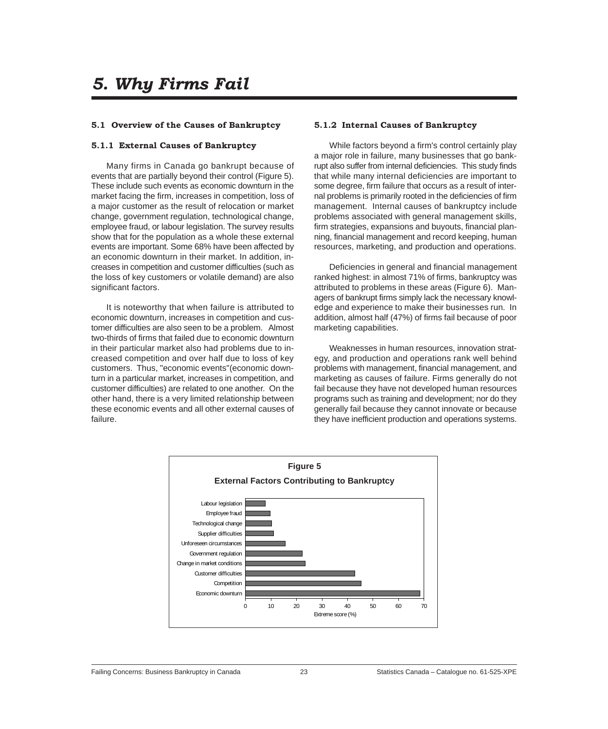#### <span id="page-24-0"></span>**5.1 Overview of the Causes of Bankruptcy**

#### **5.1.1 External Causes of Bankruptcy**

Many firms in Canada go bankrupt because of events that are partially beyond their control (Figure 5). These include such events as economic downturn in the market facing the firm, increases in competition, loss of a major customer as the result of relocation or market change, government regulation, technological change, employee fraud, or labour legislation. The survey results show that for the population as a whole these external events are important. Some 68% have been affected by an economic downturn in their market. In addition, increases in competition and customer difficulties (such as the loss of key customers or volatile demand) are also significant factors.

It is noteworthy that when failure is attributed to economic downturn, increases in competition and customer difficulties are also seen to be a problem. Almost two-thirds of firms that failed due to economic downturn in their particular market also had problems due to increased competition and over half due to loss of key customers. Thus, "economic events"(economic downturn in a particular market, increases in competition, and customer difficulties) are related to one another. On the other hand, there is a very limited relationship between these economic events and all other external causes of failure.

#### **5.1.2 Internal Causes of Bankruptcy**

While factors beyond a firm's control certainly play a major role in failure, many businesses that go bankrupt also suffer from internal deficiencies. This study finds that while many internal deficiencies are important to some degree, firm failure that occurs as a result of internal problems is primarily rooted in the deficiencies of firm management. Internal causes of bankruptcy include problems associated with general management skills, firm strategies, expansions and buyouts, financial planning, financial management and record keeping, human resources, marketing, and production and operations.

Deficiencies in general and financial management ranked highest: in almost 71% of firms, bankruptcy was attributed to problems in these areas (Figure 6). Managers of bankrupt firms simply lack the necessary knowledge and experience to make their businesses run. In addition, almost half (47%) of firms fail because of poor marketing capabilities.

Weaknesses in human resources, innovation strategy, and production and operations rank well behind problems with management, financial management, and marketing as causes of failure. Firms generally do not fail because they have not developed human resources programs such as training and development; nor do they generally fail because they cannot innovate or because they have inefficient production and operations systems.

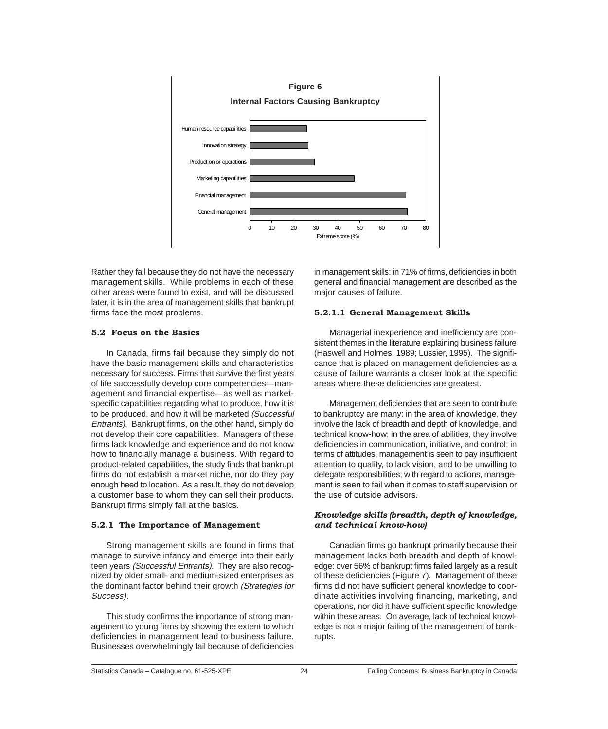<span id="page-25-0"></span>

Rather they fail because they do not have the necessary management skills. While problems in each of these other areas were found to exist, and will be discussed later, it is in the area of management skills that bankrupt firms face the most problems.

#### **5.2 Focus on the Basics**

In Canada, firms fail because they simply do not have the basic management skills and characteristics necessary for success. Firms that survive the first years of life successfully develop core competencies—management and financial expertise—as well as marketspecific capabilities regarding what to produce, how it is to be produced, and how it will be marketed (Successful Entrants). Bankrupt firms, on the other hand, simply do not develop their core capabilities. Managers of these firms lack knowledge and experience and do not know how to financially manage a business. With regard to product-related capabilities, the study finds that bankrupt firms do not establish a market niche, nor do they pay enough heed to location. As a result, they do not develop a customer base to whom they can sell their products. Bankrupt firms simply fail at the basics.

#### **5.2.1 The Importance of Management**

Strong management skills are found in firms that manage to survive infancy and emerge into their early teen years (Successful Entrants). They are also recognized by older small- and medium-sized enterprises as the dominant factor behind their growth (Strategies for Success).

This study confirms the importance of strong management to young firms by showing the extent to which deficiencies in management lead to business failure. Businesses overwhelmingly fail because of deficiencies

in management skills: in 71% of firms, deficiencies in both general and financial management are described as the major causes of failure.

#### **5.2.1.1 General Management Skills**

Managerial inexperience and inefficiency are consistent themes in the literature explaining business failure (Haswell and Holmes, 1989; Lussier, 1995). The significance that is placed on management deficiencies as a cause of failure warrants a closer look at the specific areas where these deficiencies are greatest.

Management deficiencies that are seen to contribute to bankruptcy are many: in the area of knowledge, they involve the lack of breadth and depth of knowledge, and technical know-how; in the area of abilities, they involve deficiencies in communication, initiative, and control; in terms of attitudes, management is seen to pay insufficient attention to quality, to lack vision, and to be unwilling to delegate responsibilities; with regard to actions, management is seen to fail when it comes to staff supervision or the use of outside advisors.

#### *Knowledge skills (breadth, depth of knowledge, and technical know-how)*

Canadian firms go bankrupt primarily because their management lacks both breadth and depth of knowledge: over 56% of bankrupt firms failed largely as a result of these deficiencies (Figure 7). Management of these firms did not have sufficient general knowledge to coordinate activities involving financing, marketing, and operations, nor did it have sufficient specific knowledge within these areas. On average, lack of technical knowledge is not a major failing of the management of bankrupts.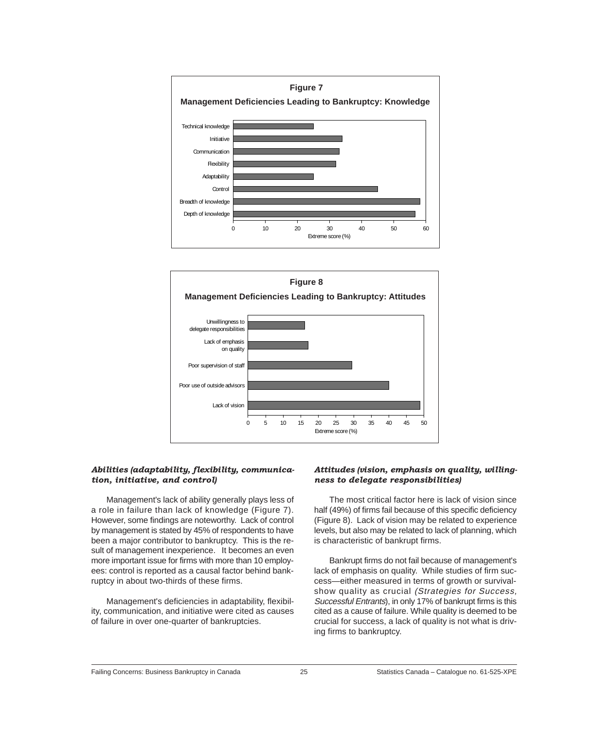



#### *Abilities (adaptability, flexibility, communication, initiative, and control)*

Management's lack of ability generally plays less of a role in failure than lack of knowledge (Figure 7). However, some findings are noteworthy. Lack of control by management is stated by 45% of respondents to have been a major contributor to bankruptcy. This is the result of management inexperience. It becomes an even more important issue for firms with more than 10 employees: control is reported as a causal factor behind bankruptcy in about two-thirds of these firms.

Management's deficiencies in adaptability, flexibility, communication, and initiative were cited as causes of failure in over one-quarter of bankruptcies.

#### *Attitudes (vision, emphasis on quality, willingness to delegate responsibilities)*

The most critical factor here is lack of vision since half (49%) of firms fail because of this specific deficiency (Figure 8). Lack of vision may be related to experience levels, but also may be related to lack of planning, which is characteristic of bankrupt firms.

Bankrupt firms do not fail because of management's lack of emphasis on quality. While studies of firm success—either measured in terms of growth or survivalshow quality as crucial (Strategies for Success, Successful Entrants), in only 17% of bankrupt firms is this cited as a cause of failure. While quality is deemed to be crucial for success, a lack of quality is not what is driving firms to bankruptcy.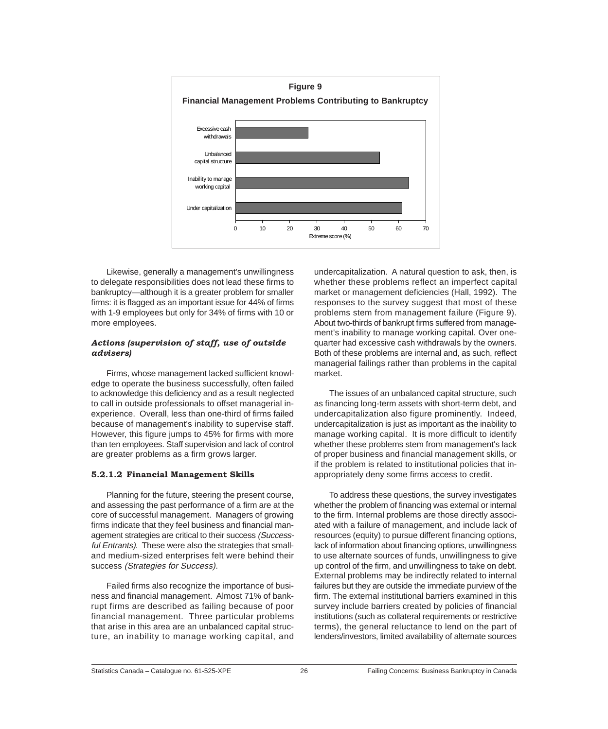<span id="page-27-0"></span>

Likewise, generally a management's unwillingness to delegate responsibilities does not lead these firms to bankruptcy—although it is a greater problem for smaller firms: it is flagged as an important issue for 44% of firms with 1-9 employees but only for 34% of firms with 10 or more employees.

#### *Actions (supervision of staff, use of outside advisers)*

Firms, whose management lacked sufficient knowledge to operate the business successfully, often failed to acknowledge this deficiency and as a result neglected to call in outside professionals to offset managerial inexperience. Overall, less than one-third of firms failed because of management's inability to supervise staff. However, this figure jumps to 45% for firms with more than ten employees. Staff supervision and lack of control are greater problems as a firm grows larger.

#### **5.2.1.2 Financial Management Skills**

Planning for the future, steering the present course, and assessing the past performance of a firm are at the core of successful management. Managers of growing firms indicate that they feel business and financial management strategies are critical to their success (Successful Entrants). These were also the strategies that smalland medium-sized enterprises felt were behind their success (Strategies for Success).

Failed firms also recognize the importance of business and financial management. Almost 71% of bankrupt firms are described as failing because of poor financial management. Three particular problems that arise in this area are an unbalanced capital structure, an inability to manage working capital, and

undercapitalization. A natural question to ask, then, is whether these problems reflect an imperfect capital market or management deficiencies (Hall, 1992). The responses to the survey suggest that most of these problems stem from management failure (Figure 9). About two-thirds of bankrupt firms suffered from management's inability to manage working capital. Over onequarter had excessive cash withdrawals by the owners. Both of these problems are internal and, as such, reflect managerial failings rather than problems in the capital market.

The issues of an unbalanced capital structure, such as financing long-term assets with short-term debt, and undercapitalization also figure prominently. Indeed, undercapitalization is just as important as the inability to manage working capital. It is more difficult to identify whether these problems stem from management's lack of proper business and financial management skills, or if the problem is related to institutional policies that inappropriately deny some firms access to credit.

To address these questions, the survey investigates whether the problem of financing was external or internal to the firm. Internal problems are those directly associated with a failure of management, and include lack of resources (equity) to pursue different financing options, lack of information about financing options, unwillingness to use alternate sources of funds, unwillingness to give up control of the firm, and unwillingness to take on debt. External problems may be indirectly related to internal failures but they are outside the immediate purview of the firm. The external institutional barriers examined in this survey include barriers created by policies of financial institutions (such as collateral requirements or restrictive terms), the general reluctance to lend on the part of lenders/investors, limited availability of alternate sources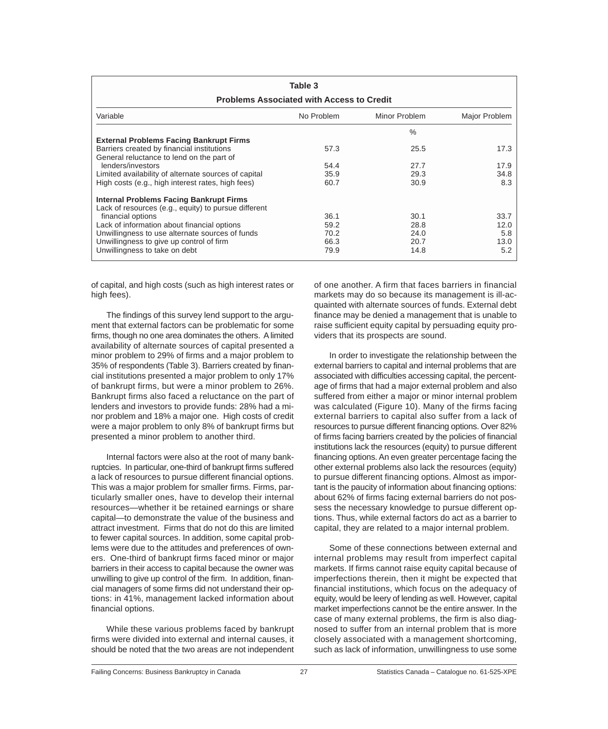| Table 3<br><b>Problems Associated with Access to Credit</b>                                                                                                                 |                      |                       |                     |  |  |  |  |
|-----------------------------------------------------------------------------------------------------------------------------------------------------------------------------|----------------------|-----------------------|---------------------|--|--|--|--|
| Variable                                                                                                                                                                    | Minor Problem        | Major Problem         |                     |  |  |  |  |
| <b>External Problems Facing Bankrupt Firms</b><br>Barriers created by financial institutions                                                                                | 57.3                 | $\frac{0}{0}$<br>25.5 | 17.3                |  |  |  |  |
| General reluctance to lend on the part of<br>lenders/investors<br>Limited availability of alternate sources of capital<br>High costs (e.g., high interest rates, high fees) | 54.4<br>35.9<br>60.7 | 27.7<br>29.3<br>30.9  | 17.9<br>34.8<br>8.3 |  |  |  |  |
| <b>Internal Problems Facing Bankrupt Firms</b><br>Lack of resources (e.g., equity) to pursue different<br>financial options<br>Lack of information about financial options  | 36.1<br>59.2         | 30.1<br>28.8          | 33.7<br>12.0        |  |  |  |  |
| Unwillingness to use alternate sources of funds<br>Unwillingness to give up control of firm<br>Unwillingness to take on debt                                                | 70.2<br>66.3<br>79.9 | 24.0<br>20.7<br>14.8  | 5.8<br>13.0<br>5.2  |  |  |  |  |

of capital, and high costs (such as high interest rates or high fees).

The findings of this survey lend support to the argument that external factors can be problematic for some firms, though no one area dominates the others. A limited availability of alternate sources of capital presented a minor problem to 29% of firms and a major problem to 35% of respondents (Table 3). Barriers created by financial institutions presented a major problem to only 17% of bankrupt firms, but were a minor problem to 26%. Bankrupt firms also faced a reluctance on the part of lenders and investors to provide funds: 28% had a minor problem and 18% a major one. High costs of credit were a major problem to only 8% of bankrupt firms but presented a minor problem to another third.

Internal factors were also at the root of many bankruptcies. In particular, one-third of bankrupt firms suffered a lack of resources to pursue different financial options. This was a major problem for smaller firms. Firms, particularly smaller ones, have to develop their internal resources—whether it be retained earnings or share capital—to demonstrate the value of the business and attract investment. Firms that do not do this are limited to fewer capital sources. In addition, some capital problems were due to the attitudes and preferences of owners. One-third of bankrupt firms faced minor or major barriers in their access to capital because the owner was unwilling to give up control of the firm. In addition, financial managers of some firms did not understand their options: in 41%, management lacked information about financial options.

While these various problems faced by bankrupt firms were divided into external and internal causes, it should be noted that the two areas are not independent of one another. A firm that faces barriers in financial markets may do so because its management is ill-acquainted with alternate sources of funds. External debt finance may be denied a management that is unable to raise sufficient equity capital by persuading equity providers that its prospects are sound.

In order to investigate the relationship between the external barriers to capital and internal problems that are associated with difficulties accessing capital, the percentage of firms that had a major external problem and also suffered from either a major or minor internal problem was calculated (Figure 10). Many of the firms facing external barriers to capital also suffer from a lack of resources to pursue different financing options. Over 82% of firms facing barriers created by the policies of financial institutions lack the resources (equity) to pursue different financing options. An even greater percentage facing the other external problems also lack the resources (equity) to pursue different financing options. Almost as important is the paucity of information about financing options: about 62% of firms facing external barriers do not possess the necessary knowledge to pursue different options. Thus, while external factors do act as a barrier to capital, they are related to a major internal problem.

Some of these connections between external and internal problems may result from imperfect capital markets. If firms cannot raise equity capital because of imperfections therein, then it might be expected that financial institutions, which focus on the adequacy of equity, would be leery of lending as well. However, capital market imperfections cannot be the entire answer. In the case of many external problems, the firm is also diagnosed to suffer from an internal problem that is more closely associated with a management shortcoming, such as lack of information, unwillingness to use some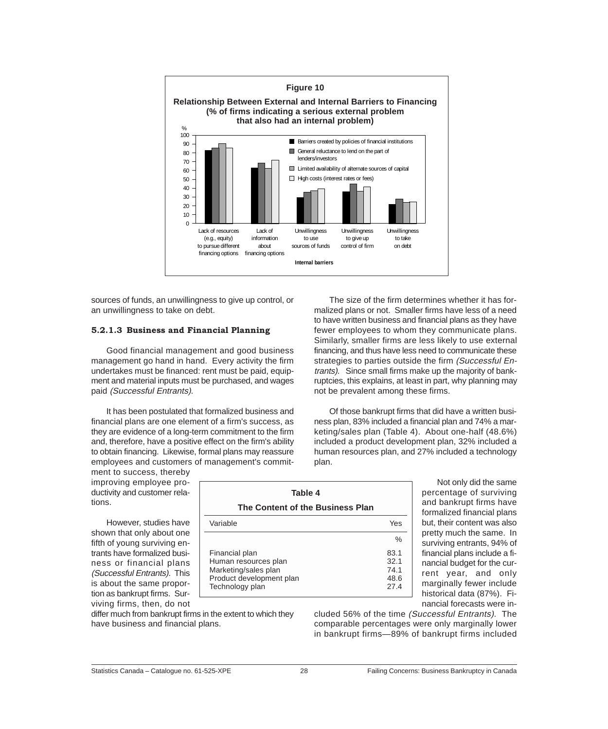<span id="page-29-0"></span>

sources of funds, an unwillingness to give up control, or an unwillingness to take on debt.

#### **5.2.1.3 Business and Financial Planning**

Good financial management and good business management go hand in hand. Every activity the firm undertakes must be financed: rent must be paid, equipment and material inputs must be purchased, and wages paid (Successful Entrants).

It has been postulated that formalized business and financial plans are one element of a firm's success, as they are evidence of a long-term commitment to the firm and, therefore, have a positive effect on the firm's ability to obtain financing. Likewise, formal plans may reassure employees and customers of management's commit-

ment to success, thereby improving employee productivity and customer relations.

However, studies have shown that only about one fifth of young surviving entrants have formalized business or financial plans (Successful Entrants). This is about the same proportion as bankrupt firms. Surviving firms, then, do not

differ much from bankrupt firms in the extent to which they have business and financial plans.

The size of the firm determines whether it has formalized plans or not. Smaller firms have less of a need to have written business and financial plans as they have fewer employees to whom they communicate plans. Similarly, smaller firms are less likely to use external financing, and thus have less need to communicate these strategies to parties outside the firm (Successful Entrants). Since small firms make up the majority of bankruptcies, this explains, at least in part, why planning may not be prevalent among these firms.

Of those bankrupt firms that did have a written business plan, 83% included a financial plan and 74% a marketing/sales plan (Table 4). About one-half (48.6%) included a product development plan, 32% included a human resources plan, and 27% included a technology plan.

> Not only did the same percentage of surviving and bankrupt firms have formalized financial plans but, their content was also pretty much the same. In surviving entrants, 94% of financial plans include a financial budget for the current year, and only marginally fewer include historical data (87%). Financial forecasts were in-

cluded 56% of the time (Successful Entrants). The comparable percentages were only marginally lower in bankrupt firms—89% of bankrupt firms included

%

**Table 4 The Content of the Business Plan** Variable **Yes** 

Financial plan 83.1 Human resources plan 32.1 Marketing/sales plan 74.1 Product development plan 48.6 Technology plan 27.4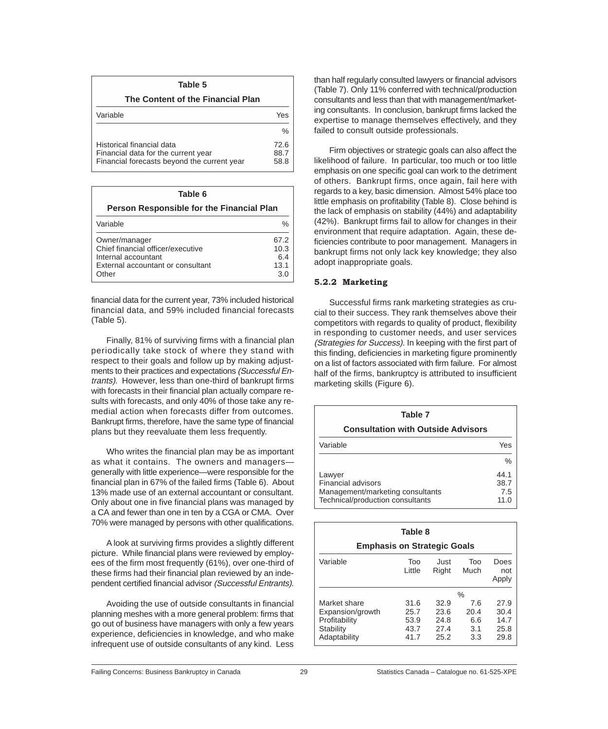<span id="page-30-0"></span>

| Table 5                                                                                                         |                      |
|-----------------------------------------------------------------------------------------------------------------|----------------------|
| The Content of the Financial Plan                                                                               |                      |
| Variable                                                                                                        | Yes                  |
|                                                                                                                 | $\frac{0}{0}$        |
| Historical financial data<br>Financial data for the current year<br>Financial forecasts beyond the current year | 72.6<br>88.7<br>58.8 |

| Table 6                                                                                                                 |                                    |  |  |  |  |
|-------------------------------------------------------------------------------------------------------------------------|------------------------------------|--|--|--|--|
| Person Responsible for the Financial Plan                                                                               |                                    |  |  |  |  |
| Variable                                                                                                                | $\frac{1}{2}$                      |  |  |  |  |
| Owner/manager<br>Chief financial officer/executive<br>Internal accountant<br>External accountant or consultant<br>Other | 67.2<br>10.3<br>6.4<br>13.1<br>3 C |  |  |  |  |

financial data for the current year, 73% included historical financial data, and 59% included financial forecasts (Table 5).

Finally, 81% of surviving firms with a financial plan periodically take stock of where they stand with respect to their goals and follow up by making adjustments to their practices and expectations (Successful Entrants). However, less than one-third of bankrupt firms with forecasts in their financial plan actually compare results with forecasts, and only 40% of those take any remedial action when forecasts differ from outcomes. Bankrupt firms, therefore, have the same type of financial plans but they reevaluate them less frequently.

Who writes the financial plan may be as important as what it contains. The owners and managers generally with little experience—were responsible for the financial plan in 67% of the failed firms (Table 6). About 13% made use of an external accountant or consultant. Only about one in five financial plans was managed by a CA and fewer than one in ten by a CGA or CMA. Over 70% were managed by persons with other qualifications.

A look at surviving firms provides a slightly different picture. While financial plans were reviewed by employees of the firm most frequently (61%), over one-third of these firms had their financial plan reviewed by an independent certified financial advisor (Successful Entrants).

Avoiding the use of outside consultants in financial planning meshes with a more general problem: firms that go out of business have managers with only a few years experience, deficiencies in knowledge, and who make infrequent use of outside consultants of any kind. Less

than half regularly consulted lawyers or financial advisors (Table 7). Only 11% conferred with technical/production consultants and less than that with management/marketing consultants. In conclusion, bankrupt firms lacked the expertise to manage themselves effectively, and they failed to consult outside professionals.

Firm objectives or strategic goals can also affect the likelihood of failure. In particular, too much or too little emphasis on one specific goal can work to the detriment of others. Bankrupt firms, once again, fail here with regards to a key, basic dimension. Almost 54% place too little emphasis on profitability (Table 8). Close behind is the lack of emphasis on stability (44%) and adaptability (42%). Bankrupt firms fail to allow for changes in their environment that require adaptation. Again, these deficiencies contribute to poor management. Managers in bankrupt firms not only lack key knowledge; they also adopt inappropriate goals.

#### **5.2.2 Marketing**

Successful firms rank marketing strategies as crucial to their success. They rank themselves above their competitors with regards to quality of product, flexibility in responding to customer needs, and user services (Strategies for Success). In keeping with the first part of this finding, deficiencies in marketing figure prominently on a list of factors associated with firm failure. For almost half of the firms, bankruptcy is attributed to insufficient marketing skills (Figure 6).

| Table 7                                                                                                     |                             |
|-------------------------------------------------------------------------------------------------------------|-----------------------------|
| <b>Consultation with Outside Advisors</b>                                                                   |                             |
| Variable                                                                                                    | Yes                         |
|                                                                                                             | $\frac{0}{0}$               |
| Lawyer<br><b>Financial advisors</b><br>Management/marketing consultants<br>Technical/production consultants | 44.1<br>38.7<br>7.5<br>11.0 |

| Table 8                                                                        |                                      |                                      |                                  |                                      |  |  |  |
|--------------------------------------------------------------------------------|--------------------------------------|--------------------------------------|----------------------------------|--------------------------------------|--|--|--|
| <b>Emphasis on Strategic Goals</b>                                             |                                      |                                      |                                  |                                      |  |  |  |
| Variable                                                                       | Too<br>Just<br>Little<br>Right       |                                      | Too<br>Much                      | Does<br>not<br>Apply                 |  |  |  |
|                                                                                |                                      |                                      | $\%$                             |                                      |  |  |  |
| Market share<br>Expansion/growth<br>Profitability<br>Stability<br>Adaptability | 31.6<br>25.7<br>53.9<br>43.7<br>41.7 | 32.9<br>23.6<br>24.8<br>27.4<br>25.2 | 7.6<br>20.4<br>6.6<br>3.1<br>3.3 | 27.9<br>30.4<br>14.7<br>25.8<br>29.8 |  |  |  |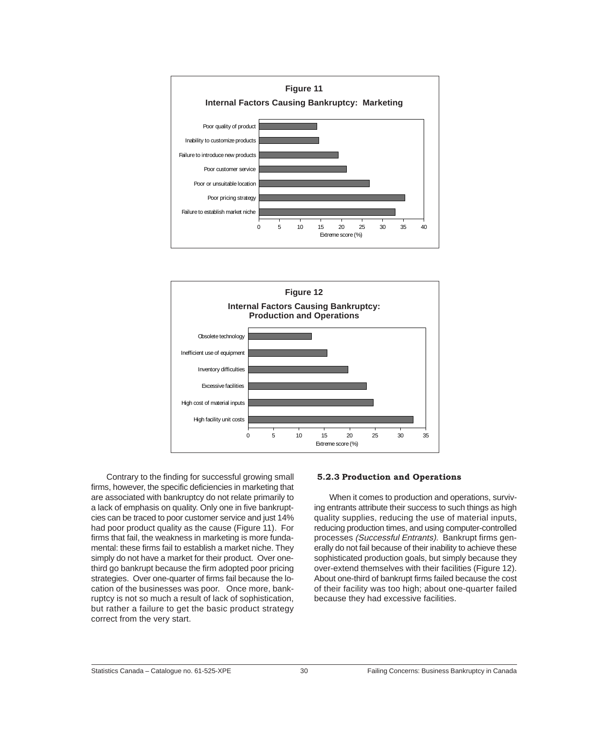<span id="page-31-0"></span>



Contrary to the finding for successful growing small firms, however, the specific deficiencies in marketing that are associated with bankruptcy do not relate primarily to a lack of emphasis on quality. Only one in five bankruptcies can be traced to poor customer service and just 14% had poor product quality as the cause (Figure 11). For firms that fail, the weakness in marketing is more fundamental: these firms fail to establish a market niche. They simply do not have a market for their product. Over onethird go bankrupt because the firm adopted poor pricing strategies. Over one-quarter of firms fail because the location of the businesses was poor. Once more, bankruptcy is not so much a result of lack of sophistication, but rather a failure to get the basic product strategy correct from the very start.

#### **5.2.3 Production and Operations**

When it comes to production and operations, surviving entrants attribute their success to such things as high quality supplies, reducing the use of material inputs, reducing production times, and using computer-controlled processes (Successful Entrants). Bankrupt firms generally do not fail because of their inability to achieve these sophisticated production goals, but simply because they over-extend themselves with their facilities (Figure 12). About one-third of bankrupt firms failed because the cost of their facility was too high; about one-quarter failed because they had excessive facilities.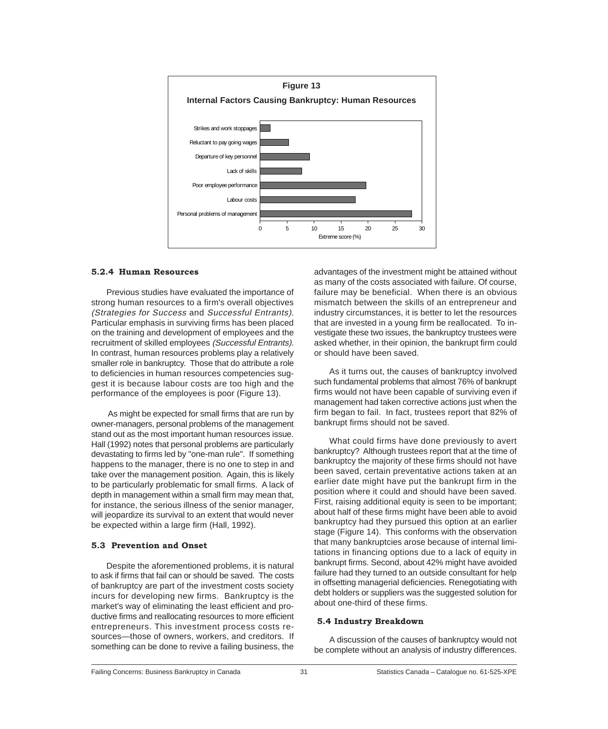<span id="page-32-0"></span>

#### **5.2.4 Human Resources**

Previous studies have evaluated the importance of strong human resources to a firm's overall objectives (Strategies for Success and Successful Entrants). Particular emphasis in surviving firms has been placed on the training and development of employees and the recruitment of skilled employees (Successful Entrants). In contrast, human resources problems play a relatively smaller role in bankruptcy. Those that do attribute a role to deficiencies in human resources competencies suggest it is because labour costs are too high and the performance of the employees is poor (Figure 13).

 As might be expected for small firms that are run by owner-managers, personal problems of the management stand out as the most important human resources issue. Hall (1992) notes that personal problems are particularly devastating to firms led by "one-man rule". If something happens to the manager, there is no one to step in and take over the management position. Again, this is likely to be particularly problematic for small firms. A lack of depth in management within a small firm may mean that, for instance, the serious illness of the senior manager, will jeopardize its survival to an extent that would never be expected within a large firm (Hall, 1992).

#### **5.3 Prevention and Onset**

Despite the aforementioned problems, it is natural to ask if firms that fail can or should be saved. The costs of bankruptcy are part of the investment costs society incurs for developing new firms. Bankruptcy is the market's way of eliminating the least efficient and productive firms and reallocating resources to more efficient entrepreneurs. This investment process costs resources—those of owners, workers, and creditors. If something can be done to revive a failing business, the

advantages of the investment might be attained without as many of the costs associated with failure. Of course, failure may be beneficial. When there is an obvious mismatch between the skills of an entrepreneur and industry circumstances, it is better to let the resources that are invested in a young firm be reallocated. To investigate these two issues, the bankruptcy trustees were asked whether, in their opinion, the bankrupt firm could or should have been saved.

As it turns out, the causes of bankruptcy involved such fundamental problems that almost 76% of bankrupt firms would not have been capable of surviving even if management had taken corrective actions just when the firm began to fail. In fact, trustees report that 82% of bankrupt firms should not be saved.

What could firms have done previously to avert bankruptcy? Although trustees report that at the time of bankruptcy the majority of these firms should not have been saved, certain preventative actions taken at an earlier date might have put the bankrupt firm in the position where it could and should have been saved. First, raising additional equity is seen to be important; about half of these firms might have been able to avoid bankruptcy had they pursued this option at an earlier stage (Figure 14). This conforms with the observation that many bankruptcies arose because of internal limitations in financing options due to a lack of equity in bankrupt firms. Second, about 42% might have avoided failure had they turned to an outside consultant for help in offsetting managerial deficiencies. Renegotiating with debt holders or suppliers was the suggested solution for about one-third of these firms.

#### **5.4 Industry Breakdown**

A discussion of the causes of bankruptcy would not be complete without an analysis of industry differences.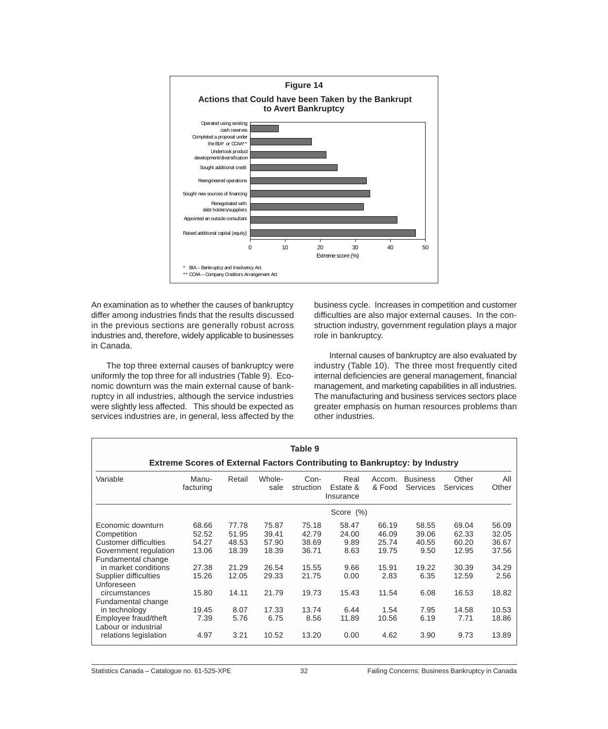

An examination as to whether the causes of bankruptcy differ among industries finds that the results discussed in the previous sections are generally robust across industries and, therefore, widely applicable to businesses in Canada.

The top three external causes of bankruptcy were uniformly the top three for all industries (Table 9). Economic downturn was the main external cause of bankruptcy in all industries, although the service industries were slightly less affected. This should be expected as services industries are, in general, less affected by the

business cycle. Increases in competition and customer difficulties are also major external causes. In the construction industry, government regulation plays a major role in bankruptcy.

Internal causes of bankruptcy are also evaluated by industry (Table 10). The three most frequently cited internal deficiencies are general management, financial management, and marketing capabilities in all industries. The manufacturing and business services sectors place greater emphasis on human resources problems than other industries.

|                                                                                                                                                                                                                                                         | <b>Extreme Scores of External Factors Contributing to Bankruptcy: by Industry</b> |                                                                             |                                                                              | Table 9                                                                      |                                                                          |                                                                             |                                                                          |                                                                              |                                                                              |
|---------------------------------------------------------------------------------------------------------------------------------------------------------------------------------------------------------------------------------------------------------|-----------------------------------------------------------------------------------|-----------------------------------------------------------------------------|------------------------------------------------------------------------------|------------------------------------------------------------------------------|--------------------------------------------------------------------------|-----------------------------------------------------------------------------|--------------------------------------------------------------------------|------------------------------------------------------------------------------|------------------------------------------------------------------------------|
| Variable                                                                                                                                                                                                                                                | Manu-<br>facturing                                                                | Retail                                                                      | Whole-<br>sale                                                               | Con-<br>struction                                                            | Real<br>Estate &<br>Insurance                                            | Accom.<br>& Food                                                            | <b>Business</b><br><b>Services</b>                                       | Other<br><b>Services</b>                                                     | All<br>Other                                                                 |
|                                                                                                                                                                                                                                                         |                                                                                   |                                                                             |                                                                              |                                                                              | Score (%)                                                                |                                                                             |                                                                          |                                                                              |                                                                              |
| Economic downturn<br>Competition<br>Customer difficulties<br>Government regulation<br>Fundamental change<br>in market conditions<br>Supplier difficulties<br>Unforeseen<br>circumstances<br>Fundamental change<br>in technology<br>Employee fraud/theft | 68.66<br>52.52<br>54.27<br>13.06<br>27.38<br>15.26<br>15.80<br>19.45<br>7.39      | 77.78<br>51.95<br>48.53<br>18.39<br>21.29<br>12.05<br>14.11<br>8.07<br>5.76 | 75.87<br>39.41<br>57.90<br>18.39<br>26.54<br>29.33<br>21.79<br>17.33<br>6.75 | 75.18<br>42.79<br>38.69<br>36.71<br>15.55<br>21.75<br>19.73<br>13.74<br>8.56 | 58.47<br>24.00<br>9.89<br>8.63<br>9.66<br>0.00<br>15.43<br>6.44<br>11.89 | 66.19<br>46.09<br>25.74<br>19.75<br>15.91<br>2.83<br>11.54<br>1.54<br>10.56 | 58.55<br>39.06<br>40.55<br>9.50<br>19.22<br>6.35<br>6.08<br>7.95<br>6.19 | 69.04<br>62.33<br>60.20<br>12.95<br>30.39<br>12.59<br>16.53<br>14.58<br>7.71 | 56.09<br>32.05<br>36.67<br>37.56<br>34.29<br>2.56<br>18.82<br>10.53<br>18.86 |
| Labour or industrial<br>relations legislation                                                                                                                                                                                                           | 4.97                                                                              | 3.21                                                                        | 10.52                                                                        | 13.20                                                                        | 0.00                                                                     | 4.62                                                                        | 3.90                                                                     | 9.73                                                                         | 13.89                                                                        |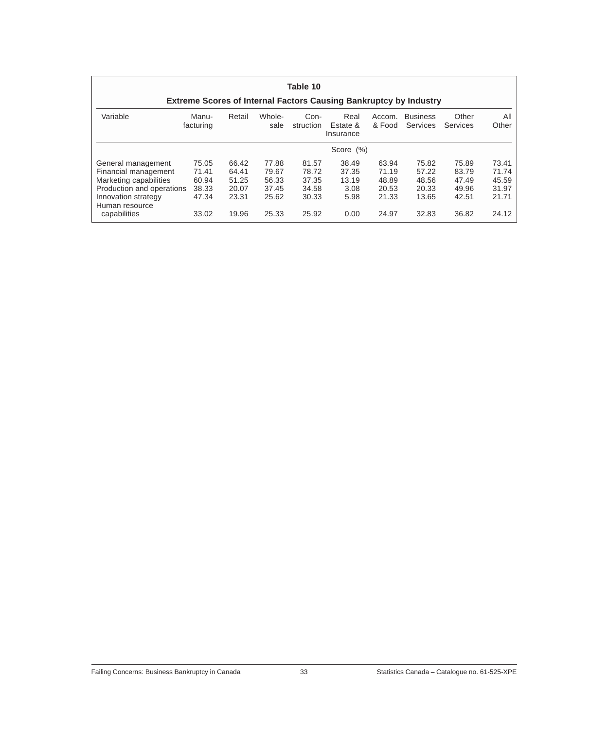| Table 10                                                                 |                    |        |                |                   |                               |                  |                             |                   |              |
|--------------------------------------------------------------------------|--------------------|--------|----------------|-------------------|-------------------------------|------------------|-----------------------------|-------------------|--------------|
| <b>Extreme Scores of Internal Factors Causing Bankruptcy by Industry</b> |                    |        |                |                   |                               |                  |                             |                   |              |
| Variable                                                                 | Manu-<br>facturing | Retail | Whole-<br>sale | Con-<br>struction | Real<br>Estate &<br>Insurance | Accom.<br>& Food | <b>Business</b><br>Services | Other<br>Services | All<br>Other |
|                                                                          |                    |        |                |                   | Score (%)                     |                  |                             |                   |              |
| General management                                                       | 75.05              | 66.42  | 77.88          | 81.57             | 38.49                         | 63.94            | 75.82                       | 75.89             | 73.41        |
| Financial management                                                     | 71.41              | 64.41  | 79.67          | 78.72             | 37.35                         | 71.19            | 57.22                       | 83.79             | 71.74        |
| Marketing capabilities                                                   | 60.94              | 51.25  | 56.33          | 37.35             | 13.19                         | 48.89            | 48.56                       | 47.49             | 45.59        |
| Production and operations                                                | 38.33              | 20.07  | 37.45          | 34.58             | 3.08                          | 20.53            | 20.33                       | 49.96             | 31.97        |
| Innovation strategy<br>Human resource                                    | 47.34              | 23.31  | 25.62          | 30.33             | 5.98                          | 21.33            | 13.65                       | 42.51             | 21.71        |
| capabilities                                                             | 33.02              | 19.96  | 25.33          | 25.92             | 0.00                          | 24.97            | 32.83                       | 36.82             | 24.12        |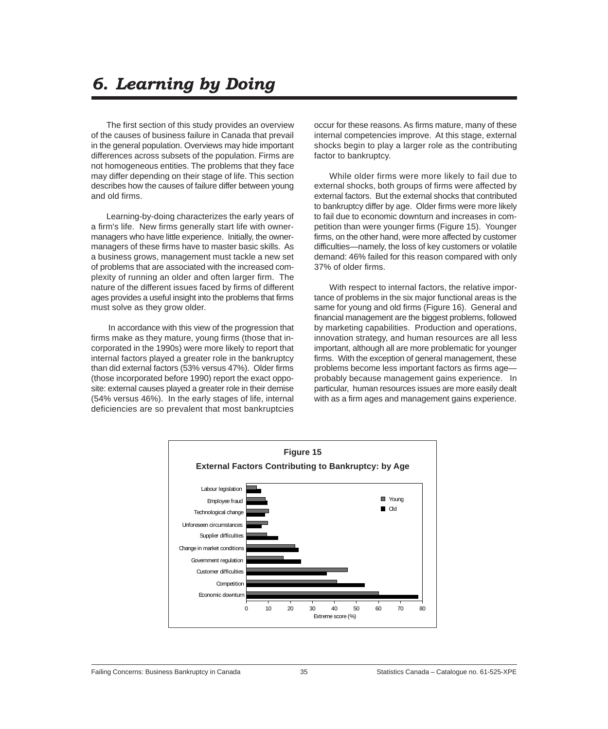# *6. Learning by Doing*

The first section of this study provides an overview of the causes of business failure in Canada that prevail in the general population. Overviews may hide important differences across subsets of the population. Firms are not homogeneous entities. The problems that they face may differ depending on their stage of life. This section describes how the causes of failure differ between young and old firms.

Learning-by-doing characterizes the early years of a firm's life. New firms generally start life with ownermanagers who have little experience. Initially, the ownermanagers of these firms have to master basic skills. As a business grows, management must tackle a new set of problems that are associated with the increased complexity of running an older and often larger firm. The nature of the different issues faced by firms of different ages provides a useful insight into the problems that firms must solve as they grow older.

 In accordance with this view of the progression that firms make as they mature, young firms (those that incorporated in the 1990s) were more likely to report that internal factors played a greater role in the bankruptcy than did external factors (53% versus 47%). Older firms (those incorporated before 1990) report the exact opposite: external causes played a greater role in their demise (54% versus 46%). In the early stages of life, internal deficiencies are so prevalent that most bankruptcies

occur for these reasons. As firms mature, many of these internal competencies improve. At this stage, external shocks begin to play a larger role as the contributing factor to bankruptcy.

While older firms were more likely to fail due to external shocks, both groups of firms were affected by external factors. But the external shocks that contributed to bankruptcy differ by age. Older firms were more likely to fail due to economic downturn and increases in competition than were younger firms (Figure 15). Younger firms, on the other hand, were more affected by customer difficulties—namely, the loss of key customers or volatile demand: 46% failed for this reason compared with only 37% of older firms.

With respect to internal factors, the relative importance of problems in the six major functional areas is the same for young and old firms (Figure 16). General and financial management are the biggest problems, followed by marketing capabilities. Production and operations, innovation strategy, and human resources are all less important, although all are more problematic for younger firms. With the exception of general management, these problems become less important factors as firms age probably because management gains experience. In particular, human resources issues are more easily dealt with as a firm ages and management gains experience.

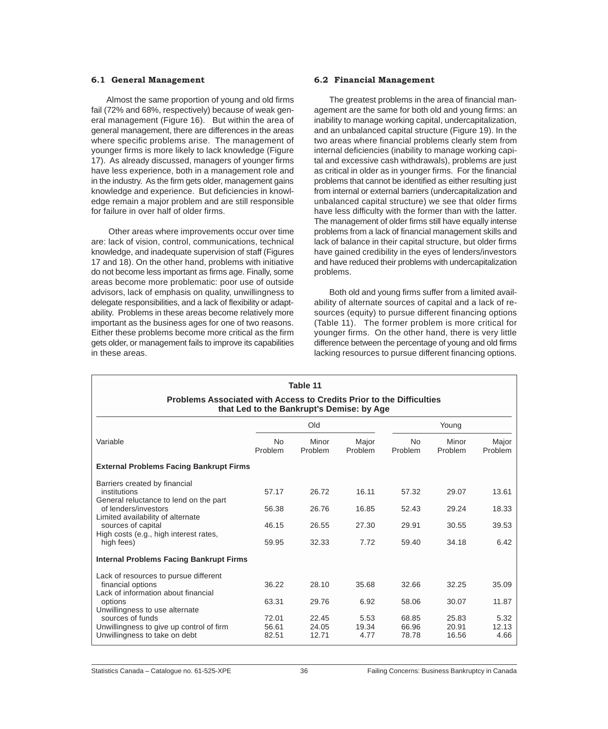#### **6.1 General Management**

Almost the same proportion of young and old firms fail (72% and 68%, respectively) because of weak general management (Figure 16). But within the area of general management, there are differences in the areas where specific problems arise. The management of younger firms is more likely to lack knowledge (Figure 17). As already discussed, managers of younger firms have less experience, both in a management role and in the industry. As the firm gets older, management gains knowledge and experience. But deficiencies in knowledge remain a major problem and are still responsible for failure in over half of older firms.

 Other areas where improvements occur over time are: lack of vision, control, communications, technical knowledge, and inadequate supervision of staff (Figures 17 and 18). On the other hand, problems with initiative do not become less important as firms age. Finally, some areas become more problematic: poor use of outside advisors, lack of emphasis on quality, unwillingness to delegate responsibilities, and a lack of flexibility or adaptability. Problems in these areas become relatively more important as the business ages for one of two reasons. Either these problems become more critical as the firm gets older, or management fails to improve its capabilities in these areas.

#### **6.2 Financial Management**

The greatest problems in the area of financial management are the same for both old and young firms: an inability to manage working capital, undercapitalization, and an unbalanced capital structure (Figure 19). In the two areas where financial problems clearly stem from internal deficiencies (inability to manage working capital and excessive cash withdrawals), problems are just as critical in older as in younger firms. For the financial problems that cannot be identified as either resulting just from internal or external barriers (undercapitalization and unbalanced capital structure) we see that older firms have less difficulty with the former than with the latter. The management of older firms still have equally intense problems from a lack of financial management skills and lack of balance in their capital structure, but older firms have gained credibility in the eyes of lenders/investors and have reduced their problems with undercapitalization problems.

Both old and young firms suffer from a limited availability of alternate sources of capital and a lack of resources (equity) to pursue different financing options (Table 11). The former problem is more critical for younger firms. On the other hand, there is very little difference between the percentage of young and old firms lacking resources to pursue different financing options.

|                                                                                                                          |                         | Table 11                |                       |                         |                         |                       |  |  |  |  |
|--------------------------------------------------------------------------------------------------------------------------|-------------------------|-------------------------|-----------------------|-------------------------|-------------------------|-----------------------|--|--|--|--|
| <b>Problems Associated with Access to Credits Prior to the Difficulties</b><br>that Led to the Bankrupt's Demise: by Age |                         |                         |                       |                         |                         |                       |  |  |  |  |
|                                                                                                                          |                         | Old                     |                       |                         | Young                   |                       |  |  |  |  |
| Variable                                                                                                                 | <b>No</b><br>Problem    | Minor<br>Problem        | Major<br>Problem      | <b>No</b><br>Problem    | Minor<br>Problem        | Major<br>Problem      |  |  |  |  |
| <b>External Problems Facing Bankrupt Firms</b>                                                                           |                         |                         |                       |                         |                         |                       |  |  |  |  |
| Barriers created by financial<br>institutions<br>General reluctance to lend on the part                                  | 57.17                   | 26.72                   | 16.11                 | 57.32                   | 29.07                   | 13.61                 |  |  |  |  |
| of lenders/investors<br>Limited availability of alternate                                                                | 56.38                   | 26.76                   | 16.85                 | 52.43                   | 29.24                   | 18.33                 |  |  |  |  |
| sources of capital<br>High costs (e.g., high interest rates,                                                             | 46.15                   | 26.55                   | 27.30                 | 29.91                   | 30.55                   | 39.53                 |  |  |  |  |
| high fees)                                                                                                               | 59.95                   | 32.33                   | 7.72                  | 59.40                   | 34.18                   | 6.42                  |  |  |  |  |
| <b>Internal Problems Facing Bankrupt Firms</b>                                                                           |                         |                         |                       |                         |                         |                       |  |  |  |  |
| Lack of resources to pursue different<br>financial options<br>Lack of information about financial                        | 36.22                   | 28.10                   | 35.68                 | 32.66                   | 32.25                   | 35.09                 |  |  |  |  |
| options<br>Unwillingness to use alternate                                                                                | 63.31                   | 29.76                   | 6.92                  | 58.06                   | 30.07                   | 11.87                 |  |  |  |  |
| sources of funds<br>Unwillingness to give up control of firm<br>Unwillingness to take on debt                            | 72.01<br>56.61<br>82.51 | 22.45<br>24.05<br>12.71 | 5.53<br>19.34<br>4.77 | 68.85<br>66.96<br>78.78 | 25.83<br>20.91<br>16.56 | 5.32<br>12.13<br>4.66 |  |  |  |  |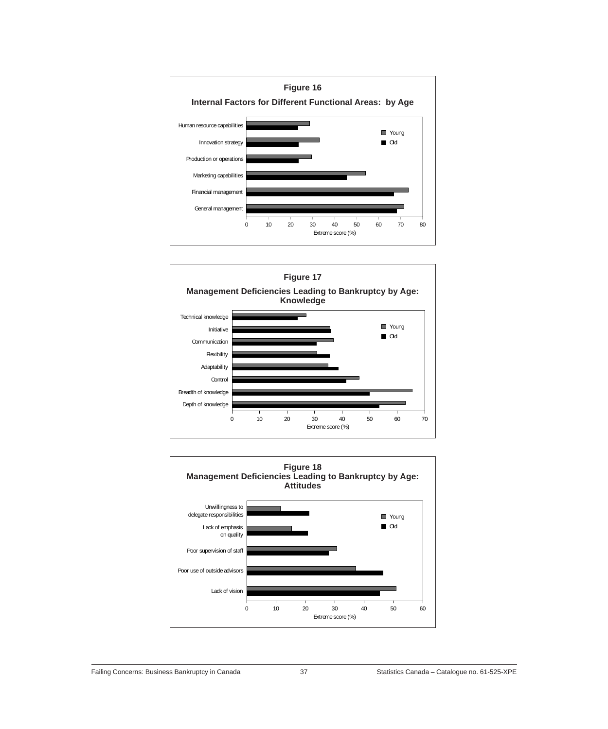



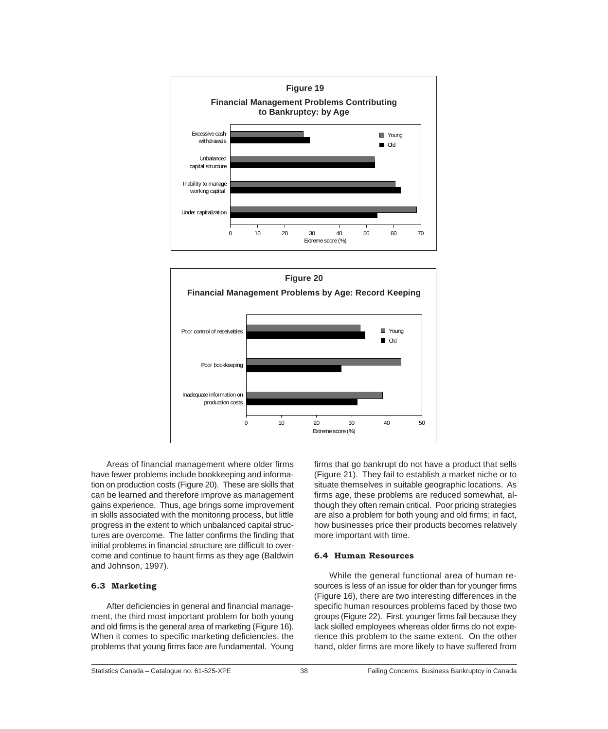



Areas of financial management where older firms have fewer problems include bookkeeping and information on production costs (Figure 20). These are skills that can be learned and therefore improve as management gains experience. Thus, age brings some improvement in skills associated with the monitoring process, but little progress in the extent to which unbalanced capital structures are overcome. The latter confirms the finding that initial problems in financial structure are difficult to overcome and continue to haunt firms as they age (Baldwin and Johnson, 1997).

## **6.3 Marketing**

After deficiencies in general and financial management, the third most important problem for both young and old firms is the general area of marketing (Figure 16). When it comes to specific marketing deficiencies, the problems that young firms face are fundamental. Young

firms that go bankrupt do not have a product that sells (Figure 21). They fail to establish a market niche or to situate themselves in suitable geographic locations. As firms age, these problems are reduced somewhat, although they often remain critical. Poor pricing strategies are also a problem for both young and old firms; in fact, how businesses price their products becomes relatively more important with time.

### **6.4 Human Resources**

While the general functional area of human resources is less of an issue for older than for younger firms (Figure 16), there are two interesting differences in the specific human resources problems faced by those two groups (Figure 22). First, younger firms fail because they lack skilled employees whereas older firms do not experience this problem to the same extent. On the other hand, older firms are more likely to have suffered from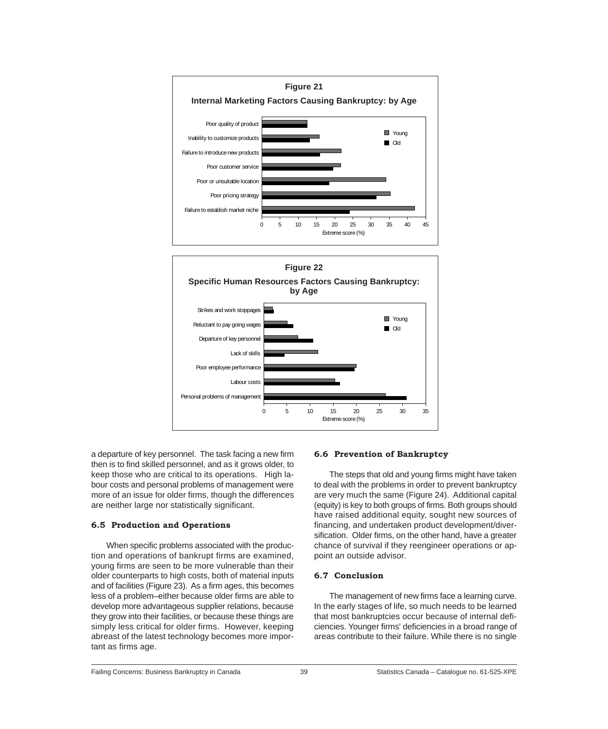



a departure of key personnel. The task facing a new firm then is to find skilled personnel, and as it grows older, to keep those who are critical to its operations. High labour costs and personal problems of management were more of an issue for older firms, though the differences are neither large nor statistically significant.

## **6.5 Production and Operations**

When specific problems associated with the production and operations of bankrupt firms are examined, young firms are seen to be more vulnerable than their older counterparts to high costs, both of material inputs and of facilities (Figure 23). As a firm ages, this becomes less of a problem–either because older firms are able to develop more advantageous supplier relations, because they grow into their facilities, or because these things are simply less critical for older firms. However, keeping abreast of the latest technology becomes more important as firms age.

## **6.6 Prevention of Bankruptcy**

The steps that old and young firms might have taken to deal with the problems in order to prevent bankruptcy are very much the same (Figure 24). Additional capital (equity) is key to both groups of firms. Both groups should have raised additional equity, sought new sources of financing, and undertaken product development/diversification. Older firms, on the other hand, have a greater chance of survival if they reengineer operations or appoint an outside advisor.

#### **6.7 Conclusion**

The management of new firms face a learning curve. In the early stages of life, so much needs to be learned that most bankruptcies occur because of internal deficiencies. Younger firms' deficiencies in a broad range of areas contribute to their failure. While there is no single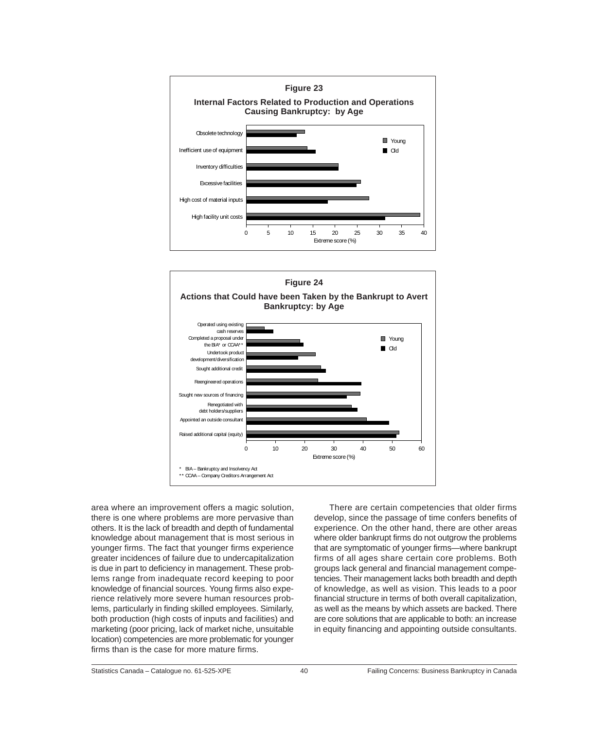



area where an improvement offers a magic solution, there is one where problems are more pervasive than others. It is the lack of breadth and depth of fundamental knowledge about management that is most serious in younger firms. The fact that younger firms experience greater incidences of failure due to undercapitalization is due in part to deficiency in management. These problems range from inadequate record keeping to poor knowledge of financial sources. Young firms also experience relatively more severe human resources problems, particularly in finding skilled employees. Similarly, both production (high costs of inputs and facilities) and marketing (poor pricing, lack of market niche, unsuitable location) competencies are more problematic for younger firms than is the case for more mature firms.

There are certain competencies that older firms develop, since the passage of time confers benefits of experience. On the other hand, there are other areas where older bankrupt firms do not outgrow the problems that are symptomatic of younger firms—where bankrupt firms of all ages share certain core problems. Both groups lack general and financial management competencies. Their management lacks both breadth and depth of knowledge, as well as vision. This leads to a poor financial structure in terms of both overall capitalization, as well as the means by which assets are backed. There are core solutions that are applicable to both: an increase in equity financing and appointing outside consultants.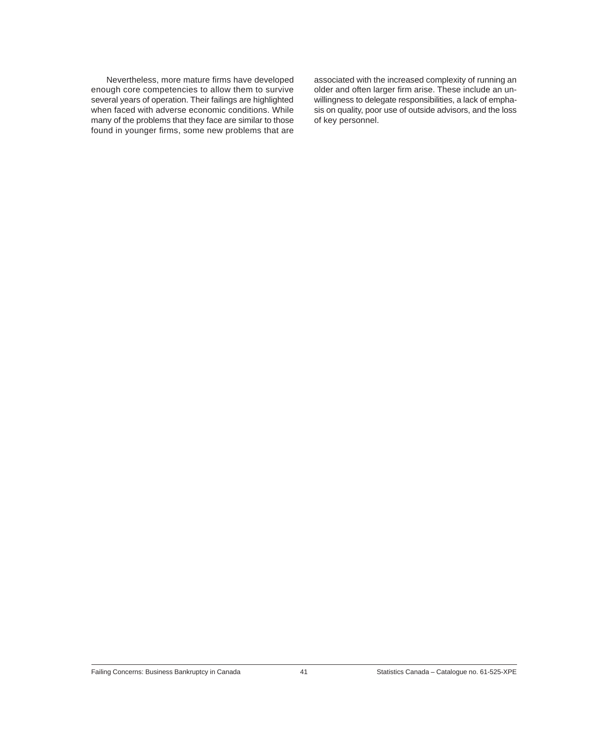Nevertheless, more mature firms have developed enough core competencies to allow them to survive several years of operation. Their failings are highlighted when faced with adverse economic conditions. While many of the problems that they face are similar to those found in younger firms, some new problems that are

associated with the increased complexity of running an older and often larger firm arise. These include an unwillingness to delegate responsibilities, a lack of emphasis on quality, poor use of outside advisors, and the loss of key personnel.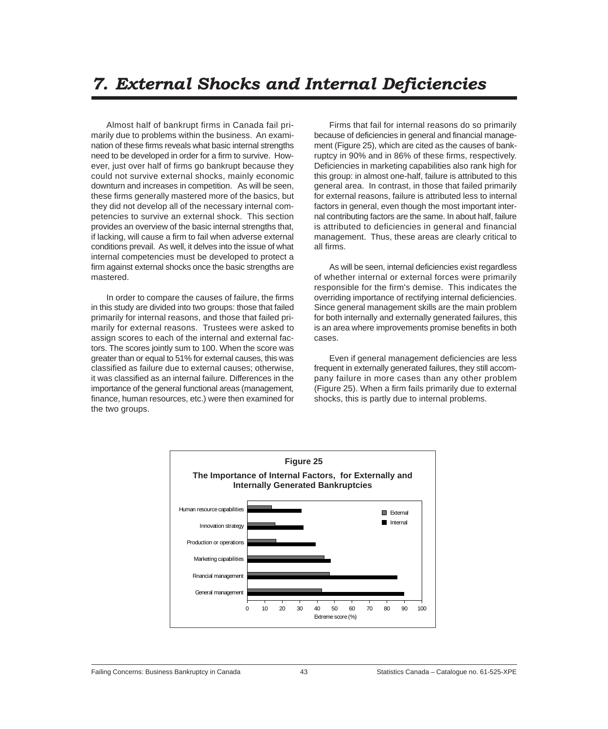# *7. External Shocks and Internal Deficiencies*

Almost half of bankrupt firms in Canada fail primarily due to problems within the business. An examination of these firms reveals what basic internal strengths need to be developed in order for a firm to survive. However, just over half of firms go bankrupt because they could not survive external shocks, mainly economic downturn and increases in competition. As will be seen, these firms generally mastered more of the basics, but they did not develop all of the necessary internal competencies to survive an external shock. This section provides an overview of the basic internal strengths that, if lacking, will cause a firm to fail when adverse external conditions prevail. As well, it delves into the issue of what internal competencies must be developed to protect a firm against external shocks once the basic strengths are mastered.

In order to compare the causes of failure, the firms in this study are divided into two groups: those that failed primarily for internal reasons, and those that failed primarily for external reasons. Trustees were asked to assign scores to each of the internal and external factors. The scores jointly sum to 100. When the score was greater than or equal to 51% for external causes, this was classified as failure due to external causes; otherwise, it was classified as an internal failure. Differences in the importance of the general functional areas (management, finance, human resources, etc.) were then examined for the two groups.

Firms that fail for internal reasons do so primarily because of deficiencies in general and financial management (Figure 25), which are cited as the causes of bankruptcy in 90% and in 86% of these firms, respectively. Deficiencies in marketing capabilities also rank high for this group: in almost one-half, failure is attributed to this general area. In contrast, in those that failed primarily for external reasons, failure is attributed less to internal factors in general, even though the most important internal contributing factors are the same. In about half, failure is attributed to deficiencies in general and financial management. Thus, these areas are clearly critical to all firms.

As will be seen, internal deficiencies exist regardless of whether internal or external forces were primarily responsible for the firm's demise. This indicates the overriding importance of rectifying internal deficiencies. Since general management skills are the main problem for both internally and externally generated failures, this is an area where improvements promise benefits in both cases.

Even if general management deficiencies are less frequent in externally generated failures, they still accompany failure in more cases than any other problem (Figure 25). When a firm fails primarily due to external shocks, this is partly due to internal problems.

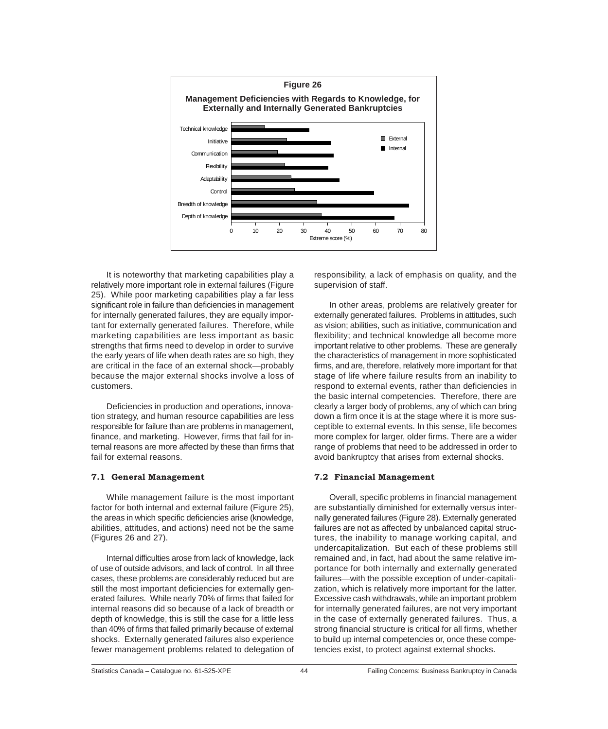

It is noteworthy that marketing capabilities play a relatively more important role in external failures (Figure 25). While poor marketing capabilities play a far less significant role in failure than deficiencies in management for internally generated failures, they are equally important for externally generated failures. Therefore, while marketing capabilities are less important as basic strengths that firms need to develop in order to survive the early years of life when death rates are so high, they are critical in the face of an external shock—probably because the major external shocks involve a loss of customers.

Deficiencies in production and operations, innovation strategy, and human resource capabilities are less responsible for failure than are problems in management, finance, and marketing. However, firms that fail for internal reasons are more affected by these than firms that fail for external reasons.

## **7.1 General Management**

While management failure is the most important factor for both internal and external failure (Figure 25), the areas in which specific deficiencies arise (knowledge, abilities, attitudes, and actions) need not be the same (Figures 26 and 27).

Internal difficulties arose from lack of knowledge, lack of use of outside advisors, and lack of control. In all three cases, these problems are considerably reduced but are still the most important deficiencies for externally generated failures. While nearly 70% of firms that failed for internal reasons did so because of a lack of breadth or depth of knowledge, this is still the case for a little less than 40% of firms that failed primarily because of external shocks. Externally generated failures also experience fewer management problems related to delegation of

responsibility, a lack of emphasis on quality, and the supervision of staff.

In other areas, problems are relatively greater for externally generated failures. Problems in attitudes, such as vision; abilities, such as initiative, communication and flexibility; and technical knowledge all become more important relative to other problems. These are generally the characteristics of management in more sophisticated firms, and are, therefore, relatively more important for that stage of life where failure results from an inability to respond to external events, rather than deficiencies in the basic internal competencies. Therefore, there are clearly a larger body of problems, any of which can bring down a firm once it is at the stage where it is more susceptible to external events. In this sense, life becomes more complex for larger, older firms. There are a wider range of problems that need to be addressed in order to avoid bankruptcy that arises from external shocks.

## **7.2 Financial Management**

Overall, specific problems in financial management are substantially diminished for externally versus internally generated failures (Figure 28). Externally generated failures are not as affected by unbalanced capital structures, the inability to manage working capital, and undercapitalization. But each of these problems still remained and, in fact, had about the same relative importance for both internally and externally generated failures—with the possible exception of under-capitalization, which is relatively more important for the latter. Excessive cash withdrawals, while an important problem for internally generated failures, are not very important in the case of externally generated failures. Thus, a strong financial structure is critical for all firms, whether to build up internal competencies or, once these competencies exist, to protect against external shocks.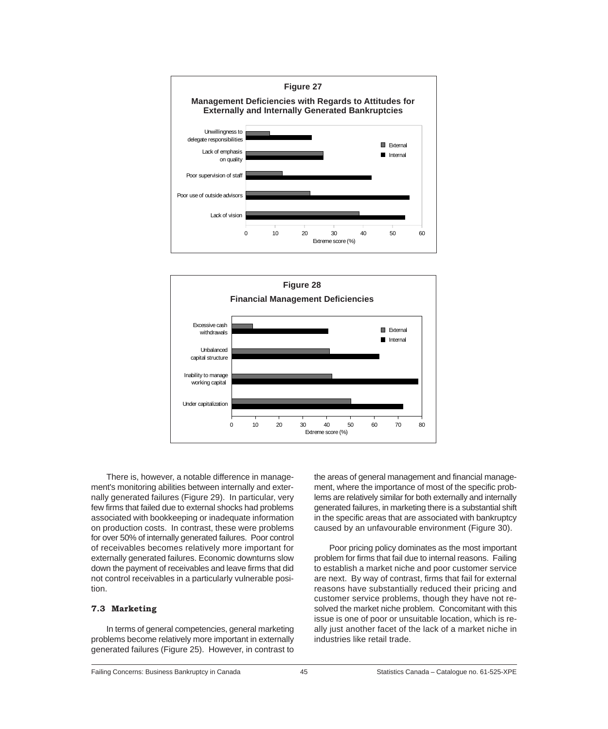



There is, however, a notable difference in management's monitoring abilities between internally and externally generated failures (Figure 29). In particular, very few firms that failed due to external shocks had problems associated with bookkeeping or inadequate information on production costs. In contrast, these were problems for over 50% of internally generated failures. Poor control of receivables becomes relatively more important for externally generated failures. Economic downturns slow down the payment of receivables and leave firms that did not control receivables in a particularly vulnerable position.

## **7.3 Marketing**

In terms of general competencies, general marketing problems become relatively more important in externally generated failures (Figure 25). However, in contrast to

the areas of general management and financial management, where the importance of most of the specific problems are relatively similar for both externally and internally generated failures, in marketing there is a substantial shift in the specific areas that are associated with bankruptcy caused by an unfavourable environment (Figure 30).

Poor pricing policy dominates as the most important problem for firms that fail due to internal reasons. Failing to establish a market niche and poor customer service are next. By way of contrast, firms that fail for external reasons have substantially reduced their pricing and customer service problems, though they have not resolved the market niche problem. Concomitant with this issue is one of poor or unsuitable location, which is really just another facet of the lack of a market niche in industries like retail trade.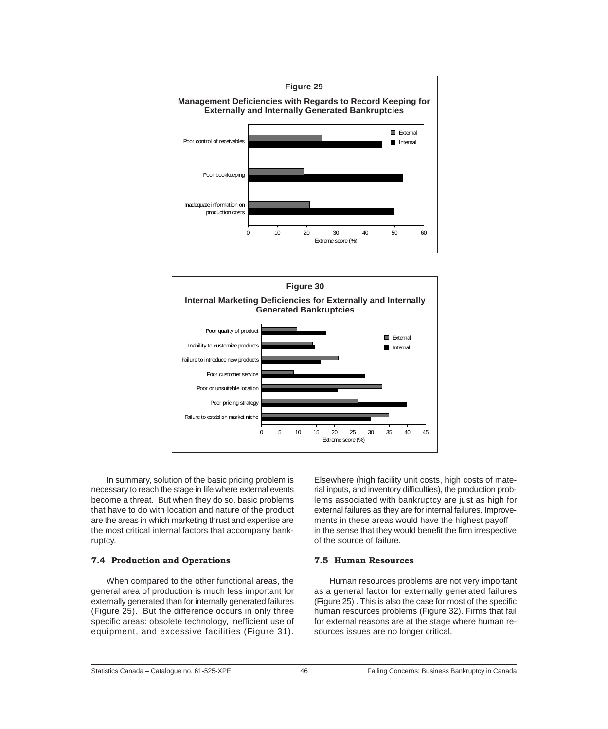



In summary, solution of the basic pricing problem is necessary to reach the stage in life where external events become a threat. But when they do so, basic problems that have to do with location and nature of the product are the areas in which marketing thrust and expertise are the most critical internal factors that accompany bankruptcy.

## **7.4 Production and Operations**

When compared to the other functional areas, the general area of production is much less important for externally generated than for internally generated failures (Figure 25). But the difference occurs in only three specific areas: obsolete technology, inefficient use of equipment, and excessive facilities (Figure 31).

Elsewhere (high facility unit costs, high costs of material inputs, and inventory difficulties), the production problems associated with bankruptcy are just as high for external failures as they are for internal failures. Improvements in these areas would have the highest payoff in the sense that they would benefit the firm irrespective of the source of failure.

### **7.5 Human Resources**

Human resources problems are not very important as a general factor for externally generated failures (Figure 25) . This is also the case for most of the specific human resources problems (Figure 32). Firms that fail for external reasons are at the stage where human resources issues are no longer critical.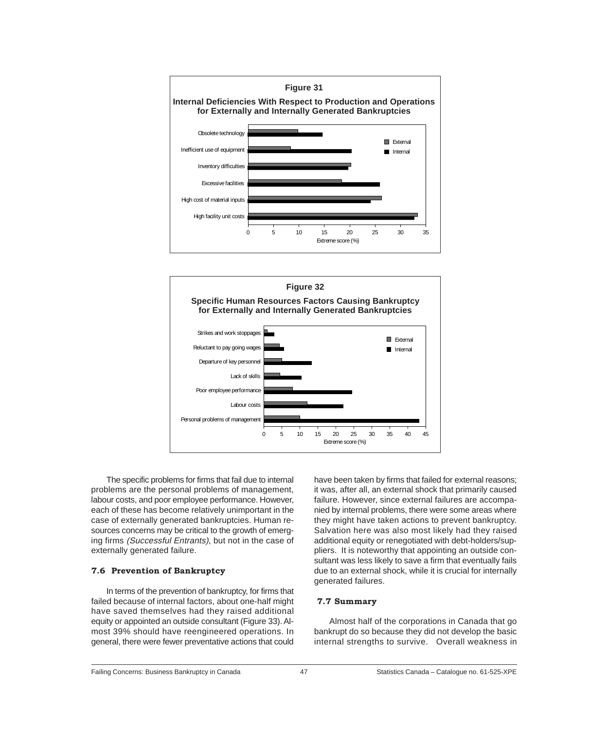



The specific problems for firms that fail due to internal problems are the personal problems of management, labour costs, and poor employee performance. However, each of these has become relatively unimportant in the case of externally generated bankruptcies. Human resources concerns may be critical to the growth of emerging firms (Successful Entrants), but not in the case of externally generated failure.

# **7.6 Prevention of Bankruptcy**

In terms of the prevention of bankruptcy, for firms that failed because of internal factors, about one-half might have saved themselves had they raised additional equity or appointed an outside consultant (Figure 33). Almost 39% should have reengineered operations. In general, there were fewer preventative actions that could

have been taken by firms that failed for external reasons; it was, after all, an external shock that primarily caused failure. However, since external failures are accompanied by internal problems, there were some areas where they might have taken actions to prevent bankruptcy. Salvation here was also most likely had they raised additional equity or renegotiated with debt-holders/suppliers. It is noteworthy that appointing an outside consultant was less likely to save a firm that eventually fails due to an external shock, while it is crucial for internally generated failures.

## **7.7 Summary**

Almost half of the corporations in Canada that go bankrupt do so because they did not develop the basic internal strengths to survive. Overall weakness in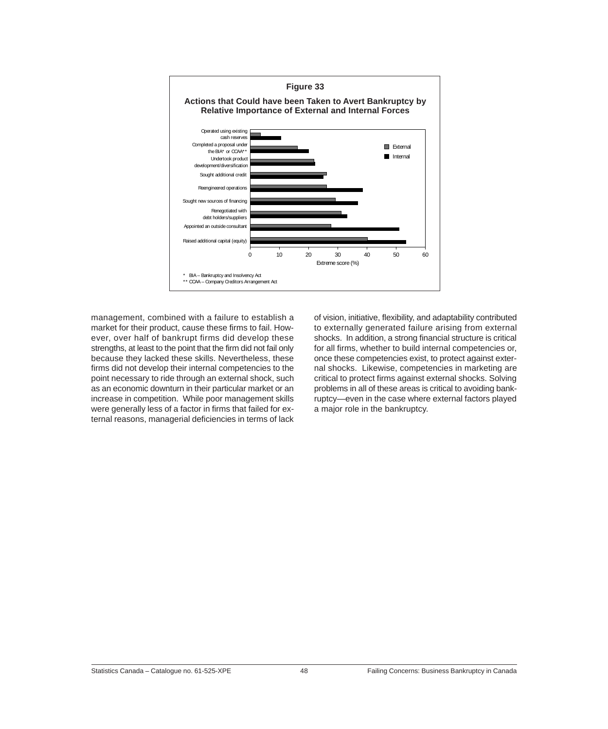

management, combined with a failure to establish a market for their product, cause these firms to fail. However, over half of bankrupt firms did develop these strengths, at least to the point that the firm did not fail only because they lacked these skills. Nevertheless, these firms did not develop their internal competencies to the point necessary to ride through an external shock, such as an economic downturn in their particular market or an increase in competition. While poor management skills were generally less of a factor in firms that failed for external reasons, managerial deficiencies in terms of lack of vision, initiative, flexibility, and adaptability contributed to externally generated failure arising from external shocks. In addition, a strong financial structure is critical for all firms, whether to build internal competencies or, once these competencies exist, to protect against external shocks. Likewise, competencies in marketing are critical to protect firms against external shocks. Solving problems in all of these areas is critical to avoiding bankruptcy—even in the case where external factors played a major role in the bankruptcy.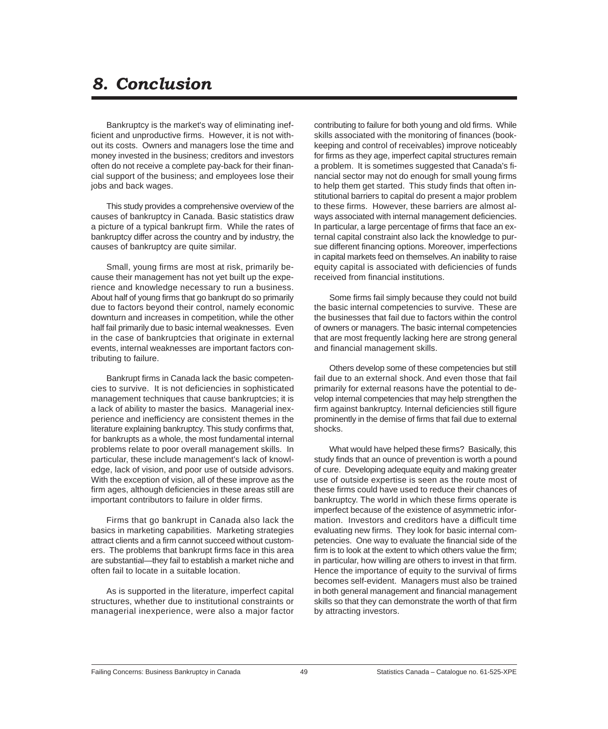# *8. Conclusion*

Bankruptcy is the market's way of eliminating inefficient and unproductive firms. However, it is not without its costs. Owners and managers lose the time and money invested in the business; creditors and investors often do not receive a complete pay-back for their financial support of the business; and employees lose their jobs and back wages.

This study provides a comprehensive overview of the causes of bankruptcy in Canada. Basic statistics draw a picture of a typical bankrupt firm. While the rates of bankruptcy differ across the country and by industry, the causes of bankruptcy are quite similar.

Small, young firms are most at risk, primarily because their management has not yet built up the experience and knowledge necessary to run a business. About half of young firms that go bankrupt do so primarily due to factors beyond their control, namely economic downturn and increases in competition, while the other half fail primarily due to basic internal weaknesses. Even in the case of bankruptcies that originate in external events, internal weaknesses are important factors contributing to failure.

Bankrupt firms in Canada lack the basic competencies to survive. It is not deficiencies in sophisticated management techniques that cause bankruptcies; it is a lack of ability to master the basics. Managerial inexperience and inefficiency are consistent themes in the literature explaining bankruptcy. This study confirms that, for bankrupts as a whole, the most fundamental internal problems relate to poor overall management skills. In particular, these include management's lack of knowledge, lack of vision, and poor use of outside advisors. With the exception of vision, all of these improve as the firm ages, although deficiencies in these areas still are important contributors to failure in older firms.

Firms that go bankrupt in Canada also lack the basics in marketing capabilities. Marketing strategies attract clients and a firm cannot succeed without customers. The problems that bankrupt firms face in this area are substantial—they fail to establish a market niche and often fail to locate in a suitable location.

As is supported in the literature, imperfect capital structures, whether due to institutional constraints or managerial inexperience, were also a major factor contributing to failure for both young and old firms. While skills associated with the monitoring of finances (bookkeeping and control of receivables) improve noticeably for firms as they age, imperfect capital structures remain a problem. It is sometimes suggested that Canada's financial sector may not do enough for small young firms to help them get started. This study finds that often institutional barriers to capital do present a major problem to these firms. However, these barriers are almost always associated with internal management deficiencies. In particular, a large percentage of firms that face an external capital constraint also lack the knowledge to pursue different financing options. Moreover, imperfections in capital markets feed on themselves. An inability to raise equity capital is associated with deficiencies of funds received from financial institutions.

Some firms fail simply because they could not build the basic internal competencies to survive. These are the businesses that fail due to factors within the control of owners or managers. The basic internal competencies that are most frequently lacking here are strong general and financial management skills.

Others develop some of these competencies but still fail due to an external shock. And even those that fail primarily for external reasons have the potential to develop internal competencies that may help strengthen the firm against bankruptcy. Internal deficiencies still figure prominently in the demise of firms that fail due to external shocks.

What would have helped these firms? Basically, this study finds that an ounce of prevention is worth a pound of cure. Developing adequate equity and making greater use of outside expertise is seen as the route most of these firms could have used to reduce their chances of bankruptcy. The world in which these firms operate is imperfect because of the existence of asymmetric information. Investors and creditors have a difficult time evaluating new firms. They look for basic internal competencies. One way to evaluate the financial side of the firm is to look at the extent to which others value the firm; in particular, how willing are others to invest in that firm. Hence the importance of equity to the survival of firms becomes self-evident. Managers must also be trained in both general management and financial management skills so that they can demonstrate the worth of that firm by attracting investors.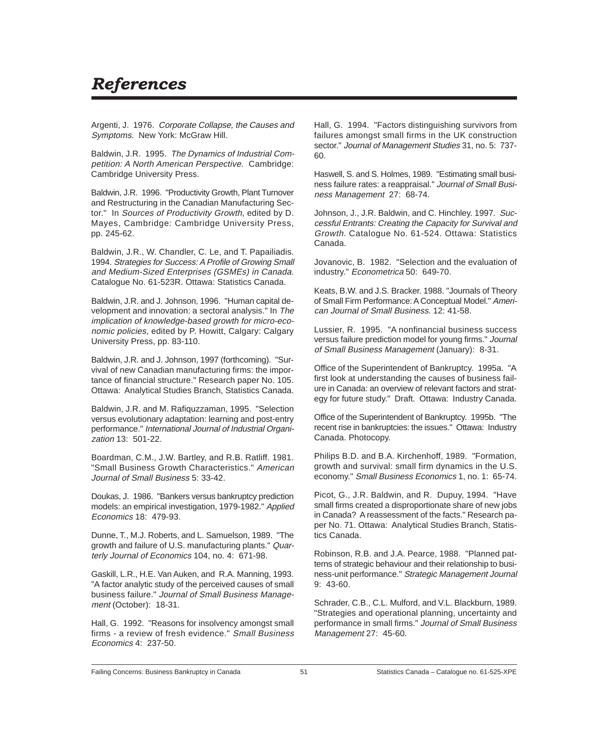# *References*

Argenti, J. 1976. Corporate Collapse, the Causes and Symptoms. New York: McGraw Hill.

Baldwin, J.R. 1995. The Dynamics of Industrial Competition: A North American Perspective. Cambridge: Cambridge University Press.

Baldwin, J.R. 1996. "Productivity Growth, Plant Turnover and Restructuring in the Canadian Manufacturing Sector." In Sources of Productivity Growth, edited by D. Mayes, Cambridge: Cambridge University Press, pp. 245-62.

Baldwin, J.R., W. Chandler, C. Le, and T. Papailiadis. 1994. Strategies for Success: A Profile of Growing Small and Medium-Sized Enterprises (GSMEs) in Canada. Catalogue No. 61-523R. Ottawa: Statistics Canada.

Baldwin, J.R. and J. Johnson, 1996. "Human capital development and innovation: a sectoral analysis." In The implication of knowledge-based growth for micro-economic policies, edited by P. Howitt, Calgary: Calgary University Press, pp. 83-110.

Baldwin, J.R. and J. Johnson, 1997 (forthcoming). "Survival of new Canadian manufacturing firms: the importance of financial structure." Research paper No. 105. Ottawa: Analytical Studies Branch, Statistics Canada.

Baldwin, J.R. and M. Rafiquzzaman, 1995. "Selection versus evolutionary adaptation: learning and post-entry performance." International Journal of Industrial Organization 13: 501-22.

Boardman, C.M., J.W. Bartley, and R.B. Ratliff. 1981. "Small Business Growth Characteristics." American Journal of Small Business 5: 33-42.

Doukas, J. 1986. "Bankers versus bankruptcy prediction models: an empirical investigation, 1979-1982." Applied Economics 18: 479-93.

Dunne, T., M.J. Roberts, and L. Samuelson, 1989. "The growth and failure of U.S. manufacturing plants." Quarterly Journal of Economics 104, no. 4: 671-98.

Gaskill, L.R., H.E. Van Auken, and R.A. Manning, 1993. "A factor analytic study of the perceived causes of small business failure." Journal of Small Business Management (October): 18-31.

Hall, G. 1992. "Reasons for insolvency amongst small firms - a review of fresh evidence." Small Business Economics 4: 237-50.

Hall, G. 1994. "Factors distinguishing survivors from failures amongst small firms in the UK construction sector." Journal of Management Studies 31, no. 5: 737- 60.

Haswell, S. and S. Holmes, 1989. "Estimating small business failure rates: a reappraisal." Journal of Small Business Management 27: 68-74.

Johnson, J., J.R. Baldwin, and C. Hinchley. 1997. Successful Entrants: Creating the Capacity for Survival and Growth. Catalogue No. 61-524. Ottawa: Statistics Canada.

Jovanovic, B. 1982. "Selection and the evaluation of industry." Econometrica 50: 649-70.

Keats, B.W. and J.S. Bracker. 1988. "Journals of Theory of Small Firm Performance: A Conceptual Model." American Journal of Small Business. 12: 41-58.

Lussier, R. 1995. "A nonfinancial business success versus failure prediction model for young firms." Journal of Small Business Management (January): 8-31.

Office of the Superintendent of Bankruptcy. 1995a. "A first look at understanding the causes of business failure in Canada: an overview of relevant factors and strategy for future study." Draft. Ottawa: Industry Canada.

Office of the Superintendent of Bankruptcy. 1995b. "The recent rise in bankruptcies: the issues." Ottawa: Industry Canada. Photocopy.

Philips B.D. and B.A. Kirchenhoff, 1989. "Formation, growth and survival: small firm dynamics in the U.S. economy." Small Business Economics 1, no. 1: 65-74.

Picot, G., J.R. Baldwin, and R. Dupuy, 1994. "Have small firms created a disproportionate share of new jobs in Canada? A reassessment of the facts." Research paper No. 71. Ottawa: Analytical Studies Branch, Statistics Canada.

Robinson, R.B. and J.A. Pearce, 1988. "Planned patterns of strategic behaviour and their relationship to business-unit performance." Strategic Management Journal 9: 43-60.

Schrader, C.B., C.L. Mulford, and V.L. Blackburn, 1989. "Strategies and operational planning, uncertainty and performance in small firms." Journal of Small Business Management 27: 45-60.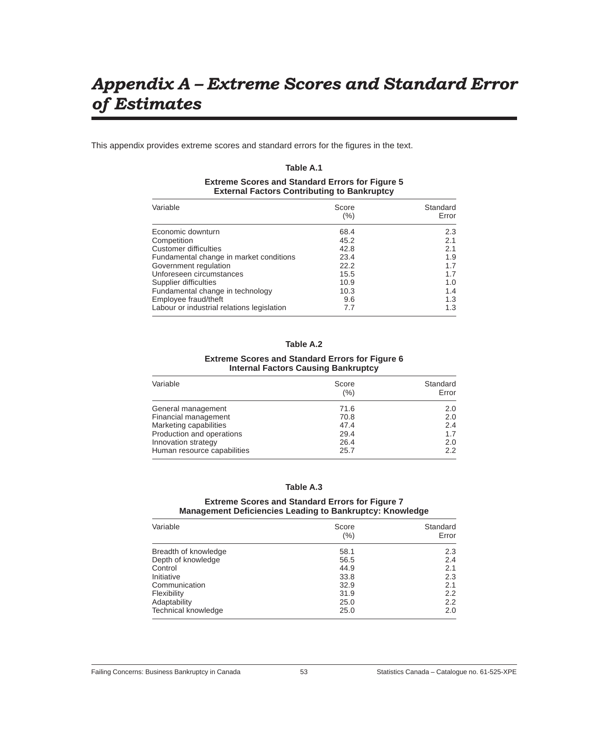# *Appendix A Extreme Scores and Standard Error of Estimates*

This appendix provides extreme scores and standard errors for the figures in the text.

## **Table A.1**

## **Extreme Scores and Standard Errors for Figure 5 External Factors Contributing to Bankruptcy**

| Score<br>$(\% )$ | Standard<br>Error |
|------------------|-------------------|
| 68.4             | 2.3               |
| 45.2             | 2.1               |
| 42.8             | 2.1               |
| 23.4             | 1.9               |
| 22.2             | 1.7               |
| 15.5             | 1.7               |
| 10.9             | 1.0               |
| 10.3             | 1.4               |
| 9.6              | 1.3               |
| 7.7              | 1.3               |
|                  |                   |

## **Table A.2**

#### **Extreme Scores and Standard Errors for Figure 6 Internal Factors Causing Bankruptcy**

| Variable                    | Score<br>(% ) | Standard<br>Error |
|-----------------------------|---------------|-------------------|
| General management          | 71.6          | 2.0               |
| Financial management        | 70.8          | 2.0               |
| Marketing capabilities      | 47.4          | 2.4               |
| Production and operations   | 29.4          | 1.7               |
| Innovation strategy         | 26.4          | 2.0               |
| Human resource capabilities | 25.7          | 2.2               |

## **Table A.3**

### **Extreme Scores and Standard Errors for Figure 7 Management Deficiencies Leading to Bankruptcy: Knowledge**

| Variable             | Score<br>$(\% )$ | Standard<br>Error |
|----------------------|------------------|-------------------|
| Breadth of knowledge | 58.1             | 2.3               |
| Depth of knowledge   | 56.5             | 2.4               |
| Control              | 44.9             | 2.1               |
| Initiative           | 33.8             | 2.3               |
| Communication        | 32.9             | 2.1               |
| Flexibility          | 31.9             | 2.2               |
| Adaptability         | 25.0             | 2.2               |
| Technical knowledge  | 25.0             | 2.0               |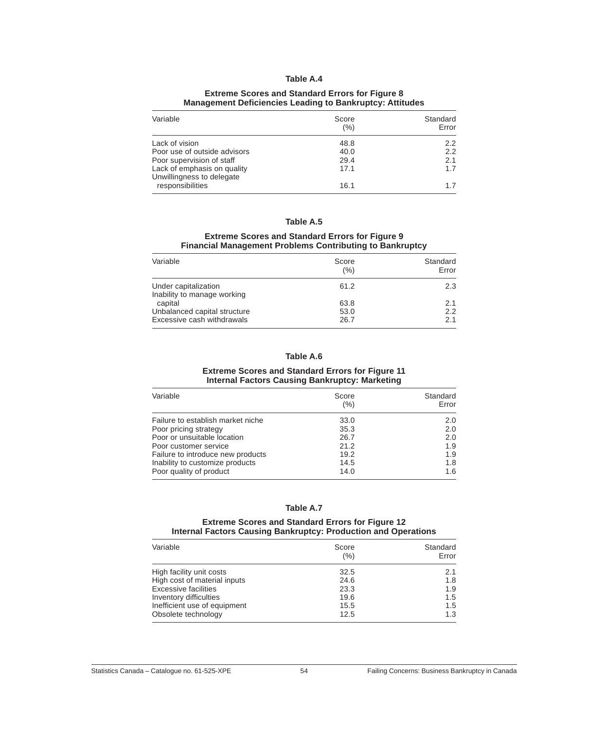#### **Extreme Scores and Standard Errors for Figure 8 Management Deficiencies Leading to Bankruptcy: Attitudes**

| Variable                                                 | Score<br>(%) | Standard<br>Error |
|----------------------------------------------------------|--------------|-------------------|
| Lack of vision                                           | 48.8         | $2.2^{\circ}$     |
| Poor use of outside advisors                             | 40.0         | 2.2               |
| Poor supervision of staff                                | 29.4         | 2.1               |
| Lack of emphasis on quality<br>Unwillingness to delegate | 17.1         | 1.7               |
| responsibilities                                         | 16.1         | 17                |

## **Table A.5**

### **Extreme Scores and Standard Errors for Figure 9 Financial Management Problems Contributing to Bankruptcy**

| Score<br>(%) | Standard<br>Error |
|--------------|-------------------|
| 61.2         | 2.3               |
| 63.8         | 2.1               |
| 53.0<br>26.7 | 2.2<br>2.1        |
|              |                   |

## **Table A.6**

#### **Extreme Scores and Standard Errors for Figure 11 Internal Factors Causing Bankruptcy: Marketing**

| Variable                          | Score<br>(%) | Standard<br>Error |
|-----------------------------------|--------------|-------------------|
| Failure to establish market niche | 33.0         | 2.0               |
| Poor pricing strategy             | 35.3         | 2.0               |
| Poor or unsuitable location       | 26.7         | 2.0               |
| Poor customer service             | 21.2         | 1.9               |
| Failure to introduce new products | 19.2         | 1.9               |
| Inability to customize products   | 14.5         | 1.8               |
| Poor quality of product           | 14.0         | 1.6               |

#### **Table A.7**

#### **Extreme Scores and Standard Errors for Figure 12 Internal Factors Causing Bankruptcy: Production and Operations**

| Variable                     | Score<br>(%) | Standard<br>Error |
|------------------------------|--------------|-------------------|
| High facility unit costs     | 32.5         | 2.1               |
| High cost of material inputs | 24.6         | 1.8               |
| <b>Excessive facilities</b>  | 23.3         | 1.9               |
| Inventory difficulties       | 19.6         | 1.5               |
| Inefficient use of equipment | 15.5         | 1.5               |
| Obsolete technology          | 12.5         | 1.3               |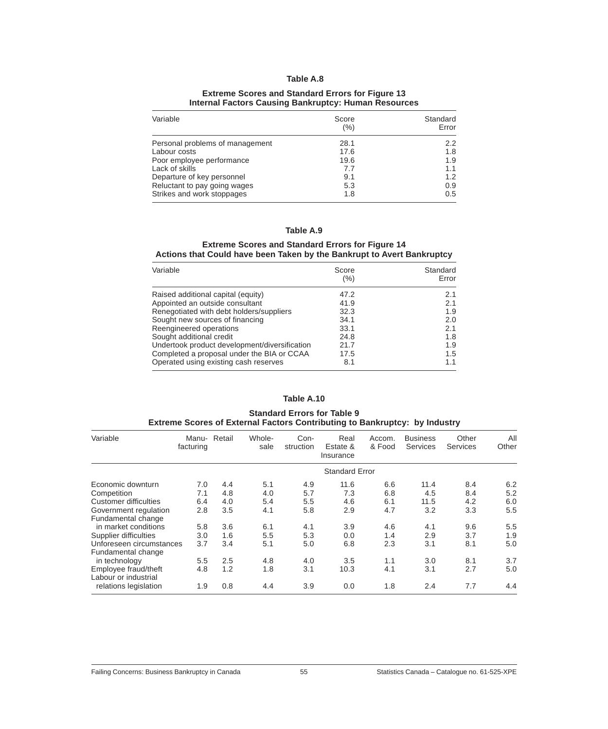#### **Extreme Scores and Standard Errors for Figure 13 Internal Factors Causing Bankruptcy: Human Resources**

| Variable                        | Score<br>(%) | Standard<br>Error |
|---------------------------------|--------------|-------------------|
| Personal problems of management | 28.1         | 2.2               |
| Labour costs                    | 17.6         | 1.8               |
| Poor employee performance       | 19.6         | 1.9               |
| Lack of skills                  | 7.7          | 1.1               |
| Departure of key personnel      | 9.1          | 1.2               |
| Reluctant to pay going wages    | 5.3          | 0.9               |
| Strikes and work stoppages      | 1.8          | 0.5               |

## **Table A.9**

#### **Extreme Scores and Standard Errors for Figure 14 Actions that Could have been Taken by the Bankrupt to Avert Bankruptcy**

| Variable                                      | Score<br>(%) | Standard<br>Error |
|-----------------------------------------------|--------------|-------------------|
| Raised additional capital (equity)            | 47.2         | 2.1               |
| Appointed an outside consultant               | 41.9         | 2.1               |
| Renegotiated with debt holders/suppliers      | 32.3         | 1.9               |
| Sought new sources of financing               | 34.1         | 2.0               |
| Reengineered operations                       | 33.1         | 2.1               |
| Sought additional credit                      | 24.8         | 1.8               |
| Undertook product development/diversification | 21.7         | 1.9               |
| Completed a proposal under the BIA or CCAA    | 17.5         | 1.5               |
| Operated using existing cash reserves         | 8.1          | 1.1               |

#### **Table A.10**

#### **Standard Errors for Table 9 Extreme Scores of External Factors Contributing to Bankruptcy: by Industry**

| Variable                 | Manu-<br>facturing | Retail | Whole-<br>sale | Con-<br>struction | Real<br>Estate &<br>Insurance | Accom.<br>& Food | <b>Business</b><br><b>Services</b> | Other<br><b>Services</b> | All<br>Other |
|--------------------------|--------------------|--------|----------------|-------------------|-------------------------------|------------------|------------------------------------|--------------------------|--------------|
|                          |                    |        |                |                   | <b>Standard Error</b>         |                  |                                    |                          |              |
| Economic downturn        | 7.0                | 4.4    | 5.1            | 4.9               | 11.6                          | 6.6              | 11.4                               | 8.4                      | 6.2          |
| Competition              | 7.1                | 4.8    | 4.0            | 5.7               | 7.3                           | 6.8              | 4.5                                | 8.4                      | 5.2          |
| Customer difficulties    | 6.4                | 4.0    | 5.4            | 5.5               | 4.6                           | 6.1              | 11.5                               | 4.2                      | 6.0          |
| Government regulation    | 2.8                | 3.5    | 4.1            | 5.8               | 2.9                           | 4.7              | 3.2                                | 3.3                      | 5.5          |
| Fundamental change       |                    |        |                |                   |                               |                  |                                    |                          |              |
| in market conditions     | 5.8                | 3.6    | 6.1            | 4.1               | 3.9                           | 4.6              | 4.1                                | 9.6                      | 5.5          |
| Supplier difficulties    | 3.0                | 1.6    | 5.5            | 5.3               | 0.0                           | 1.4              | 2.9                                | 3.7                      | 1.9          |
| Unforeseen circumstances | 3.7                | 3.4    | 5.1            | 5.0               | 6.8                           | 2.3              | 3.1                                | 8.1                      | 5.0          |
| Fundamental change       |                    |        |                |                   |                               |                  |                                    |                          |              |
| in technology            | 5.5                | 2.5    | 4.8            | 4.0               | 3.5                           | 1.1              | 3.0                                | 8.1                      | 3.7          |
| Employee fraud/theft     | 4.8                | 1.2    | 1.8            | 3.1               | 10.3                          | 4.1              | 3.1                                | 2.7                      | 5.0          |
| Labour or industrial     |                    |        |                |                   |                               |                  |                                    |                          |              |
| relations legislation    | 1.9                | 0.8    | 4.4            | 3.9               | 0.0                           | 1.8              | 2.4                                | 7.7                      | 4.4          |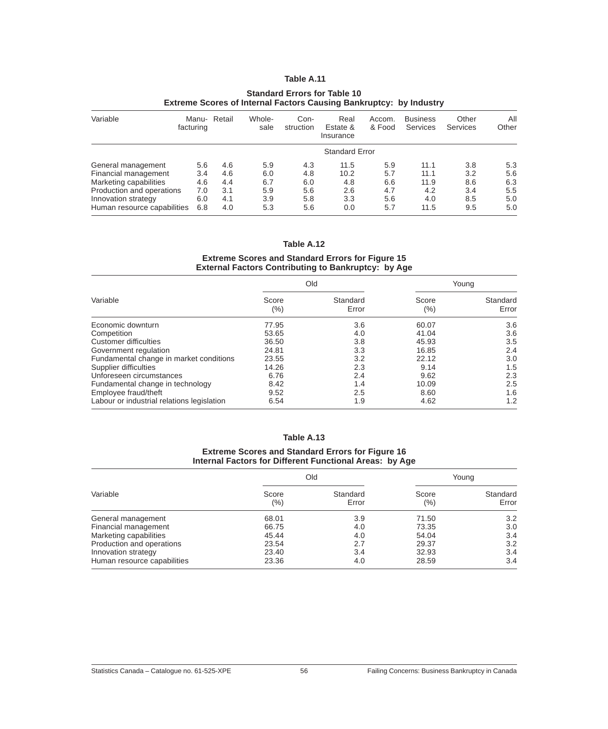### **Standard Errors for Table 10 Extreme Scores of Internal Factors Causing Bankruptcy: by Industry**

| Variable                                                                                                                                                | Manu- Retail<br>facturing              |                                        | Whole-<br>sale                         | Con-<br>struction                      | Real<br>Estate &<br>Insurance            | Accom.<br>& Food                       | <b>Business</b><br>Services                | Other<br>Services                      | All<br>Other                           |
|---------------------------------------------------------------------------------------------------------------------------------------------------------|----------------------------------------|----------------------------------------|----------------------------------------|----------------------------------------|------------------------------------------|----------------------------------------|--------------------------------------------|----------------------------------------|----------------------------------------|
|                                                                                                                                                         |                                        |                                        |                                        |                                        | <b>Standard Error</b>                    |                                        |                                            |                                        |                                        |
| General management<br>Financial management<br>Marketing capabilities<br>Production and operations<br>Innovation strategy<br>Human resource capabilities | 5.6<br>3.4<br>4.6<br>7.0<br>6.0<br>6.8 | 4.6<br>4.6<br>4.4<br>3.1<br>4.1<br>4.0 | 5.9<br>6.0<br>6.7<br>5.9<br>3.9<br>5.3 | 4.3<br>4.8<br>6.0<br>5.6<br>5.8<br>5.6 | 11.5<br>10.2<br>4.8<br>2.6<br>3.3<br>0.0 | 5.9<br>5.7<br>6.6<br>4.7<br>5.6<br>5.7 | 11.1<br>11.1<br>11.9<br>4.2<br>4.0<br>11.5 | 3.8<br>3.2<br>8.6<br>3.4<br>8.5<br>9.5 | 5.3<br>5.6<br>6.3<br>5.5<br>5.0<br>5.0 |

## **Table A.12**

## **Extreme Scores and Standard Errors for Figure 15 External Factors Contributing to Bankruptcy: by Age**

| Variable                                   |              | Old               |              | Young             |  |
|--------------------------------------------|--------------|-------------------|--------------|-------------------|--|
|                                            | Score<br>(%) | Standard<br>Error | Score<br>(%) | Standard<br>Error |  |
| Economic downturn                          | 77.95        | 3.6               | 60.07        | 3.6               |  |
| Competition                                | 53.65        | 4.0               | 41.04        | 3.6               |  |
| <b>Customer difficulties</b>               | 36.50        | 3.8               | 45.93        | 3.5               |  |
| Government regulation                      | 24.81        | 3.3               | 16.85        | 2.4               |  |
| Fundamental change in market conditions    | 23.55        | 3.2               | 22.12        | 3.0               |  |
| Supplier difficulties                      | 14.26        | 2.3               | 9.14         | 1.5               |  |
| Unforeseen circumstances                   | 6.76         | 2.4               | 9.62         | 2.3               |  |
| Fundamental change in technology           | 8.42         | 1.4               | 10.09        | 2.5               |  |
| Employee fraud/theft                       | 9.52         | 2.5               | 8.60         | 1.6               |  |
| Labour or industrial relations legislation | 6.54         | 1.9               | 4.62         | 1.2               |  |

#### **Table A.13**

#### **Extreme Scores and Standard Errors for Figure 16 Internal Factors for Different Functional Areas: by Age**

| Variable                    |                  | Old               |                  | Young             |
|-----------------------------|------------------|-------------------|------------------|-------------------|
|                             | Score<br>$(\% )$ | Standard<br>Error | Score<br>$(\% )$ | Standard<br>Error |
| General management          | 68.01            | 3.9               | 71.50            | 3.2               |
| Financial management        | 66.75            | 4.0               | 73.35            | 3.0               |
| Marketing capabilities      | 45.44            | 4.0               | 54.04            | 3.4               |
| Production and operations   | 23.54            | 2.7               | 29.37            | 3.2               |
| Innovation strategy         | 23.40            | 3.4               | 32.93            | 3.4               |
| Human resource capabilities | 23.36            | 4.0               | 28.59            | 3.4               |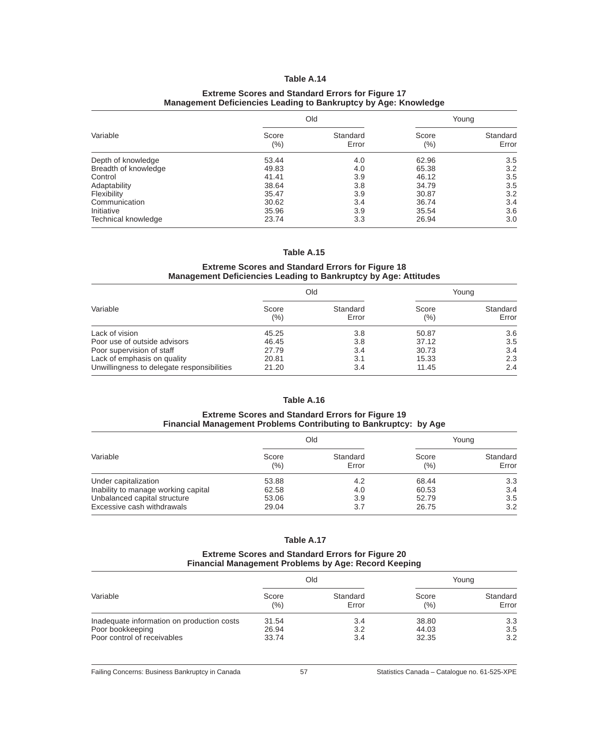#### **Extreme Scores and Standard Errors for Figure 17 Management Deficiencies Leading to Bankruptcy by Age: Knowledge**

| Variable             |              | Old               |                  | Young             |
|----------------------|--------------|-------------------|------------------|-------------------|
|                      | Score<br>(%) | Standard<br>Error | Score<br>$(\% )$ | Standard<br>Error |
| Depth of knowledge   | 53.44        | 4.0               | 62.96            | 3.5               |
| Breadth of knowledge | 49.83        | 4.0               | 65.38            | 3.2               |
| Control              | 41.41        | 3.9               | 46.12            | 3.5               |
| Adaptability         | 38.64        | 3.8               | 34.79            | 3.5               |
| Flexibility          | 35.47        | 3.9               | 30.87            | 3.2               |
| Communication        | 30.62        | 3.4               | 36.74            | 3.4               |
| Initiative           | 35.96        | 3.9               | 35.54            | 3.6               |
| Technical knowledge  | 23.74        | 3.3               | 26.94            | 3.0               |

#### **Table A.15**

## **Extreme Scores and Standard Errors for Figure 18 Management Deficiencies Leading to Bankruptcy by Age: Attitudes**

| Variable                                   |                  | Old               |              | Young             |
|--------------------------------------------|------------------|-------------------|--------------|-------------------|
|                                            | Score<br>$(\% )$ | Standard<br>Error | Score<br>(%) | Standard<br>Error |
| Lack of vision                             | 45.25            | 3.8               | 50.87        | 3.6               |
| Poor use of outside advisors               | 46.45            | 3.8               | 37.12        | 3.5               |
| Poor supervision of staff                  | 27.79            | 3.4               | 30.73        | 3.4               |
| Lack of emphasis on quality                | 20.81            | 3.1               | 15.33        | 2.3               |
| Unwillingness to delegate responsibilities | 21.20            | 3.4               | 11.45        | 2.4               |

# **Table A.16**

## **Extreme Scores and Standard Errors for Figure 19 Financial Management Problems Contributing to Bankruptcy: by Age**

| Variable                            |               | Old               |               | Young             |
|-------------------------------------|---------------|-------------------|---------------|-------------------|
|                                     | Score<br>(% ) | Standard<br>Error | Score<br>(% ) | Standard<br>Error |
| Under capitalization                | 53.88         | 4.2               | 68.44         | 3.3 <sub>2</sub>  |
| Inability to manage working capital | 62.58         | 4.0               | 60.53         | 3.4               |
| Unbalanced capital structure        | 53.06         | 3.9               | 52.79         | 3.5               |
| Excessive cash withdrawals          | 29.04         | 3.7               | 26.75         | 3.2               |

#### **Table A.17**

#### **Extreme Scores and Standard Errors for Figure 20 Financial Management Problems by Age: Record Keeping**

| Variable                                                                                      |                         | Old               |                         | Young             |
|-----------------------------------------------------------------------------------------------|-------------------------|-------------------|-------------------------|-------------------|
|                                                                                               | Score<br>(%)            | Standard<br>Error | Score<br>(%)            | Standard<br>Error |
| Inadequate information on production costs<br>Poor bookkeeping<br>Poor control of receivables | 31.54<br>26.94<br>33.74 | 3.4<br>3.2<br>3.4 | 38.80<br>44.03<br>32.35 | 3.3<br>3.5<br>3.2 |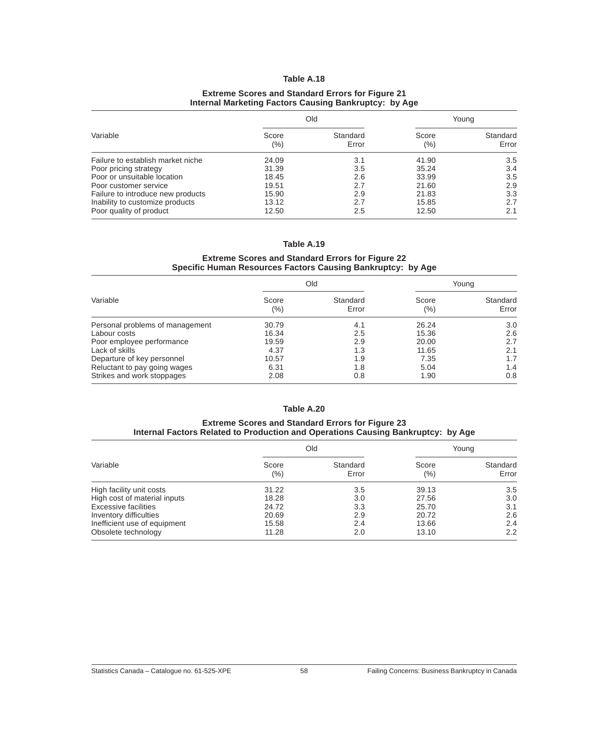### **Extreme Scores and Standard Errors for Figure 21 Internal Marketing Factors Causing Bankruptcy: by Age**

| Variable                          |                  | Old               |              | Young             |
|-----------------------------------|------------------|-------------------|--------------|-------------------|
|                                   | Score<br>$(\% )$ | Standard<br>Error | Score<br>(%) | Standard<br>Error |
| Failure to establish market niche | 24.09            | 3.1               | 41.90        | 3.5               |
| Poor pricing strategy             | 31.39            | 3.5               | 35.24        | 3.4               |
| Poor or unsuitable location       | 18.45            | 2.6               | 33.99        | 3.5               |
| Poor customer service             | 19.51            | 2.7               | 21.60        | 2.9               |
| Failure to introduce new products | 15.90            | 2.9               | 21.83        | 3.3               |
| Inability to customize products   | 13.12            | 2.7               | 15.85        | 2.7               |
| Poor quality of product           | 12.50            | 2.5               | 12.50        | 2.1               |

#### **Table A.19**

## **Extreme Scores and Standard Errors for Figure 22 Specific Human Resources Factors Causing Bankruptcy: by Age**

| Variable                        |              | Old               |                  | Young             |
|---------------------------------|--------------|-------------------|------------------|-------------------|
|                                 | Score<br>(%) | Standard<br>Error | Score<br>$(\% )$ | Standard<br>Error |
| Personal problems of management | 30.79        | 4.1               | 26.24            | 3.0               |
| Labour costs                    | 16.34        | 2.5               | 15.36            | 2.6               |
| Poor employee performance       | 19.59        | 2.9               | 20.00            | 2.7               |
| Lack of skills                  | 4.37         | 1.3               | 11.65            | 2.1               |
| Departure of key personnel      | 10.57        | 1.9               | 7.35             | 1.7               |
| Reluctant to pay going wages    | 6.31         | 1.8               | 5.04             | 1.4               |
| Strikes and work stoppages      | 2.08         | 0.8               | 1.90             | 0.8               |

## **Table A.20**

#### **Extreme Scores and Standard Errors for Figure 23 Internal Factors Related to Production and Operations Causing Bankruptcy: by Age**

| Variable                     |                  | Old               |                  | Young             |
|------------------------------|------------------|-------------------|------------------|-------------------|
|                              | Score<br>$(\% )$ | Standard<br>Error | Score<br>$(\% )$ | Standard<br>Error |
| High facility unit costs     | 31.22            | 3.5               | 39.13            | 3.5               |
| High cost of material inputs | 18.28            | 3.0               | 27.56            | 3.0               |
| <b>Excessive facilities</b>  | 24.72            | 3.3               | 25.70            | 3.1               |
| Inventory difficulties       | 20.69            | 2.9               | 20.72            | 2.6               |
| Inefficient use of equipment | 15.58            | 2.4               | 13.66            | 2.4               |
| Obsolete technology          | 11.28            | 2.0               | 13.10            | 2.2               |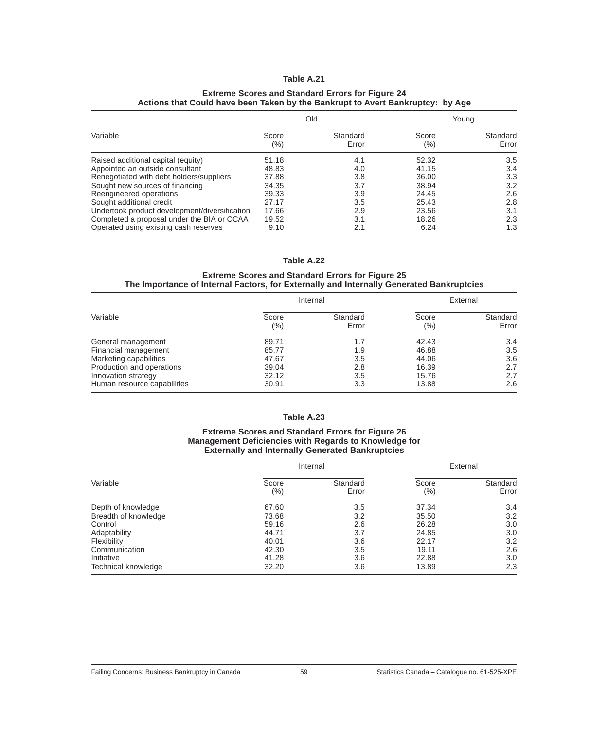### **Extreme Scores and Standard Errors for Figure 24 Actions that Could have been Taken by the Bankrupt to Avert Bankruptcy: by Age**

| Variable                                      | Old              |                   | Young            |                   |
|-----------------------------------------------|------------------|-------------------|------------------|-------------------|
|                                               | Score<br>$(\% )$ | Standard<br>Error | Score<br>$(\% )$ | Standard<br>Error |
| Raised additional capital (equity)            | 51.18            | 4.1               | 52.32            | 3.5               |
| Appointed an outside consultant               | 48.83            | 4.0               | 41.15            | 3.4               |
| Renegotiated with debt holders/suppliers      | 37.88            | 3.8               | 36.00            | 3.3               |
| Sought new sources of financing               | 34.35            | 3.7               | 38.94            | 3.2               |
| Reengineered operations                       | 39.33            | 3.9               | 24.45            | 2.6               |
| Sought additional credit                      | 27.17            | 3.5               | 25.43            | 2.8               |
| Undertook product development/diversification | 17.66            | 2.9               | 23.56            | 3.1               |
| Completed a proposal under the BIA or CCAA    | 19.52            | 3.1               | 18.26            | 2.3               |
| Operated using existing cash reserves         | 9.10             | 2.1               | 6.24             | 1.3               |

#### **Table A.22**

#### **Extreme Scores and Standard Errors for Figure 25 The Importance of Internal Factors, for Externally and Internally Generated Bankruptcies**

| Variable                    |              | Internal          |                  | External          |
|-----------------------------|--------------|-------------------|------------------|-------------------|
|                             | Score<br>(%) | Standard<br>Error | Score<br>$(\% )$ | Standard<br>Error |
| General management          | 89.71        | 1.7               | 42.43            | 3.4               |
| Financial management        | 85.77        | 1.9               | 46.88            | 3.5               |
| Marketing capabilities      | 47.67        | 3.5               | 44.06            | 3.6               |
| Production and operations   | 39.04        | 2.8               | 16.39            | 2.7               |
| Innovation strategy         | 32.12        | 3.5               | 15.76            | 2.7               |
| Human resource capabilities | 30.91        | 3.3               | 13.88            | 2.6               |

# **Table A.23**

#### **Extreme Scores and Standard Errors for Figure 26 Management Deficiencies with Regards to Knowledge for Externally and Internally Generated Bankruptcies**

| Variable             |                  | Internal          |                  | External          |
|----------------------|------------------|-------------------|------------------|-------------------|
|                      | Score<br>$(\% )$ | Standard<br>Error | Score<br>$(\% )$ | Standard<br>Error |
| Depth of knowledge   | 67.60            | 3.5               | 37.34            | 3.4               |
| Breadth of knowledge | 73.68            | 3.2               | 35.50            | 3.2               |
| Control              | 59.16            | 2.6               | 26.28            | 3.0               |
| Adaptability         | 44.71            | 3.7               | 24.85            | 3.0               |
| Flexibility          | 40.01            | 3.6               | 22.17            | 3.2               |
| Communication        | 42.30            | 3.5               | 19.11            | 2.6               |
| Initiative           | 41.28            | 3.6               | 22.88            | 3.0               |
| Technical knowledge  | 32.20            | 3.6               | 13.89            | 2.3               |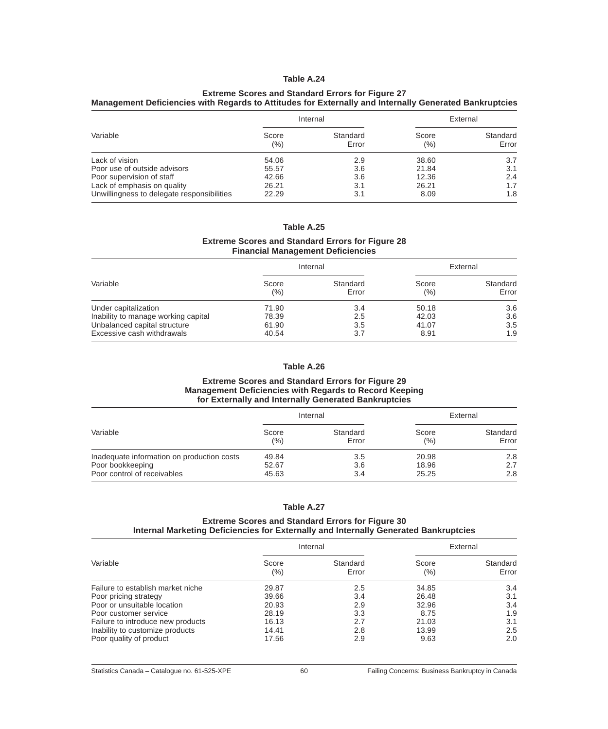#### **Extreme Scores and Standard Errors for Figure 27 Management Deficiencies with Regards to Attitudes for Externally and Internally Generated Bankruptcies**

|                                            | Internal     |                   | External     |                   |
|--------------------------------------------|--------------|-------------------|--------------|-------------------|
| Variable                                   | Score<br>(%) | Standard<br>Error | Score<br>(%) | Standard<br>Error |
| Lack of vision                             | 54.06        | 2.9               | 38.60        | 3.7               |
| Poor use of outside advisors               | 55.57        | 3.6               | 21.84        | 3.1               |
| Poor supervision of staff                  | 42.66        | 3.6               | 12.36        | 2.4               |
| Lack of emphasis on quality                | 26.21        | 3.1               | 26.21        | 1.7               |
| Unwillingness to delegate responsibilities | 22.29        | 3.1               | 8.09         | 1.8               |

**Table A.25**

## **Extreme Scores and Standard Errors for Figure 28 Financial Management Deficiencies**

|                                     |              | Internal          |               | External          |
|-------------------------------------|--------------|-------------------|---------------|-------------------|
| Variable                            | Score<br>(%) | Standard<br>Error | Score<br>(% ) | Standard<br>Error |
| Under capitalization                | 71.90        | 3.4               | 50.18         | 3.6               |
| Inability to manage working capital | 78.39        | 2.5               | 42.03         | 3.6               |
| Unbalanced capital structure        | 61.90        | 3.5               | 41.07         | 3.5               |
| Excessive cash withdrawals          | 40.54        | 3.7               | 8.91          | 1.9               |

## **Table A.26**

#### **Extreme Scores and Standard Errors for Figure 29 Management Deficiencies with Regards to Record Keeping for Externally and Internally Generated Bankruptcies**

|                                            |       | Internal |         | External |
|--------------------------------------------|-------|----------|---------|----------|
| Variable                                   | Score | Standard | Score   | Standard |
|                                            | (%)   | Error    | $(\% )$ | Error    |
| Inadequate information on production costs | 49.84 | 3.5      | 20.98   | 2.8      |
| Poor bookkeeping                           | 52.67 | 3.6      | 18.96   | 2.7      |
| Poor control of receivables                | 45.63 | 3.4      | 25.25   | 2.8      |

## **Table A.27**

### **Extreme Scores and Standard Errors for Figure 30 Internal Marketing Deficiencies for Externally and Internally Generated Bankruptcies**

|                                   |                  | Internal          |                  | External          |
|-----------------------------------|------------------|-------------------|------------------|-------------------|
| Variable                          | Score<br>$(\% )$ | Standard<br>Error | Score<br>$(\% )$ | Standard<br>Error |
| Failure to establish market niche | 29.87            | 2.5               | 34.85            | 3.4               |
| Poor pricing strategy             | 39.66            | 3.4               | 26.48            | 3.1               |
| Poor or unsuitable location       | 20.93            | 2.9               | 32.96            | 3.4               |
| Poor customer service             | 28.19            | 3.3               | 8.75             | 1.9               |
| Failure to introduce new products | 16.13            | 2.7               | 21.03            | 3.1               |
| Inability to customize products   | 14.41            | 2.8               | 13.99            | 2.5               |
| Poor quality of product           | 17.56            | 2.9               | 9.63             | 2.0               |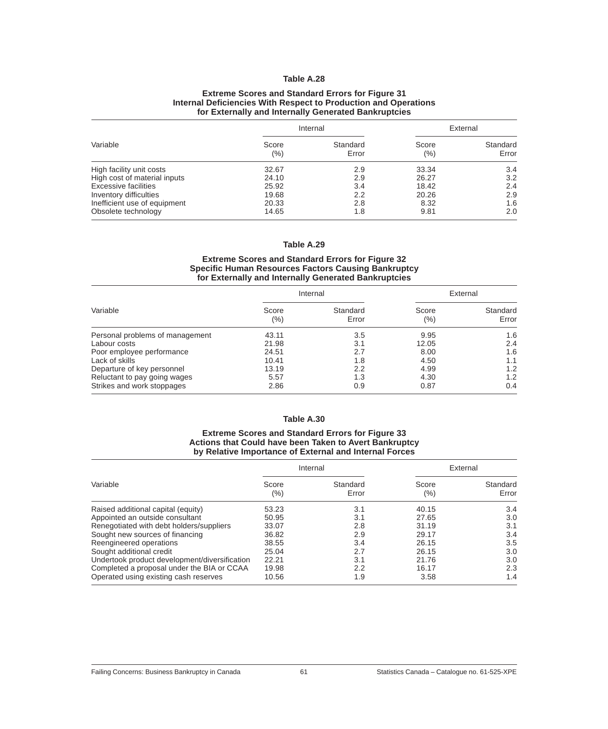#### **Extreme Scores and Standard Errors for Figure 31 Internal Deficiencies With Respect to Production and Operations for Externally and Internally Generated Bankruptcies**

|                              |               | Internal          |              | External          |
|------------------------------|---------------|-------------------|--------------|-------------------|
| Variable                     | Score<br>(% ) | Standard<br>Error | Score<br>(%) | Standard<br>Error |
| High facility unit costs     | 32.67         | 2.9               | 33.34        | 3.4               |
| High cost of material inputs | 24.10         | 2.9               | 26.27        | 3.2               |
| Excessive facilities         | 25.92         | 3.4               | 18.42        | 2.4               |
| Inventory difficulties       | 19.68         | 2.2               | 20.26        | 2.9               |
| Inefficient use of equipment | 20.33         | 2.8               | 8.32         | 1.6               |
| Obsolete technology          | 14.65         | 1.8               | 9.81         | 2.0               |

#### **Table A.29**

## **Extreme Scores and Standard Errors for Figure 32 Specific Human Resources Factors Causing Bankruptcy for Externally and Internally Generated Bankruptcies**

|                                 |              | Internal          |                  | External          |
|---------------------------------|--------------|-------------------|------------------|-------------------|
| Variable                        | Score<br>(%) | Standard<br>Error | Score<br>$(\% )$ | Standard<br>Error |
| Personal problems of management | 43.11        | 3.5               | 9.95             | 1.6               |
| Labour costs                    | 21.98        | 3.1               | 12.05            | 2.4               |
| Poor employee performance       | 24.51        | 2.7               | 8.00             | 1.6               |
| Lack of skills                  | 10.41        | 1.8               | 4.50             | 1.1               |
| Departure of key personnel      | 13.19        | 2.2               | 4.99             | 1.2               |
| Reluctant to pay going wages    | 5.57         | 1.3               | 4.30             | 1.2               |
| Strikes and work stoppages      | 2.86         | 0.9               | 0.87             | 0.4               |

## **Table A.30**

## **Extreme Scores and Standard Errors for Figure 33 Actions that Could have been Taken to Avert Bankruptcy by Relative Importance of External and Internal Forces**

|                                               |                  | Internal          |                  | External          |
|-----------------------------------------------|------------------|-------------------|------------------|-------------------|
| Variable                                      | Score<br>$(\% )$ | Standard<br>Error | Score<br>$(\% )$ | Standard<br>Error |
| Raised additional capital (equity)            | 53.23            | 3.1               | 40.15            | 3.4               |
| Appointed an outside consultant               | 50.95            | 3.1               | 27.65            | 3.0               |
| Renegotiated with debt holders/suppliers      | 33.07            | 2.8               | 31.19            | 3.1               |
| Sought new sources of financing               | 36.82            | 2.9               | 29.17            | 3.4               |
| Reengineered operations                       | 38.55            | 3.4               | 26.15            | 3.5               |
| Sought additional credit                      | 25.04            | 2.7               | 26.15            | 3.0               |
| Undertook product development/diversification | 22.21            | 3.1               | 21.76            | 3.0               |
| Completed a proposal under the BIA or CCAA    | 19.98            | 2.2               | 16.17            | 2.3               |
| Operated using existing cash reserves         | 10.56            | 1.9               | 3.58             | 1.4               |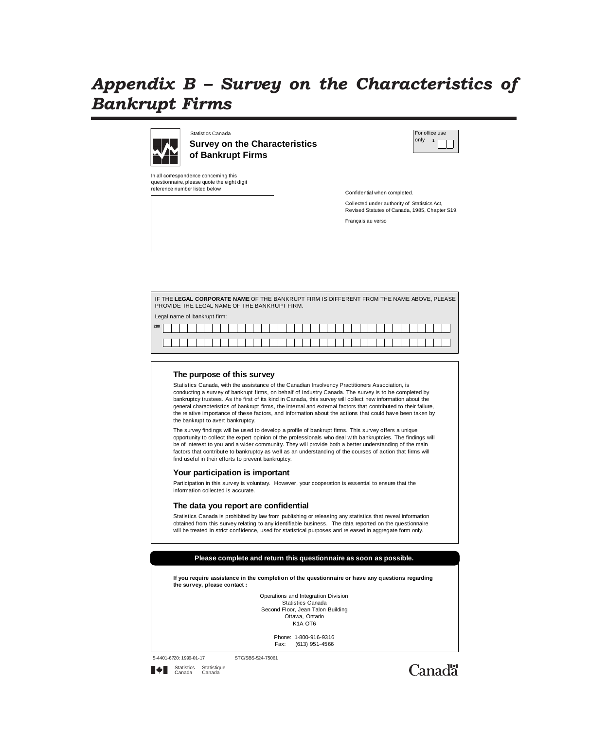# *Appendix B Survey on the Characteristics of Bankrupt Firms*



Statistics Canada **Survey on the Characteristics of Bankrupt Firms**

In all correspondence concerning this questionnaire, please quote the eight digit reference number listed below



Confidential when completed.

Collected under authority of Statistics Act, Revised Statutes of Canada, 1985, Chapter S19. Français au verso

|     | PROVIDE THE LEGAL NAME OF THE BANKRUPT FIRM. |  |  |  |  |  |  |  |  |  |  |  |  |  |  |  |  | IF THE LEGAL CORPORATE NAME OF THE BANKRUPT FIRM IS DIFFERENT FROM THE NAME ABOVE, PLEASE |
|-----|----------------------------------------------|--|--|--|--|--|--|--|--|--|--|--|--|--|--|--|--|-------------------------------------------------------------------------------------------|
|     | Legal name of bankrupt firm:                 |  |  |  |  |  |  |  |  |  |  |  |  |  |  |  |  |                                                                                           |
| 280 |                                              |  |  |  |  |  |  |  |  |  |  |  |  |  |  |  |  |                                                                                           |
|     |                                              |  |  |  |  |  |  |  |  |  |  |  |  |  |  |  |  |                                                                                           |

#### **The purpose of this survey**

Statistics Canada, with the assistance of the Canadian Insolvency Practitioners Association, is conducting a survey of bankrupt firms, on behalf of Industry Canada. The survey is to be completed by bankruptcy trustees. As the first of its kind in Canada, this survey will collect new information about the general characteristics of bankrupt firms, the internal and external factors that contributed to their failure, the relative importance of these factors, and information about the actions that could have been taken by the bankrupt to avert bankruptcy.

The survey findings will be used to develop a profile of bankrupt firms. This survey offers a unique opportunity to collect the expert opinion of the professionals who deal with bankruptcies. The findings will be of interest to you and a wider community. They will provide both a better understanding of the main factors that contribute to bankruptcy as well as an understanding of the courses of action that firms will find useful in their efforts to prevent bankruptcy.

#### **Your participation is important**

Participation in this survey is voluntary. However, your cooperation is essential to ensure that the information collected is accurate.

#### **The data you report are confidential**

Statistics Canada is prohibited by law from publishing or releasing any statistics that reveal information obtained from this survey relating to any identifiable business. The data reported on the questionnaire will be treated in strict confidence, used for statistical purposes and released in aggregate form only.



**If you require assistance in the completion of the questionnaire or have any questions regarding the survey, please contact :**

> Operations and Integration Division Statistics Canada Second Floor, Jean Talon Building Ottawa, Ontario K<sub>1</sub>A OT<sub>6</sub>

> > Phone: 1-800-916-9316<br>Fax: (613) 951-4566 (613) 951-4566

5-4401-6720: 1996-01-17 STC/SBS-524-75061

Statistics Statistique<br>Canada Canada

Canadä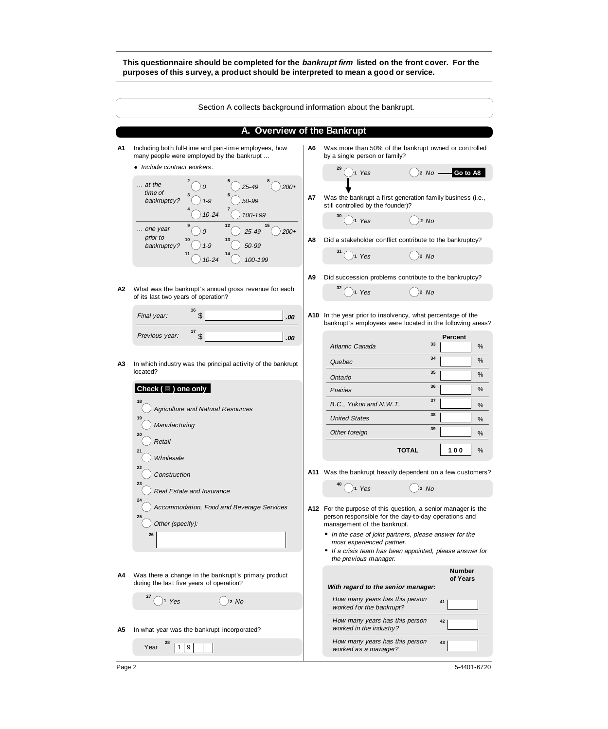#### **This questionnaire should be completed for the bankrupt firm listed on the front cover. For the purposes of this survey, a product should be interpreted to mean a good or service.**

|    | Section A collects background information about the bankrupt.                                                                     |    |                                                                                                                                                                          |
|----|-----------------------------------------------------------------------------------------------------------------------------------|----|--------------------------------------------------------------------------------------------------------------------------------------------------------------------------|
|    | A. Overview of the Bankrupt                                                                                                       |    |                                                                                                                                                                          |
| A1 | Including both full-time and part-time employees, how<br>many people were employed by the bankrupt<br>• Include contract workers. | A6 | Was more than 50% of the bankrupt owned or controlled<br>by a single person or family?                                                                                   |
|    | $\ldots$ at the<br>$25 - 49$<br>$200+$<br>time of                                                                                 |    | 29<br>Go to A8<br>)2 No -<br>1 Yes                                                                                                                                       |
|    | 50-99<br>bankruptcy?<br>$1 - 9$<br>$10 - 24$<br>100-199                                                                           | A7 | Was the bankrupt a first generation family business (i.e.,<br>still controlled by the founder)?<br>$\overline{)}$ 1 Yes                                                  |
|    | 12<br>15<br>one year<br>$200 +$<br>25-49<br>prior to<br>50-99<br>$1 - 9$                                                          | A8 | $)$ 2 No<br>Did a stakeholder conflict contribute to the bankruptcy?                                                                                                     |
|    | bankruptcy?<br>100-199<br>$10 - 24$                                                                                               |    | 31<br>$\big)$ 2 No<br>$)$ 1 Yes                                                                                                                                          |
| А2 | What was the bankrupt's annual gross revenue for each                                                                             | A9 | Did succession problems contribute to the bankruptcy?<br>$)$ <sub>2</sub> $No$<br>$)$ 1 Yes                                                                              |
|    | of its last two years of operation?<br>16<br>\$<br>Final year:<br>.00                                                             |    | A10 In the year prior to insolvency, what percentage of the<br>bankrupt's employees were located in the following areas?                                                 |
|    | $17$ \$<br>Previous year:<br>.00                                                                                                  |    | Percent<br>33<br>Atlantic Canada<br>%                                                                                                                                    |
| А3 | In which industry was the principal activity of the bankrupt<br>located?                                                          |    | 34<br>%<br>Quebec<br>35<br>%<br>Ontario                                                                                                                                  |
|    | Check $(\Box)$ one only                                                                                                           |    | 36<br>%<br><b>Prairies</b>                                                                                                                                               |
|    | 18<br><b>Agriculture and Natural Resources</b>                                                                                    |    | 37<br>B.C., Yukon and N.W.T.<br>%<br>38                                                                                                                                  |
|    | 19<br>Manufacturing                                                                                                               |    | <b>United States</b><br>%<br>39<br>Other foreign                                                                                                                         |
|    | 20<br>Retail<br>21                                                                                                                |    | %<br>100<br><b>TOTAL</b><br>%                                                                                                                                            |
|    | Wholesale<br>22<br>Construction                                                                                                   |    | A11 Was the bankrupt heavily dependent on a few customers?                                                                                                               |
|    | 23<br>Real Estate and Insurance                                                                                                   |    | $\bigcap_1$ Yes<br>$)$ 2 No                                                                                                                                              |
|    | 24<br>Accommodation, Food and Beverage Services<br>25<br>Other (specify):                                                         |    | A12 For the purpose of this question, a senior manager is the<br>person responsible for the day-to-day operations and<br>management of the bankrupt.                     |
|    | 26                                                                                                                                |    | • In the case of joint partners, please answer for the<br>most experienced partner.<br>• If a crisis team has been appointed, please answer for<br>the previous manager. |
| A4 | Was there a change in the bankrupt's primary product<br>during the last five years of operation?                                  |    | <b>Number</b><br>of Years<br>With regard to the senior manager:                                                                                                          |
|    | 2 No<br>)1 Yes                                                                                                                    |    | How many years has this person<br>41<br>worked for the bankrupt?                                                                                                         |
| А5 | In what year was the bankrupt incorporated?                                                                                       |    | How many years has this person<br>42<br>worked in the industry?                                                                                                          |
|    | Year<br>9<br>1                                                                                                                    |    | How many years has this person<br>43<br>worked as a manager?                                                                                                             |

5-4401-6720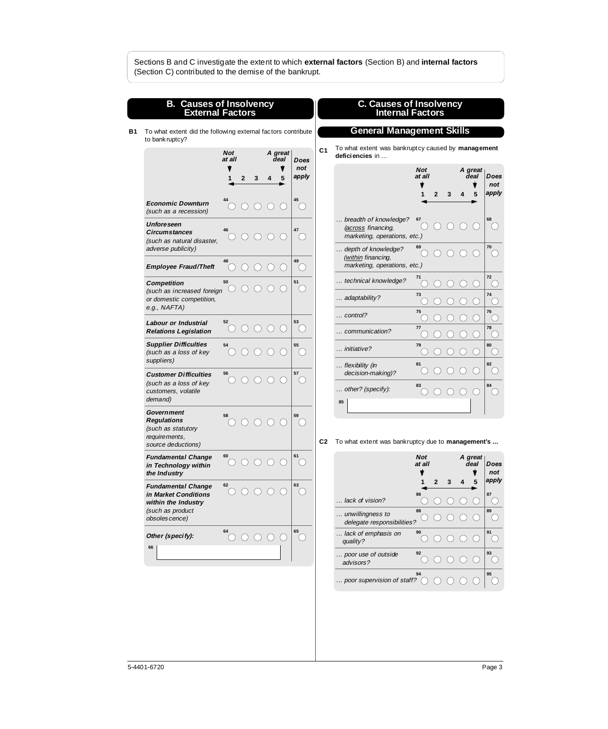| <b>B. Causes of Insolvency</b><br><b>External Factors</b><br><b>C. Causes of Insolvency<br/>Internal Factors</b><br><b>General Management Skills</b><br>To what extent did the following external factors contribute<br>to bank ruptcy?<br>To what extent was bankruptcy caused by management<br>C <sub>1</sub><br><b>Not</b><br>A great<br>deficiencies in<br>at all<br>deal<br>Does<br>not<br><b>Not</b><br>A great<br>deal<br>at all<br>apply<br>3<br>2<br>5<br>4<br>5<br>2<br>3<br>4<br>45<br><b>Economic Downturn</b><br>$\left( \begin{array}{c} 1 \end{array} \right)$<br>(such as a recession)<br>breadth of knowledge?<br>67<br><b>Unforeseen</b><br>$\bigcap$<br>(across financing,<br>46<br><b>Circumstances</b><br>marketing, operations, etc.)<br>( )<br>$($ )<br>(such as natural disaster,<br>69<br>adverse publicity)<br>depth of knowledge?<br>$\left( \begin{array}{c} 1 \end{array} \right)$<br>$\bigcirc$<br>(<br>(within financing,<br>49<br>48<br>marketing, operations, etc.)<br><b>Employee Fraud/Theft</b><br>( )<br>71<br>technical knowledge?<br>50<br>51<br><b>Competition</b><br>$\left(\begin{array}{c} \end{array}\right)$<br>$\bigcirc$<br>$\left(\begin{array}{c} \end{array}\right)$<br>$\left( \right)$<br>( )<br>$($ )<br>$($ )<br>()<br>(such as increased foreign<br>73<br>adaptability?<br>or domestic competition,<br>e.g., NAFTA)<br>75<br>$\ldots$ control?<br>53<br>52<br>Labour or Industrial<br>77<br>( )<br>$\left( \begin{array}{c} 1 \end{array} \right)$<br><b>Relations Legislation</b><br>communication?<br><b>Supplier Difficulties</b><br>79<br>54<br>55<br>initiative?<br>()<br>(such as a loss of key<br>$\left( \begin{array}{c} \end{array} \right)$<br>suppliers)<br>81<br>flexibility (in<br>$\left(\begin{array}{c} \end{array}\right)$<br>( )<br>decision-making)?<br>57<br><b>Customer Difficulties</b><br>56<br>$\left(\begin{array}{c} \end{array}\right)$<br>$\bigcirc$<br>$\left(\begin{array}{c} \end{array}\right)$<br>( )<br>()<br>(such as a loss of key<br>83<br>other? (specify):<br>customers, volatile<br>$\bigcirc$<br>( )<br>$($ )<br>$\left( \begin{array}{c} 1 \end{array} \right)$<br>demand)<br>85<br>Government<br>58<br>59<br><b>Regulations</b><br>$\hspace{0.1cm}\cdot\hspace{0.1cm}$<br>$(\phantom{a})$<br>(such as statutory<br>requirements,<br>C <sub>2</sub><br>To what extent was bankruptcy due to management's<br>source deductions)<br>61<br>60<br><b>Fundamental Change</b><br><b>Not</b><br>A great<br>$\circ \circ \circ \circ$<br>$\left( \quad \right)$<br>at all<br>deal<br>in Technology within<br>the Industry<br>3<br>5<br>$\mathbf{2}$<br>1<br>4<br>63<br>62<br><b>Fundamental Change</b><br>$\circ$ $\circ$<br>$\bigcirc$<br>$\bigcirc$<br>$($ )<br>in Market Conditions<br>86<br>lack of vision?<br>( )<br>. .<br>within the Industry<br>(such as product<br>88<br>unwillingness to<br>obsoles cence)<br>delegate responsibilities?<br>65<br>64<br>90<br>lack of emphasis on<br>Other (specify):<br>$\circ$ $\circ$<br>$\bigcirc$<br>( )<br>( )<br>(<br>quality?<br>66<br>92<br>poor use of outside<br>()<br>advisors?<br>94 |  |  |  |  |  |  |  |                                             |
|---------------------------------------------------------------------------------------------------------------------------------------------------------------------------------------------------------------------------------------------------------------------------------------------------------------------------------------------------------------------------------------------------------------------------------------------------------------------------------------------------------------------------------------------------------------------------------------------------------------------------------------------------------------------------------------------------------------------------------------------------------------------------------------------------------------------------------------------------------------------------------------------------------------------------------------------------------------------------------------------------------------------------------------------------------------------------------------------------------------------------------------------------------------------------------------------------------------------------------------------------------------------------------------------------------------------------------------------------------------------------------------------------------------------------------------------------------------------------------------------------------------------------------------------------------------------------------------------------------------------------------------------------------------------------------------------------------------------------------------------------------------------------------------------------------------------------------------------------------------------------------------------------------------------------------------------------------------------------------------------------------------------------------------------------------------------------------------------------------------------------------------------------------------------------------------------------------------------------------------------------------------------------------------------------------------------------------------------------------------------------------------------------------------------------------------------------------------------------------------------------------------------------------------------------------------------------------------------------------------------------------------------------------------------------------------------------------------------------------------------------------------------------------------------------------------------------------------------------------------------------------------------------------------------------------------------------------------------------------------------------------------------------------------------------------------------------------------------------------------------------------------|--|--|--|--|--|--|--|---------------------------------------------|
|                                                                                                                                                                                                                                                                                                                                                                                                                                                                                                                                                                                                                                                                                                                                                                                                                                                                                                                                                                                                                                                                                                                                                                                                                                                                                                                                                                                                                                                                                                                                                                                                                                                                                                                                                                                                                                                                                                                                                                                                                                                                                                                                                                                                                                                                                                                                                                                                                                                                                                                                                                                                                                                                                                                                                                                                                                                                                                                                                                                                                                                                                                                                       |  |  |  |  |  |  |  |                                             |
|                                                                                                                                                                                                                                                                                                                                                                                                                                                                                                                                                                                                                                                                                                                                                                                                                                                                                                                                                                                                                                                                                                                                                                                                                                                                                                                                                                                                                                                                                                                                                                                                                                                                                                                                                                                                                                                                                                                                                                                                                                                                                                                                                                                                                                                                                                                                                                                                                                                                                                                                                                                                                                                                                                                                                                                                                                                                                                                                                                                                                                                                                                                                       |  |  |  |  |  |  |  |                                             |
|                                                                                                                                                                                                                                                                                                                                                                                                                                                                                                                                                                                                                                                                                                                                                                                                                                                                                                                                                                                                                                                                                                                                                                                                                                                                                                                                                                                                                                                                                                                                                                                                                                                                                                                                                                                                                                                                                                                                                                                                                                                                                                                                                                                                                                                                                                                                                                                                                                                                                                                                                                                                                                                                                                                                                                                                                                                                                                                                                                                                                                                                                                                                       |  |  |  |  |  |  |  |                                             |
|                                                                                                                                                                                                                                                                                                                                                                                                                                                                                                                                                                                                                                                                                                                                                                                                                                                                                                                                                                                                                                                                                                                                                                                                                                                                                                                                                                                                                                                                                                                                                                                                                                                                                                                                                                                                                                                                                                                                                                                                                                                                                                                                                                                                                                                                                                                                                                                                                                                                                                                                                                                                                                                                                                                                                                                                                                                                                                                                                                                                                                                                                                                                       |  |  |  |  |  |  |  |                                             |
|                                                                                                                                                                                                                                                                                                                                                                                                                                                                                                                                                                                                                                                                                                                                                                                                                                                                                                                                                                                                                                                                                                                                                                                                                                                                                                                                                                                                                                                                                                                                                                                                                                                                                                                                                                                                                                                                                                                                                                                                                                                                                                                                                                                                                                                                                                                                                                                                                                                                                                                                                                                                                                                                                                                                                                                                                                                                                                                                                                                                                                                                                                                                       |  |  |  |  |  |  |  |                                             |
|                                                                                                                                                                                                                                                                                                                                                                                                                                                                                                                                                                                                                                                                                                                                                                                                                                                                                                                                                                                                                                                                                                                                                                                                                                                                                                                                                                                                                                                                                                                                                                                                                                                                                                                                                                                                                                                                                                                                                                                                                                                                                                                                                                                                                                                                                                                                                                                                                                                                                                                                                                                                                                                                                                                                                                                                                                                                                                                                                                                                                                                                                                                                       |  |  |  |  |  |  |  |                                             |
|                                                                                                                                                                                                                                                                                                                                                                                                                                                                                                                                                                                                                                                                                                                                                                                                                                                                                                                                                                                                                                                                                                                                                                                                                                                                                                                                                                                                                                                                                                                                                                                                                                                                                                                                                                                                                                                                                                                                                                                                                                                                                                                                                                                                                                                                                                                                                                                                                                                                                                                                                                                                                                                                                                                                                                                                                                                                                                                                                                                                                                                                                                                                       |  |  |  |  |  |  |  | ( )                                         |
|                                                                                                                                                                                                                                                                                                                                                                                                                                                                                                                                                                                                                                                                                                                                                                                                                                                                                                                                                                                                                                                                                                                                                                                                                                                                                                                                                                                                                                                                                                                                                                                                                                                                                                                                                                                                                                                                                                                                                                                                                                                                                                                                                                                                                                                                                                                                                                                                                                                                                                                                                                                                                                                                                                                                                                                                                                                                                                                                                                                                                                                                                                                                       |  |  |  |  |  |  |  | $\left(\right)$                             |
|                                                                                                                                                                                                                                                                                                                                                                                                                                                                                                                                                                                                                                                                                                                                                                                                                                                                                                                                                                                                                                                                                                                                                                                                                                                                                                                                                                                                                                                                                                                                                                                                                                                                                                                                                                                                                                                                                                                                                                                                                                                                                                                                                                                                                                                                                                                                                                                                                                                                                                                                                                                                                                                                                                                                                                                                                                                                                                                                                                                                                                                                                                                                       |  |  |  |  |  |  |  |                                             |
|                                                                                                                                                                                                                                                                                                                                                                                                                                                                                                                                                                                                                                                                                                                                                                                                                                                                                                                                                                                                                                                                                                                                                                                                                                                                                                                                                                                                                                                                                                                                                                                                                                                                                                                                                                                                                                                                                                                                                                                                                                                                                                                                                                                                                                                                                                                                                                                                                                                                                                                                                                                                                                                                                                                                                                                                                                                                                                                                                                                                                                                                                                                                       |  |  |  |  |  |  |  |                                             |
|                                                                                                                                                                                                                                                                                                                                                                                                                                                                                                                                                                                                                                                                                                                                                                                                                                                                                                                                                                                                                                                                                                                                                                                                                                                                                                                                                                                                                                                                                                                                                                                                                                                                                                                                                                                                                                                                                                                                                                                                                                                                                                                                                                                                                                                                                                                                                                                                                                                                                                                                                                                                                                                                                                                                                                                                                                                                                                                                                                                                                                                                                                                                       |  |  |  |  |  |  |  |                                             |
|                                                                                                                                                                                                                                                                                                                                                                                                                                                                                                                                                                                                                                                                                                                                                                                                                                                                                                                                                                                                                                                                                                                                                                                                                                                                                                                                                                                                                                                                                                                                                                                                                                                                                                                                                                                                                                                                                                                                                                                                                                                                                                                                                                                                                                                                                                                                                                                                                                                                                                                                                                                                                                                                                                                                                                                                                                                                                                                                                                                                                                                                                                                                       |  |  |  |  |  |  |  | ()                                          |
|                                                                                                                                                                                                                                                                                                                                                                                                                                                                                                                                                                                                                                                                                                                                                                                                                                                                                                                                                                                                                                                                                                                                                                                                                                                                                                                                                                                                                                                                                                                                                                                                                                                                                                                                                                                                                                                                                                                                                                                                                                                                                                                                                                                                                                                                                                                                                                                                                                                                                                                                                                                                                                                                                                                                                                                                                                                                                                                                                                                                                                                                                                                                       |  |  |  |  |  |  |  | $\left(\begin{array}{c} \end{array}\right)$ |
|                                                                                                                                                                                                                                                                                                                                                                                                                                                                                                                                                                                                                                                                                                                                                                                                                                                                                                                                                                                                                                                                                                                                                                                                                                                                                                                                                                                                                                                                                                                                                                                                                                                                                                                                                                                                                                                                                                                                                                                                                                                                                                                                                                                                                                                                                                                                                                                                                                                                                                                                                                                                                                                                                                                                                                                                                                                                                                                                                                                                                                                                                                                                       |  |  |  |  |  |  |  |                                             |
|                                                                                                                                                                                                                                                                                                                                                                                                                                                                                                                                                                                                                                                                                                                                                                                                                                                                                                                                                                                                                                                                                                                                                                                                                                                                                                                                                                                                                                                                                                                                                                                                                                                                                                                                                                                                                                                                                                                                                                                                                                                                                                                                                                                                                                                                                                                                                                                                                                                                                                                                                                                                                                                                                                                                                                                                                                                                                                                                                                                                                                                                                                                                       |  |  |  |  |  |  |  |                                             |
|                                                                                                                                                                                                                                                                                                                                                                                                                                                                                                                                                                                                                                                                                                                                                                                                                                                                                                                                                                                                                                                                                                                                                                                                                                                                                                                                                                                                                                                                                                                                                                                                                                                                                                                                                                                                                                                                                                                                                                                                                                                                                                                                                                                                                                                                                                                                                                                                                                                                                                                                                                                                                                                                                                                                                                                                                                                                                                                                                                                                                                                                                                                                       |  |  |  |  |  |  |  |                                             |
|                                                                                                                                                                                                                                                                                                                                                                                                                                                                                                                                                                                                                                                                                                                                                                                                                                                                                                                                                                                                                                                                                                                                                                                                                                                                                                                                                                                                                                                                                                                                                                                                                                                                                                                                                                                                                                                                                                                                                                                                                                                                                                                                                                                                                                                                                                                                                                                                                                                                                                                                                                                                                                                                                                                                                                                                                                                                                                                                                                                                                                                                                                                                       |  |  |  |  |  |  |  |                                             |
|                                                                                                                                                                                                                                                                                                                                                                                                                                                                                                                                                                                                                                                                                                                                                                                                                                                                                                                                                                                                                                                                                                                                                                                                                                                                                                                                                                                                                                                                                                                                                                                                                                                                                                                                                                                                                                                                                                                                                                                                                                                                                                                                                                                                                                                                                                                                                                                                                                                                                                                                                                                                                                                                                                                                                                                                                                                                                                                                                                                                                                                                                                                                       |  |  |  |  |  |  |  |                                             |
|                                                                                                                                                                                                                                                                                                                                                                                                                                                                                                                                                                                                                                                                                                                                                                                                                                                                                                                                                                                                                                                                                                                                                                                                                                                                                                                                                                                                                                                                                                                                                                                                                                                                                                                                                                                                                                                                                                                                                                                                                                                                                                                                                                                                                                                                                                                                                                                                                                                                                                                                                                                                                                                                                                                                                                                                                                                                                                                                                                                                                                                                                                                                       |  |  |  |  |  |  |  |                                             |
|                                                                                                                                                                                                                                                                                                                                                                                                                                                                                                                                                                                                                                                                                                                                                                                                                                                                                                                                                                                                                                                                                                                                                                                                                                                                                                                                                                                                                                                                                                                                                                                                                                                                                                                                                                                                                                                                                                                                                                                                                                                                                                                                                                                                                                                                                                                                                                                                                                                                                                                                                                                                                                                                                                                                                                                                                                                                                                                                                                                                                                                                                                                                       |  |  |  |  |  |  |  |                                             |
|                                                                                                                                                                                                                                                                                                                                                                                                                                                                                                                                                                                                                                                                                                                                                                                                                                                                                                                                                                                                                                                                                                                                                                                                                                                                                                                                                                                                                                                                                                                                                                                                                                                                                                                                                                                                                                                                                                                                                                                                                                                                                                                                                                                                                                                                                                                                                                                                                                                                                                                                                                                                                                                                                                                                                                                                                                                                                                                                                                                                                                                                                                                                       |  |  |  |  |  |  |  |                                             |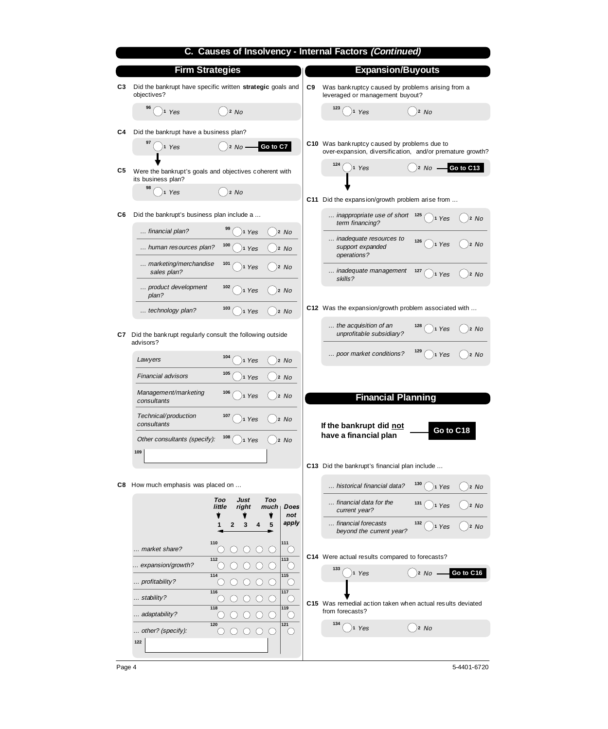|     |                                                                              | C. Causes of Insolvency - Internal Factors (Continued)                                                     |
|-----|------------------------------------------------------------------------------|------------------------------------------------------------------------------------------------------------|
|     | <b>Firm Strategies</b>                                                       | <b>Expansion/Buyouts</b>                                                                                   |
| C3  | Did the bankrupt have specific written strategic goals and<br>objectives?    | Was bank ruptcy caused by problems arising from a<br>C9<br>leveraged or management buyout?                 |
|     | 96<br>2 No<br>1 Yes                                                          | 123<br>$)$ 2 No<br>1 Yes                                                                                   |
| C4  | Did the bankrupt have a business plan?                                       |                                                                                                            |
|     | $\big)$ 2 No -<br>Go to C7<br>)1 Yes                                         | C10 Was bank ruptcy caused by problems due to<br>over-expansion, diversification, and/or premature growth? |
| C5  | Were the bankrupt's goals and objectives coherent with<br>its business plan? | Go to C13<br>)2 No<br>11 Yes                                                                               |
|     | 98<br>2 No<br>1 Yes                                                          | C11 Did the expansion/growth problem arise from                                                            |
| C6  | Did the bankrupt's business plan include a                                   | inappropriate use of short 125<br>1 Yes<br>12 No                                                           |
|     | 99<br>financial plan?<br>1 Yes<br>2 No                                       | term financing?                                                                                            |
|     | 100<br>human resources plan?<br>2 No<br>1 Yes                                | inadequate resources to<br>126<br>2 No<br>11 Yes<br>support expanded<br>operations?                        |
|     | marketing/merchandise<br>101<br>1 Yes<br>)2 No<br>sales plan?                | inadequate management<br>127<br>$\bigg $ )2 No<br>1 Yes<br>skills?                                         |
|     | product development<br>102<br>)2 No<br>1 Yes<br>plan?                        |                                                                                                            |
|     | 103<br>technology plan?<br>$)$ 2 $No$<br>1 Yes                               | C12 Was the expansion/growth problem associated with                                                       |
| C7. | Did the bank rupt regularly consult the following outside<br>advisors?       | the acquisition of an<br>128<br>1 Yes<br>12 No<br>unprofitable subsidiary?                                 |
|     | 104<br>Lawyers<br>2 No<br>1 Yes                                              | 129<br>poor market conditions?<br>1 Yes<br>)2 No                                                           |
|     | 105<br><b>Financial advisors</b><br>)2 No<br>1 Yes                           |                                                                                                            |
|     | Management/marketing<br>106<br>1 Yes<br>)2 No<br>consultants                 | <b>Financial Planning</b>                                                                                  |
|     | Technical/production<br>107<br>$)$ 1 Yes<br>12 No<br>consultants             | If the bankrupt did not<br>Go to C18                                                                       |
|     | 108<br>Other consultants (specify):<br>2 No<br>1 Yes                         | have a financial plan                                                                                      |
|     | 109                                                                          | C13 Did the bankrupt's financial plan include                                                              |
|     | C8 How much emphasis was placed on                                           | 130<br>historical financial data?<br>2 No<br>11 Yes                                                        |
|     | <b>Just</b><br>Too<br>Too<br>little<br>right<br>much<br>Does                 | financial data for the<br>131<br>$)$ 2 No<br>1 Yes<br>current year?                                        |
|     | not<br>v<br>Ŧ<br>apply<br>5<br>3<br>1<br>$\mathbf{2}$<br>4                   | financial forecasts<br>132<br>)2 No<br>1 Yes<br>beyond the current year?                                   |
|     | 110<br>111<br>market share?<br>$\bigcirc$<br>$\bigcirc$<br>()<br>( )         |                                                                                                            |
|     | 113<br>112<br>expansion/growth?<br>( )<br>( )                                | C14 Were actual results compared to forecasts?                                                             |
|     | $114$<br>115<br>$\bigcirc$<br>$\bigcirc$<br>profitability?<br>()<br>( )      | 133<br>Go to C16<br>1 Yes<br>2 No                                                                          |
|     | 117<br>116<br>stability?<br>$\cup$<br>$\left(\right)$<br>( )                 |                                                                                                            |
|     | 119<br>118<br>adaptability?<br>С.                                            | C15 Was remedial action taken when actual results deviated<br>from forecasts?                              |
|     | $121$<br>120<br>other? (specify):<br>$\bigcirc$<br>$\bigcirc$<br>O<br>$\cup$ | 134<br>$)$ 2 No<br>1 Yes                                                                                   |
|     | 122                                                                          |                                                                                                            |

Page 4 5-4401-6720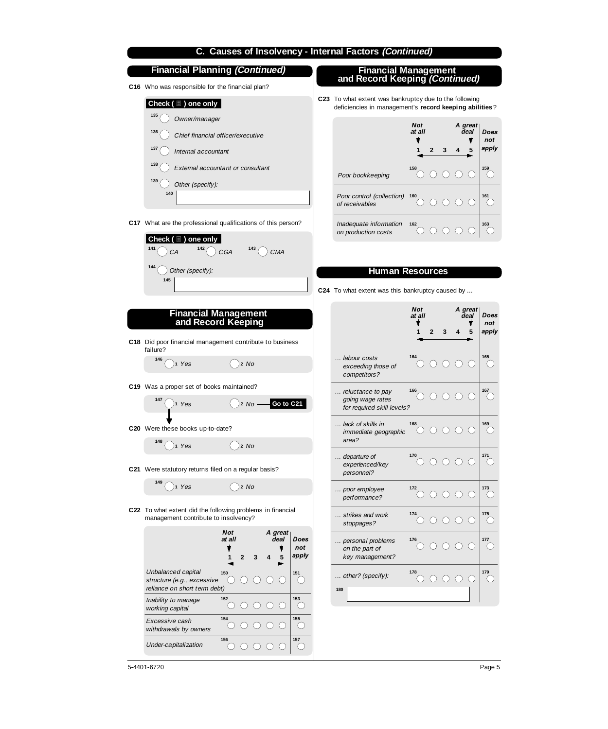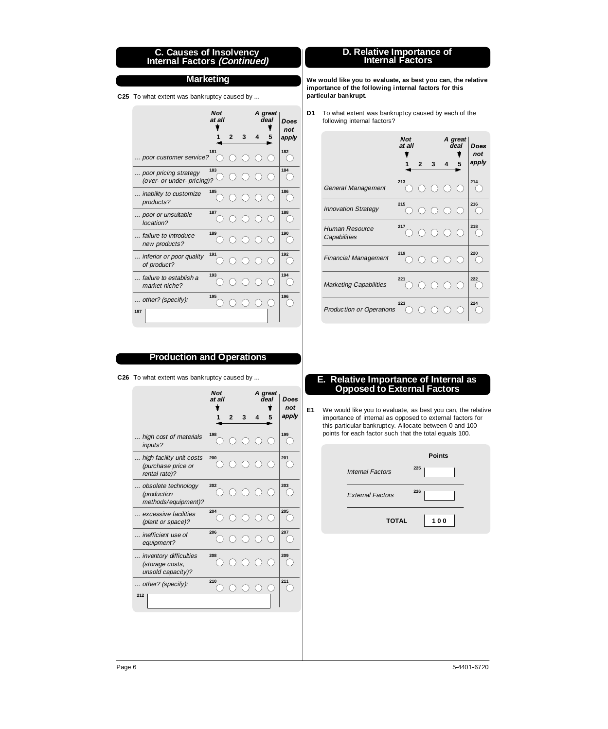#### **C. Causes of Insolvency Internal Factors (Continued)**

#### **Marketing**

**C25** To what extent was bankruptcy caused by ...

|                                                     | <b>Not</b><br>at all | $\overline{2}$ | 3                     | 4 | A great<br>deal | Does<br>not<br>apply |
|-----------------------------------------------------|----------------------|----------------|-----------------------|---|-----------------|----------------------|
|                                                     |                      |                |                       |   |                 |                      |
| poor customer service?                              | 181                  |                | ∩∩                    |   |                 | 182                  |
| poor pricing strategy<br>(over- or under- pricing)? | 183                  |                | ( )                   |   |                 | 184                  |
| inability to customize<br>products?                 | 185                  |                | $\cap$ $\cap$         |   |                 | 186                  |
| poor or unsuitable<br>location?                     | 187                  |                | $($ )                 |   |                 | 188                  |
| failure to introduce<br>new products?               | 189                  |                | $\bigcirc$ $\bigcirc$ |   |                 | 190                  |
| inferior or poor quality<br>of product?             | 191                  |                | 000                   |   |                 | 192                  |
| failure to establish a<br>market niche?             | 193                  |                |                       |   |                 | 194                  |
| other? (specify):<br>197                            | 195                  |                |                       |   |                 | 196                  |

# **D. Relative Importance of Internal Factors**

**We would like you to evaluate, as best you can, the relative importance of the following internal factors for this particular bankrupt.**

**D1** To what extent was bankruptcy caused by each of the following internal factors?

|                                 | <b>Not</b><br>at all | A great<br>deal |   |                                                        | Does<br>not      |       |
|---------------------------------|----------------------|-----------------|---|--------------------------------------------------------|------------------|-------|
|                                 |                      | $\overline{2}$  | 3 | 4                                                      | 5                | apply |
| General Management              | 213                  |                 |   | $\begin{array}{ccc} 0 & 0 & 0 & 0 \end{array}$         |                  | 214   |
| <b>Innovation Strategy</b>      | 215                  |                 |   | 0 0 0 0                                                |                  | 216   |
| Human Resource<br>Capabilities  | 217                  |                 |   | $\begin{array}{ccc} & O & O & O \\ \hline \end{array}$ |                  | 218   |
| <b>Financial Management</b>     | 219                  |                 |   | $\begin{array}{ccc} 0 & 0 & 0 & 0 \end{array}$         |                  | 220   |
| <b>Marketing Capabilities</b>   | 221                  |                 |   | $\begin{array}{ccc} 0 & 0 & 0 & 0 \end{array}$         |                  | 222   |
| <b>Production or Operations</b> | 223                  |                 |   |                                                        | $\left( \right)$ | 224   |

# **Production and Operations**

**C26** To what extent was bankruptcy caused by ...

|                                                                 | <b>Not</b><br>at all |                |             |       | A great<br>deal | Does<br>not |
|-----------------------------------------------------------------|----------------------|----------------|-------------|-------|-----------------|-------------|
|                                                                 |                      | $\overline{2}$ | 3           | 4     | 5               | apply       |
| high cost of materials<br>inputs?                               | 198                  |                | $O$ $O$ $O$ |       |                 | 199         |
| high facility unit costs<br>(purchase price or<br>rental rate)? | 200                  |                | ( )         |       | ( )             | 201         |
| obsolete technology<br>(production<br>methods/equipment)?       | 202                  |                | 000         |       |                 | 203         |
| excessive facilities<br>(plant or space)?                       | 204                  |                |             |       |                 | 205         |
| inefficient use of<br>equipment?                                | 206                  |                | ∩           |       |                 | 207         |
| inventory difficulties<br>(storage costs,<br>unsold capacity)?  | 208                  |                | $\cap$      |       |                 | 209         |
| other? (specify):<br>212                                        | 210                  |                | ( )         | $($ ) |                 | 211         |
|                                                                 |                      |                |             |       |                 |             |

#### **E. Relative Importance of Internal as Opposed to External Factors**

We would like you to evaluate, as best you can, the relative **E1** importance of internal as opposed to external factors for this particular bankruptcy. Allocate between 0 and 100 points for each factor such that the total equals 100.

|                         | <b>Points</b> |
|-------------------------|---------------|
| <b>Internal Factors</b> | 225           |
| <b>External Factors</b> | 226           |
| <b>TOTAL</b>            | 100           |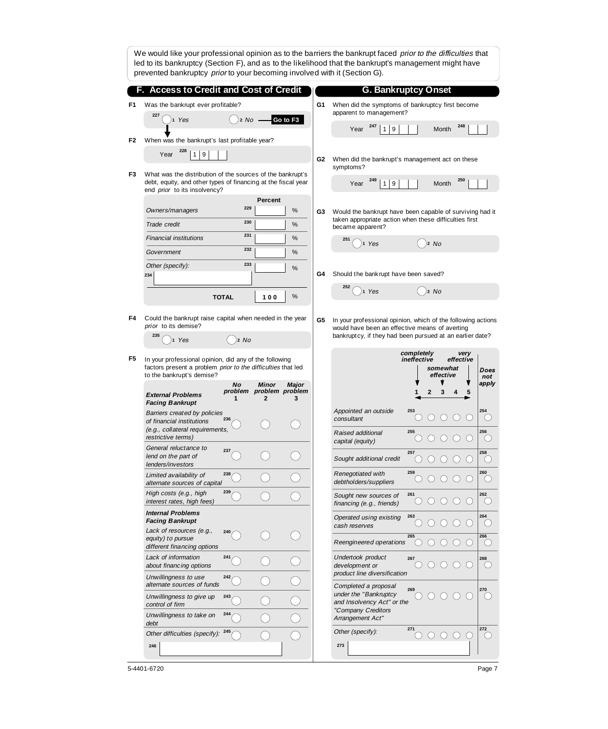|    | We would like your professional opinion as to the barriers the bankrupt faced prior to the difficulties that<br>led to its bankruptcy (Section F), and as to the likelihood that the bankrupt's management might have<br>prevented bankruptcy prior to your becoming involved with it (Section G). |                                                          |            |                                       |                                                                             |                                                                                                                                        |                        |                                            |                                             |                  |                                                        |
|----|----------------------------------------------------------------------------------------------------------------------------------------------------------------------------------------------------------------------------------------------------------------------------------------------------|----------------------------------------------------------|------------|---------------------------------------|-----------------------------------------------------------------------------|----------------------------------------------------------------------------------------------------------------------------------------|------------------------|--------------------------------------------|---------------------------------------------|------------------|--------------------------------------------------------|
|    | F. Access to Credit and Cost of Credit                                                                                                                                                                                                                                                             |                                                          |            |                                       |                                                                             | <b>G. Bankruptcy Onset</b>                                                                                                             |                        |                                            |                                             |                  |                                                        |
| F1 | Was the bankrupt ever profitable?                                                                                                                                                                                                                                                                  |                                                          |            | G1                                    | When did the symptoms of bankruptcy first become<br>apparent to management? |                                                                                                                                        |                        |                                            |                                             |                  |                                                        |
|    | 1 Yes                                                                                                                                                                                                                                                                                              | 2 No                                                     |            | Go to F3                              |                                                                             | 247<br>9<br>Year<br>1                                                                                                                  |                        | Month                                      |                                             | 248              |                                                        |
| F2 | When was the bankrupt's last profitable year?                                                                                                                                                                                                                                                      |                                                          |            |                                       |                                                                             |                                                                                                                                        |                        |                                            |                                             |                  |                                                        |
|    | 228<br>9<br>Year<br>1                                                                                                                                                                                                                                                                              |                                                          |            |                                       | G2                                                                          | When did the bankrupt's management act on these<br>symptoms?                                                                           |                        |                                            |                                             |                  |                                                        |
| F3 | What was the distribution of the sources of the bankrupt's<br>debt, equity, and other types of financing at the fiscal year<br>end <i>prior</i> to its insolvency?                                                                                                                                 |                                                          |            |                                       |                                                                             | 249<br>1 9<br>Year                                                                                                                     |                        | Month                                      |                                             | 250              |                                                        |
|    | Owners/managers                                                                                                                                                                                                                                                                                    | 229                                                      | Percent    | %                                     | G3                                                                          | Would the bankrupt have been capable of surviving had it<br>taken appropriate action when these difficulties first<br>became apparent? |                        |                                            |                                             |                  |                                                        |
|    | Trade credit                                                                                                                                                                                                                                                                                       | 230                                                      |            | %                                     |                                                                             |                                                                                                                                        |                        |                                            |                                             |                  |                                                        |
|    | Financial institutions                                                                                                                                                                                                                                                                             | 231                                                      |            | %                                     |                                                                             | 251<br>1 Yes                                                                                                                           |                        | 2 No                                       |                                             |                  |                                                        |
|    | Government                                                                                                                                                                                                                                                                                         | 232                                                      |            | %                                     |                                                                             |                                                                                                                                        |                        |                                            |                                             |                  |                                                        |
|    | Other (specify):<br>234                                                                                                                                                                                                                                                                            | 233                                                      |            | %                                     | G4                                                                          | Should the bank rupt have been saved?                                                                                                  |                        |                                            |                                             |                  |                                                        |
|    |                                                                                                                                                                                                                                                                                                    | <b>TOTAL</b>                                             | 100        | %                                     |                                                                             | 1 Yes                                                                                                                                  |                        | 12 No                                      |                                             |                  |                                                        |
| F4 | <i>prior</i> to its demise?                                                                                                                                                                                                                                                                        | Could the bankrupt raise capital when needed in the year |            |                                       |                                                                             | In your professional opinion, which of the following actions<br>would have been an effective means of averting                         |                        |                                            |                                             |                  |                                                        |
|    | 235<br>Yes                                                                                                                                                                                                                                                                                         | 2 No                                                     |            |                                       |                                                                             | bankruptcy, if they had been pursued at an earlier date?                                                                               |                        |                                            |                                             |                  |                                                        |
| F5 |                                                                                                                                                                                                                                                                                                    |                                                          |            |                                       |                                                                             |                                                                                                                                        | completely             |                                            |                                             | very             |                                                        |
|    | In your professional opinion, did any of the following<br>factors present a problem prior to the difficulties that led<br>to the bankrupt's demise?                                                                                                                                                |                                                          |            |                                       |                                                                             |                                                                                                                                        | ineffective            | somewhat<br>effective                      |                                             | effective        | Does<br>not                                            |
|    | <b>External Problems</b><br><b>Facing Bankrupt</b>                                                                                                                                                                                                                                                 | Νo<br>1                                                  | Minor<br>2 | Major<br>problem problem problem<br>3 |                                                                             |                                                                                                                                        |                        | 3<br>2                                     |                                             | 5                | apply                                                  |
|    | Barriers created by policies<br>of financial institutions<br>(e.g., collateral requirements,                                                                                                                                                                                                       | 236                                                      |            |                                       |                                                                             | Appointed an outside<br>consultant<br>Raised additional                                                                                | 253<br>255             |                                            |                                             |                  | 254<br>256                                             |
|    | restrictive terms)<br>General reluctance to                                                                                                                                                                                                                                                        | 237                                                      |            |                                       |                                                                             | capital (equity)                                                                                                                       | 257                    | $\bigcirc$<br>( )                          | $\left(\begin{array}{c} \end{array}\right)$ |                  | $($ )<br>258                                           |
|    | lend on the part of<br>lenders/investors                                                                                                                                                                                                                                                           |                                                          |            |                                       |                                                                             | Sought additional credit                                                                                                               | $\left( \quad \right)$ | $\left( \quad \right)$<br>$\left( \right)$ | $\left(\begin{array}{c} \end{array}\right)$ |                  | ()                                                     |
|    | Limited availability of<br>alternate sources of capital                                                                                                                                                                                                                                            | 238                                                      |            |                                       |                                                                             | Renegotiated with<br>debtholders/suppliers                                                                                             | 259<br>$($ )           | $\left( \right)$<br>$\left( \right)$       | $($ )                                       |                  | 260<br>$($ )                                           |
|    | High costs (e.g., high<br>interest rates, high fees)                                                                                                                                                                                                                                               | 239                                                      |            |                                       |                                                                             | Sought new sources of<br>financing (e.g., friends)                                                                                     | 261                    | $\bigcirc$<br>$\bigcirc$                   | $\left( \right)$                            | $\left( \right)$ | 262<br>$\left( \begin{array}{c} 1 \end{array} \right)$ |
|    | <b>Internal Problems</b><br><b>Facing Bankrupt</b>                                                                                                                                                                                                                                                 |                                                          |            |                                       |                                                                             | Operated using existing<br>cash reserves                                                                                               | 263                    |                                            |                                             |                  | 264<br>$( \ )$                                         |
|    | Lack of resources (e.g.,<br>equity) to pursue<br>different financing options                                                                                                                                                                                                                       | 240                                                      |            |                                       |                                                                             | Reengineered operations                                                                                                                | 265                    |                                            |                                             |                  | 266<br>( )                                             |
|    | Lack of information<br>about financing options                                                                                                                                                                                                                                                     | 241                                                      |            |                                       |                                                                             | Undertook product<br>development or                                                                                                    | 267                    | ( )<br>( )                                 |                                             |                  | 268<br>$($ )                                           |
|    | Unwillingness to use<br>alternate sources of funds                                                                                                                                                                                                                                                 | 242                                                      |            |                                       |                                                                             | product line diversification<br>Completed a proposal                                                                                   | 269                    |                                            |                                             |                  | 270                                                    |
|    | Unwillingness to give up<br>control of firm                                                                                                                                                                                                                                                        | 243                                                      |            |                                       |                                                                             | under the "Bankruptcy<br>and Insolvency Act" or the                                                                                    |                        |                                            |                                             |                  |                                                        |
|    | Unwillingness to take on<br>debt                                                                                                                                                                                                                                                                   | 244                                                      |            |                                       |                                                                             | "Company Creditors<br>Arrangement Act"                                                                                                 |                        |                                            |                                             |                  |                                                        |
|    | Other difficulties (specify):<br>246                                                                                                                                                                                                                                                               | 245                                                      |            |                                       |                                                                             | Other (specify):<br>273                                                                                                                | 271                    | $\bigcirc$<br>$\left( \right)$             | $\bigcirc$                                  |                  | 272<br>$\left( \begin{array}{c} 1 \end{array} \right)$ |